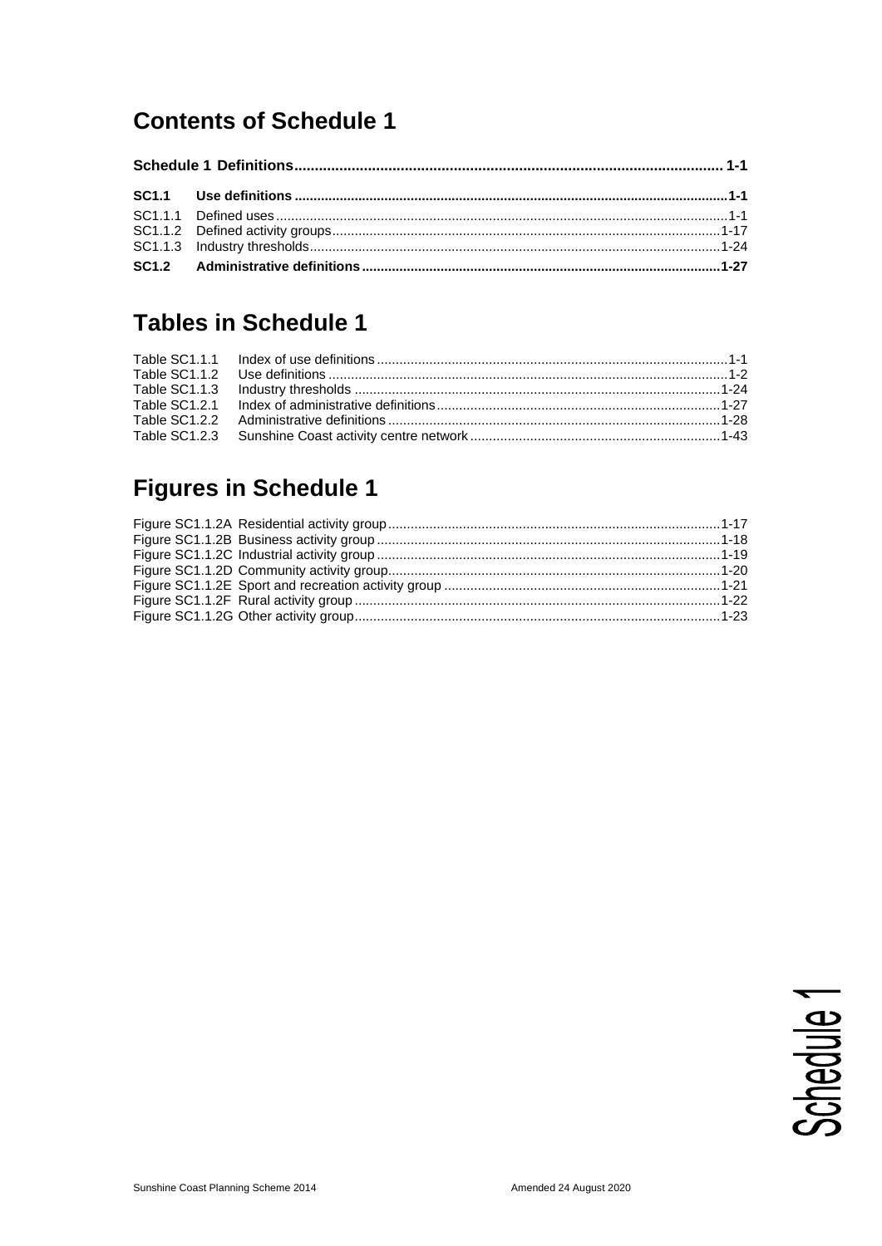# **Contents of Schedule 1**

# **Tables in Schedule 1**

# **Figures in Schedule 1**

Schedule 1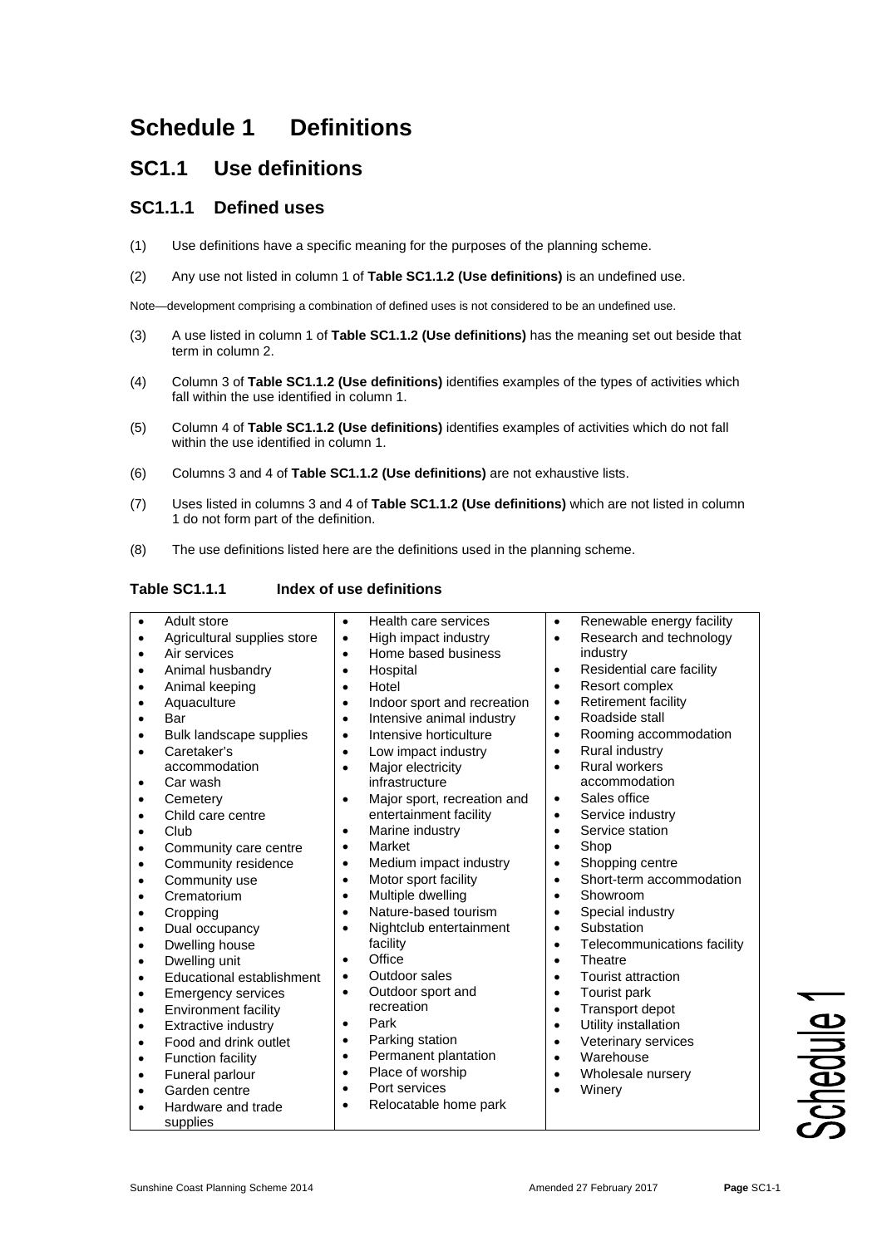## <span id="page-1-0"></span>**Schedule 1 Definitions**

## <span id="page-1-1"></span>**SC1.1 Use definitions**

#### <span id="page-1-2"></span>**SC1.1.1 Defined uses**

- (1) Use definitions have a specific meaning for the purposes of the planning scheme.
- (2) Any use not listed in column 1 of **Table SC1.1.2 (Use definitions)** is an undefined use.

Note—development comprising a combination of defined uses is not considered to be an undefined use.

- (3) A use listed in column 1 of **Table SC1.1.2 (Use definitions)** has the meaning set out beside that term in column 2.
- (4) Column 3 of **Table SC1.1.2 (Use definitions)** identifies examples of the types of activities which fall within the use identified in column 1.
- (5) Column 4 of **Table SC1.1.2 (Use definitions)** identifies examples of activities which do not fall within the use identified in column 1.
- (6) Columns 3 and 4 of **Table SC1.1.2 (Use definitions)** are not exhaustive lists.
- (7) Uses listed in columns 3 and 4 of **Table SC1.1.2 (Use definitions)** which are not listed in column 1 do not form part of the definition.
- (8) The use definitions listed here are the definitions used in the planning scheme.

<span id="page-1-3"></span>**Table SC1.1.1 Index of use definitions**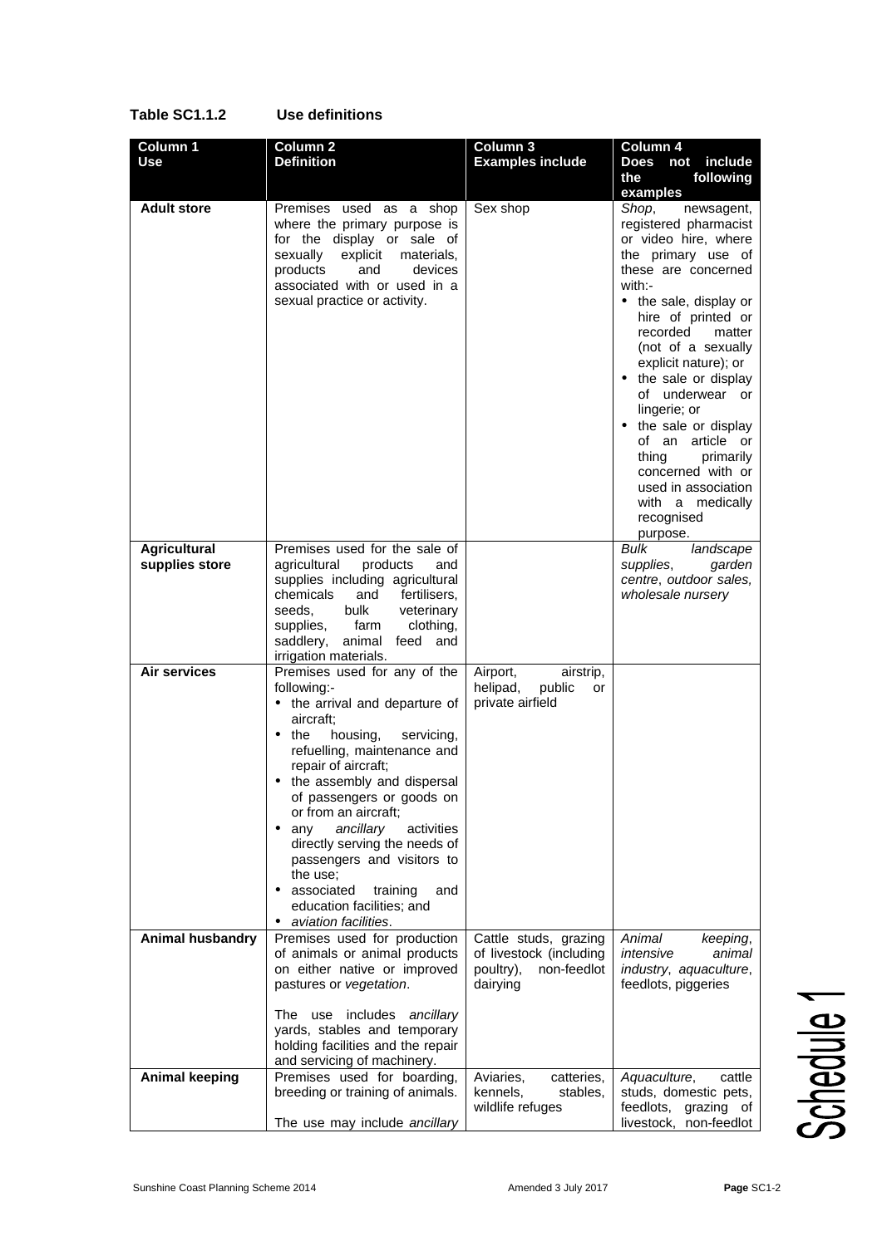#### <span id="page-2-0"></span>**Table SC1.1.2 Use definitions**

| Column 1<br><b>Use</b>                  | Column <sub>2</sub><br><b>Definition</b>                                                                                                                                                                                                                                                                                                                                                                                                                                                                                    | Column 3<br><b>Examples include</b>                                                            | Column 4<br><b>Does</b><br>not<br>include<br>following<br>the<br>examples                                                                                                                                                                                                                                                                                                                                                                                                |
|-----------------------------------------|-----------------------------------------------------------------------------------------------------------------------------------------------------------------------------------------------------------------------------------------------------------------------------------------------------------------------------------------------------------------------------------------------------------------------------------------------------------------------------------------------------------------------------|------------------------------------------------------------------------------------------------|--------------------------------------------------------------------------------------------------------------------------------------------------------------------------------------------------------------------------------------------------------------------------------------------------------------------------------------------------------------------------------------------------------------------------------------------------------------------------|
| <b>Adult store</b>                      | Premises used as a shop<br>where the primary purpose is<br>for the display or sale of<br>explicit<br>materials,<br>sexually<br>products<br>and<br>devices<br>associated with or used in a<br>sexual practice or activity.                                                                                                                                                                                                                                                                                                   | Sex shop                                                                                       | Shop,<br>newsagent,<br>registered pharmacist<br>or video hire, where<br>the primary use of<br>these are concerned<br>with:-<br>• the sale, display or<br>hire of printed or<br>recorded<br>matter<br>(not of a sexually<br>explicit nature); or<br>• the sale or display<br>of underwear or<br>lingerie; or<br>• the sale or display<br>of an article or<br>thina<br>primarily<br>concerned with or<br>used in association<br>with a medically<br>recognised<br>purpose. |
| <b>Agricultural</b><br>supplies store   | Premises used for the sale of<br>agricultural products<br>and                                                                                                                                                                                                                                                                                                                                                                                                                                                               |                                                                                                | Bulk<br>landscape<br>garden<br>supplies,                                                                                                                                                                                                                                                                                                                                                                                                                                 |
|                                         | supplies including agricultural<br>chemicals<br>fertilisers,<br>and<br>bulk<br>seeds,<br>veterinary<br>supplies,<br>clothing,<br>farm                                                                                                                                                                                                                                                                                                                                                                                       |                                                                                                | centre, outdoor sales,<br>wholesale nursery                                                                                                                                                                                                                                                                                                                                                                                                                              |
|                                         | saddlery, animal feed and<br>irrigation materials.                                                                                                                                                                                                                                                                                                                                                                                                                                                                          |                                                                                                |                                                                                                                                                                                                                                                                                                                                                                                                                                                                          |
| Air services<br><b>Animal husbandry</b> | Premises used for any of the<br>following:-<br>• the arrival and departure of<br>aircraft:<br>housing,<br>$\bullet$ the<br>servicing,<br>refuelling, maintenance and<br>repair of aircraft;<br>the assembly and dispersal<br>of passengers or goods on<br>or from an aircraft;<br>ancillary<br>any<br>activities<br>٠<br>directly serving the needs of<br>passengers and visitors to<br>the use;<br>associated<br>training<br>٠<br>and<br>education facilities; and<br>aviation facilities.<br>Premises used for production | Airport,<br>airstrip,<br>helipad,<br>public<br>or<br>private airfield<br>Cattle studs, grazing | Animal<br>keeping,                                                                                                                                                                                                                                                                                                                                                                                                                                                       |
|                                         | of animals or animal products<br>on either native or improved<br>pastures or vegetation.<br>The use includes ancillary<br>yards, stables and temporary<br>holding facilities and the repair                                                                                                                                                                                                                                                                                                                                 | of livestock (including<br>non-feedlot<br>poultry),<br>dairying                                | intensive<br>animal<br>industry, aquaculture,<br>feedlots, piggeries                                                                                                                                                                                                                                                                                                                                                                                                     |
| <b>Animal keeping</b>                   | and servicing of machinery.<br>Premises used for boarding,<br>breeding or training of animals.                                                                                                                                                                                                                                                                                                                                                                                                                              | Aviaries,<br>catteries.<br>kennels,<br>stables,                                                | Aquaculture,<br>cattle<br>studs, domestic pets,                                                                                                                                                                                                                                                                                                                                                                                                                          |
|                                         | The use may include ancillary                                                                                                                                                                                                                                                                                                                                                                                                                                                                                               | wildlife refuges                                                                               | feedlots, grazing of<br>livestock, non-feedlot                                                                                                                                                                                                                                                                                                                                                                                                                           |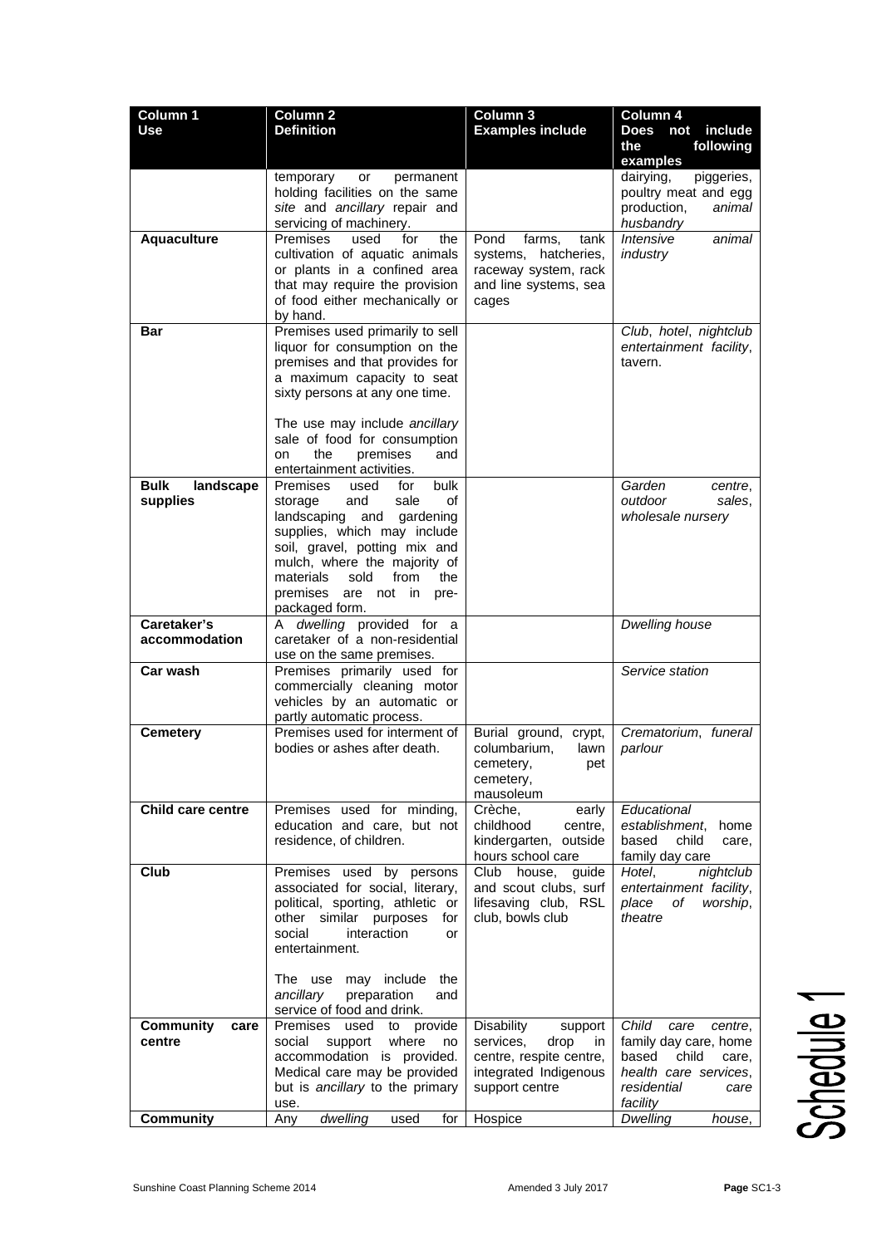| Column 1<br><b>Use</b>               | <b>Column 2</b><br><b>Definition</b>                                                                                                                                                                                                                                                             | Column 3<br><b>Examples include</b>                                                                                           | Column 4<br>Does<br>not<br>include                                                                                                       |
|--------------------------------------|--------------------------------------------------------------------------------------------------------------------------------------------------------------------------------------------------------------------------------------------------------------------------------------------------|-------------------------------------------------------------------------------------------------------------------------------|------------------------------------------------------------------------------------------------------------------------------------------|
|                                      |                                                                                                                                                                                                                                                                                                  |                                                                                                                               | following<br>the<br>examples                                                                                                             |
|                                      | temporary<br>permanent<br>or<br>holding facilities on the same<br>site and ancillary repair and<br>servicing of machinery.                                                                                                                                                                       |                                                                                                                               | dairying,<br>piggeries,<br>poultry meat and egg<br>production,<br>animal<br>husbandry                                                    |
| <b>Aquaculture</b>                   | Premises<br>used<br>for<br>the<br>cultivation of aquatic animals<br>or plants in a confined area<br>that may require the provision<br>of food either mechanically or<br>by hand.                                                                                                                 | Pond<br>farms,<br>tank<br>hatcheries,<br>systems,<br>raceway system, rack<br>and line systems, sea<br>cages                   | Intensive<br>animal<br>industry                                                                                                          |
| <b>Bar</b>                           | Premises used primarily to sell<br>liquor for consumption on the<br>premises and that provides for<br>a maximum capacity to seat<br>sixty persons at any one time.<br>The use may include ancillary<br>sale of food for consumption<br>the<br>premises<br>on<br>and<br>entertainment activities. |                                                                                                                               | Club, hotel, nightclub<br>entertainment facility,<br>tavern.                                                                             |
| <b>Bulk</b><br>landscape<br>supplies | Premises<br>used<br>bulk<br>for<br>and<br>sale<br>storage<br>οf<br>landscaping and gardening<br>supplies, which may include<br>soil, gravel, potting mix and<br>mulch, where the majority of<br>materials<br>sold<br>from<br>the<br>premises are not in pre-<br>packaged form.                   |                                                                                                                               | Garden<br>centre,<br>outdoor<br>sales,<br>wholesale nursery                                                                              |
| Caretaker's<br>accommodation         | A dwelling provided for a<br>caretaker of a non-residential<br>use on the same premises.                                                                                                                                                                                                         |                                                                                                                               | Dwelling house                                                                                                                           |
| Car wash                             | Premises primarily used for<br>commercially cleaning motor<br>vehicles by an automatic or<br>partly automatic process.                                                                                                                                                                           |                                                                                                                               | Service station                                                                                                                          |
| <b>Cemetery</b>                      | Premises used for interment of<br>bodies or ashes after death.                                                                                                                                                                                                                                   | Burial ground,<br>crypt,<br>columbarium,<br>lawn<br>cemetery,<br>pet<br>cemetery,<br>mausoleum                                | Crematorium, funeral<br>parlour                                                                                                          |
| <b>Child care centre</b>             | Premises used for minding,<br>education and care, but not<br>residence, of children.                                                                                                                                                                                                             | Crèche,<br>early<br>childhood<br>centre,<br>kindergarten, outside<br>hours school care                                        | Educational<br>establishment,<br>home<br>child<br>based<br>care,<br>family day care                                                      |
| Club                                 | Premises used by persons<br>associated for social, literary,<br>political, sporting, athletic or<br>similar purposes<br>other<br>for<br>interaction<br>social<br>or<br>entertainment.<br>The use may include<br>the<br>ancillary<br>preparation<br>and<br>service of food and drink.             | Club house, guide<br>and scout clubs, surf<br>lifesaving club, RSL<br>club, bowls club                                        | Hotel,<br>nightclub<br>entertainment facility,<br>place<br>of<br>worship,<br>theatre                                                     |
| Community<br>care<br>centre          | Premises<br>used<br>provide<br>to<br>social<br>support<br>where<br>no<br>accommodation is provided.<br>Medical care may be provided<br>but is ancillary to the primary<br>use.                                                                                                                   | <b>Disability</b><br>support<br>services,<br>drop<br>in<br>centre, respite centre,<br>integrated Indigenous<br>support centre | Child<br>care<br>centre,<br>family day care, home<br>based<br>child<br>care,<br>health care services,<br>residential<br>care<br>facility |
| <b>Community</b>                     | dwelling<br>Any<br>used<br>for                                                                                                                                                                                                                                                                   | Hospice                                                                                                                       | <b>Dwelling</b><br>house,                                                                                                                |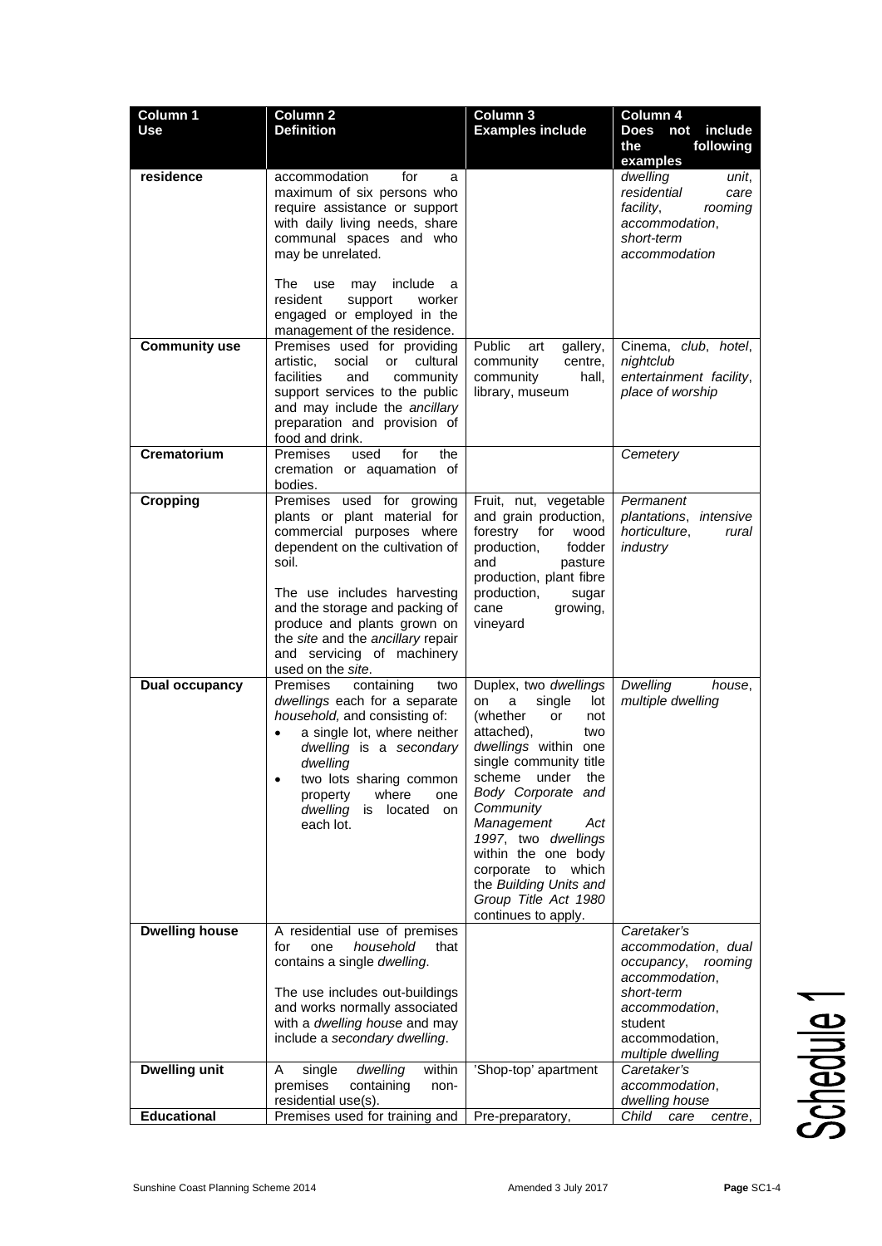| Column 1              | <b>Column 2</b>                                                                                                                                                                                                                                                                                                            | Column 3                                                                                                                                                                                                                                                                                                                                                                            | Column 4                                                                                                                                                        |
|-----------------------|----------------------------------------------------------------------------------------------------------------------------------------------------------------------------------------------------------------------------------------------------------------------------------------------------------------------------|-------------------------------------------------------------------------------------------------------------------------------------------------------------------------------------------------------------------------------------------------------------------------------------------------------------------------------------------------------------------------------------|-----------------------------------------------------------------------------------------------------------------------------------------------------------------|
| <b>Use</b>            | <b>Definition</b>                                                                                                                                                                                                                                                                                                          | <b>Examples include</b>                                                                                                                                                                                                                                                                                                                                                             | include<br><b>Does</b><br>not<br>the                                                                                                                            |
|                       |                                                                                                                                                                                                                                                                                                                            |                                                                                                                                                                                                                                                                                                                                                                                     | following<br>examples                                                                                                                                           |
| residence             | accommodation<br>for<br>a<br>maximum of six persons who<br>require assistance or support<br>with daily living needs, share<br>communal spaces and who<br>may be unrelated.<br><b>The</b><br>include<br>use<br>may<br>- a                                                                                                   |                                                                                                                                                                                                                                                                                                                                                                                     | dwelling<br>unit,<br>residential<br>care<br>facility,<br>rooming<br>accommodation,<br>short-term<br>accommodation                                               |
|                       | resident<br>support<br>worker<br>engaged or employed in the<br>management of the residence.                                                                                                                                                                                                                                |                                                                                                                                                                                                                                                                                                                                                                                     |                                                                                                                                                                 |
| <b>Community use</b>  | Premises used for providing<br>artistic,<br>social<br>cultural<br>or<br>facilities<br>community<br>and<br>support services to the public<br>and may include the ancillary<br>preparation and provision of<br>food and drink.                                                                                               | Public<br>art<br>gallery,<br>community<br>centre,<br>community<br>hall,<br>library, museum                                                                                                                                                                                                                                                                                          | Cinema, club, hotel,<br>nightclub<br>entertainment facility,<br>place of worship                                                                                |
| Crematorium           | Premises<br>used<br>for<br>the<br>cremation or aquamation of<br>bodies.                                                                                                                                                                                                                                                    |                                                                                                                                                                                                                                                                                                                                                                                     | Cemetery                                                                                                                                                        |
| <b>Cropping</b>       | Premises used for growing<br>plants or plant material for<br>commercial purposes where<br>dependent on the cultivation of<br>soil.<br>The use includes harvesting<br>and the storage and packing of<br>produce and plants grown on<br>the site and the ancillary repair<br>and servicing of machinery<br>used on the site. | Fruit, nut, vegetable<br>and grain production,<br>forestry<br>for<br>wood<br>production,<br>fodder<br>and<br>pasture<br>production, plant fibre<br>production,<br>sugar<br>cane<br>growing,<br>vineyard                                                                                                                                                                             | Permanent<br>plantations, intensive<br>horticulture.<br>rural<br>industry                                                                                       |
| Dual occupancy        | Premises<br>containing<br>two<br>dwellings each for a separate<br>household, and consisting of:<br>a single lot, where neither<br>dwelling is a secondary<br>dwelling<br>two lots sharing common<br>$\bullet$<br>where<br>property<br>one<br>dwelling is located on<br>each lot.                                           | Duplex, two dwellings<br>single<br>on<br>a<br>lot<br>(whether<br>or<br>not<br>attached),<br>two<br>dwellings within one<br>single community title<br>scheme<br>under<br>the<br>Body Corporate and<br>Community<br>Management<br>Act<br>1997, two dwellings<br>within the one body<br>which<br>corporate to<br>the Building Units and<br>Group Title Act 1980<br>continues to apply. | Dwelling<br>house.<br>multiple dwelling                                                                                                                         |
| <b>Dwelling house</b> | A residential use of premises<br>household<br>one<br>that<br>for<br>contains a single dwelling.<br>The use includes out-buildings<br>and works normally associated<br>with a dwelling house and may<br>include a secondary dwelling.                                                                                       |                                                                                                                                                                                                                                                                                                                                                                                     | Caretaker's<br>accommodation, dual<br>occupancy,<br>rooming<br>accommodation,<br>short-term<br>accommodation,<br>student<br>accommodation,<br>multiple dwelling |
| <b>Dwelling unit</b>  | single<br>dwelling<br>A<br>within<br>premises<br>containing<br>non-<br>residential use(s).                                                                                                                                                                                                                                 | 'Shop-top' apartment                                                                                                                                                                                                                                                                                                                                                                | Caretaker's<br>accommodation,<br>dwelling house                                                                                                                 |
| <b>Educational</b>    | Premises used for training and                                                                                                                                                                                                                                                                                             | Pre-preparatory,                                                                                                                                                                                                                                                                                                                                                                    | Child<br>care<br>centre,                                                                                                                                        |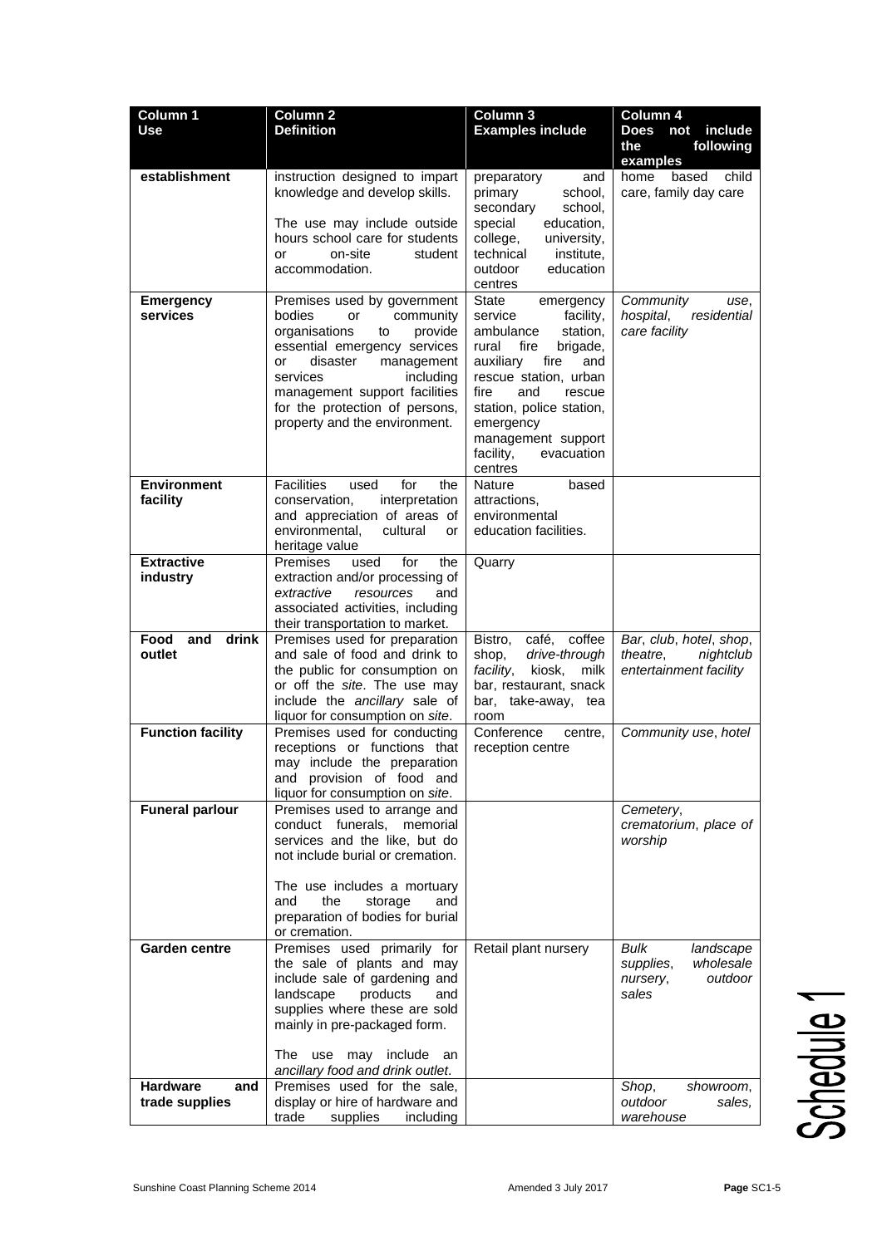| Column 1<br><b>Use</b>                   | Column <sub>2</sub><br><b>Definition</b>                                                                                                                                                                                                                                                | Column 3<br><b>Examples include</b>                                                                                                                                                                                                                                                        | Column 4<br><b>Does</b><br>not<br>include                                   |
|------------------------------------------|-----------------------------------------------------------------------------------------------------------------------------------------------------------------------------------------------------------------------------------------------------------------------------------------|--------------------------------------------------------------------------------------------------------------------------------------------------------------------------------------------------------------------------------------------------------------------------------------------|-----------------------------------------------------------------------------|
|                                          |                                                                                                                                                                                                                                                                                         |                                                                                                                                                                                                                                                                                            | following<br>the<br>examples                                                |
| establishment                            | instruction designed to impart<br>knowledge and develop skills.<br>The use may include outside<br>hours school care for students<br>on-site<br>student<br>or<br>accommodation.                                                                                                          | preparatory<br>and<br>primary<br>school,<br>secondary<br>school,<br>special<br>education,<br>college,<br>university,<br>technical<br>institute.<br>education<br>outdoor<br>centres                                                                                                         | child<br>based<br>home<br>care, family day care                             |
| <b>Emergency</b><br>services             | Premises used by government<br>bodies<br>community<br>or<br>organisations<br>provide<br>to<br>essential emergency services<br>disaster<br>management<br>or<br>services<br>including<br>management support facilities<br>for the protection of persons,<br>property and the environment. | <b>State</b><br>emergency<br>service<br>facility,<br>ambulance<br>station,<br>rural<br>fire<br>brigade,<br>auxiliary<br>fire<br>and<br>rescue station, urban<br>fire<br>and<br>rescue<br>station, police station,<br>emergency<br>management support<br>evacuation<br>facility,<br>centres | Community<br>use,<br>hospital,<br>residential<br>care facility              |
| <b>Environment</b><br>facility           | <b>Facilities</b><br>the<br>used<br>for<br>conservation,<br>interpretation<br>and appreciation of areas of<br>environmental,<br>cultural<br>or<br>heritage value                                                                                                                        | <b>Nature</b><br>based<br>attractions,<br>environmental<br>education facilities.                                                                                                                                                                                                           |                                                                             |
| <b>Extractive</b>                        | for<br>Premises<br>the<br>used                                                                                                                                                                                                                                                          | Quarry                                                                                                                                                                                                                                                                                     |                                                                             |
| industry                                 | extraction and/or processing of<br>extractive<br>resources<br>and<br>associated activities, including<br>their transportation to market.                                                                                                                                                |                                                                                                                                                                                                                                                                                            |                                                                             |
| Food<br>drink<br>and<br>outlet           | Premises used for preparation<br>and sale of food and drink to<br>the public for consumption on<br>or off the site. The use may<br>include the ancillary sale of<br>liquor for consumption on site.                                                                                     | café, coffee<br>Bistro,<br>drive-through<br>shop,<br>facility,<br>kiosk,<br>milk<br>bar, restaurant, snack<br>bar, take-away, tea<br>room                                                                                                                                                  | Bar, club, hotel, shop,<br>theatre,<br>nightclub<br>entertainment facility  |
| <b>Function facility</b>                 | Premises used for conducting                                                                                                                                                                                                                                                            | Conference<br>centre,                                                                                                                                                                                                                                                                      | Community use, hotel                                                        |
|                                          | receptions or functions that<br>may include the preparation<br>and provision of food and<br>liquor for consumption on site.                                                                                                                                                             | reception centre                                                                                                                                                                                                                                                                           |                                                                             |
| <b>Funeral parlour</b>                   | Premises used to arrange and<br>conduct funerals, memorial<br>services and the like, but do<br>not include burial or cremation.                                                                                                                                                         |                                                                                                                                                                                                                                                                                            | Cemetery,<br>crematorium, place of<br>worship                               |
|                                          | The use includes a mortuary<br>the<br>storage<br>and<br>and<br>preparation of bodies for burial<br>or cremation.                                                                                                                                                                        |                                                                                                                                                                                                                                                                                            |                                                                             |
| <b>Garden centre</b>                     | Premises used primarily for<br>the sale of plants and may<br>include sale of gardening and<br>landscape<br>products<br>and<br>supplies where these are sold<br>mainly in pre-packaged form.<br>The use may include an<br>ancillary food and drink outlet.                               | Retail plant nursery                                                                                                                                                                                                                                                                       | Bulk<br>landscape<br>wholesale<br>supplies,<br>outdoor<br>nursery,<br>sales |
| <b>Hardware</b><br>and<br>trade supplies | Premises used for the sale,<br>display or hire of hardware and<br>supplies<br>including<br>trade                                                                                                                                                                                        |                                                                                                                                                                                                                                                                                            | Shop,<br>showroom,<br>outdoor<br>sales,<br>warehouse                        |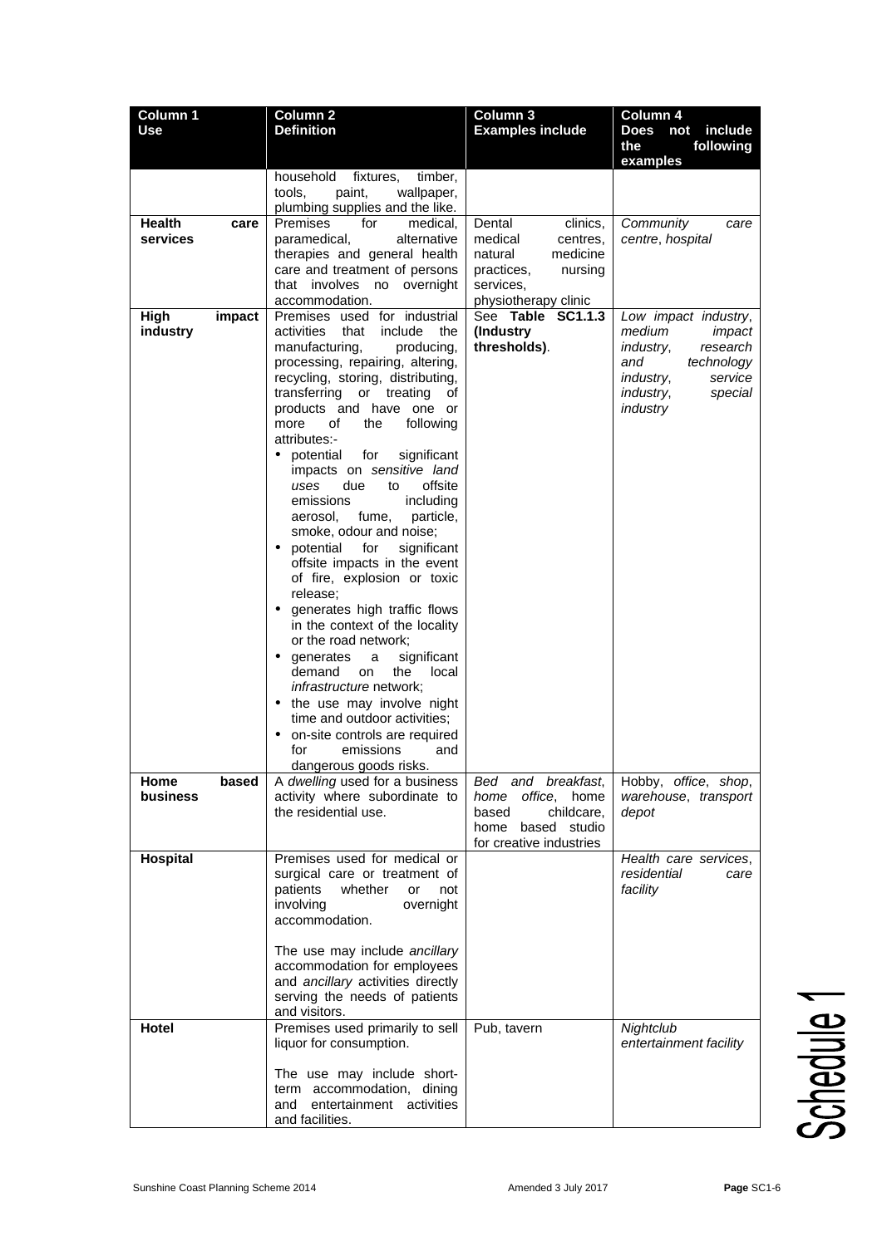| Column 1       | Column <sub>2</sub><br><b>Definition</b>                                     | Column 3<br><b>Examples include</b>          | Column 4<br><b>Does</b>                      |
|----------------|------------------------------------------------------------------------------|----------------------------------------------|----------------------------------------------|
| <b>Use</b>     |                                                                              |                                              | include<br>not<br>the<br>following           |
|                | household<br>fixtures,<br>timber,                                            |                                              | examples                                     |
|                | tools,<br>paint,<br>wallpaper,<br>plumbing supplies and the like.            |                                              |                                              |
| Health<br>care | for<br><b>Premises</b><br>medical,                                           | clinics,<br>Dental                           | Community<br>care                            |
| services       | paramedical,<br>alternative                                                  | medical<br>centres.                          | centre, hospital                             |
|                | therapies and general health<br>care and treatment of persons                | natural<br>medicine<br>practices,<br>nursing |                                              |
|                | that involves no overnight                                                   | services,                                    |                                              |
| High<br>impact | accommodation.<br>Premises used for industrial                               | physiotherapy clinic<br>See Table SC1.1.3    | Low impact industry,                         |
| industry       | activities<br>that<br>include<br>the                                         | (Industry                                    | medium<br>impact                             |
|                | manufacturing,<br>producing,<br>processing, repairing, altering,             | thresholds).                                 | industry,<br>research<br>and<br>technology   |
|                | recycling, storing, distributing,                                            |                                              | <i>industry,</i><br>service                  |
|                | transferring or treating<br>οf<br>products and have one or                   |                                              | <i>industry,</i><br>special<br>industry      |
|                | of<br>following<br>more<br>the                                               |                                              |                                              |
|                | attributes:-                                                                 |                                              |                                              |
|                | significant<br>potential<br>for<br>impacts on sensitive land                 |                                              |                                              |
|                | due<br>offsite<br>uses<br>to                                                 |                                              |                                              |
|                | emissions<br>including<br>aerosol, fume,<br>particle,                        |                                              |                                              |
|                | smoke, odour and noise;                                                      |                                              |                                              |
|                | potential<br>for<br>significant<br>$\bullet$<br>offsite impacts in the event |                                              |                                              |
|                | of fire, explosion or toxic                                                  |                                              |                                              |
|                | release:                                                                     |                                              |                                              |
|                | generates high traffic flows<br>٠<br>in the context of the locality          |                                              |                                              |
|                | or the road network;                                                         |                                              |                                              |
|                | $\bullet$<br>generates<br>significant<br>a<br>demand<br>local<br>on<br>the   |                                              |                                              |
|                | infrastructure network;                                                      |                                              |                                              |
|                | • the use may involve night<br>time and outdoor activities:                  |                                              |                                              |
|                | on-site controls are required                                                |                                              |                                              |
|                | emissions<br>and<br>for                                                      |                                              |                                              |
| Home<br>based  | dangerous goods risks.<br>A <i>dwelling</i> used for a business              | Bed and breakfast,                           | Hobby, office, shop,                         |
| business       | activity where subordinate to                                                | office,<br>home<br>home                      | warehouse, transport                         |
|                | the residential use.                                                         | childcare,<br>based<br>home based studio     | depot                                        |
|                |                                                                              | for creative industries                      |                                              |
| Hospital       | Premises used for medical or<br>surgical care or treatment of                |                                              | Health care services,<br>residential<br>care |
|                | patients<br>whether<br>or<br>not                                             |                                              | facility                                     |
|                | involving<br>overnight<br>accommodation.                                     |                                              |                                              |
|                |                                                                              |                                              |                                              |
|                | The use may include ancillary<br>accommodation for employees                 |                                              |                                              |
|                | and ancillary activities directly                                            |                                              |                                              |
|                | serving the needs of patients<br>and visitors.                               |                                              |                                              |
| <b>Hotel</b>   | Premises used primarily to sell<br>liquor for consumption.                   | Pub, tavern                                  | Nightclub<br>entertainment facility          |
|                | The use may include short-                                                   |                                              |                                              |
|                | term accommodation, dining                                                   |                                              |                                              |
|                | and entertainment activities<br>and facilities.                              |                                              |                                              |
|                |                                                                              |                                              |                                              |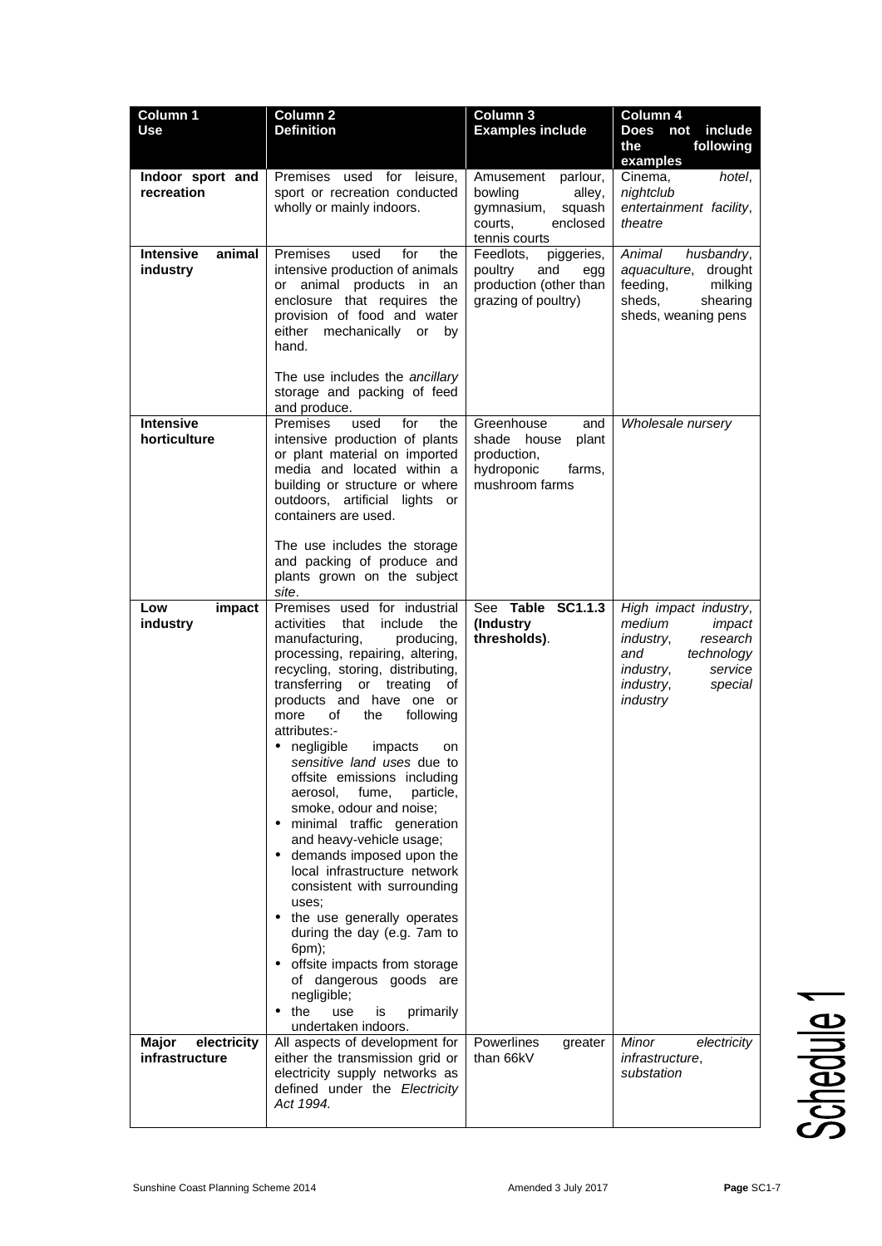| Column 1<br><b>Use</b>                 | Column <sub>2</sub><br><b>Definition</b>                                                                                                                                                                                                                                                                                                                                                                                                                                                                                                                                                                                                                                                                                                                                                                                                                                         | Column 3<br><b>Examples include</b>                                                                        | Column 4<br>include<br><b>Does</b><br>not                                                                                                                  |
|----------------------------------------|----------------------------------------------------------------------------------------------------------------------------------------------------------------------------------------------------------------------------------------------------------------------------------------------------------------------------------------------------------------------------------------------------------------------------------------------------------------------------------------------------------------------------------------------------------------------------------------------------------------------------------------------------------------------------------------------------------------------------------------------------------------------------------------------------------------------------------------------------------------------------------|------------------------------------------------------------------------------------------------------------|------------------------------------------------------------------------------------------------------------------------------------------------------------|
|                                        |                                                                                                                                                                                                                                                                                                                                                                                                                                                                                                                                                                                                                                                                                                                                                                                                                                                                                  |                                                                                                            | following<br>the<br>examples                                                                                                                               |
| Indoor sport and<br>recreation         | Premises used for leisure,<br>sport or recreation conducted<br>wholly or mainly indoors.                                                                                                                                                                                                                                                                                                                                                                                                                                                                                                                                                                                                                                                                                                                                                                                         | Amusement<br>parlour,<br>bowling<br>alley,<br>gymnasium,<br>squash<br>courts,<br>enclosed<br>tennis courts | Cinema,<br>hotel,<br>nightclub<br>entertainment facility,<br>theatre                                                                                       |
| <b>Intensive</b><br>animal<br>industry | Premises<br>used<br>for<br>the<br>intensive production of animals<br>or animal products in an<br>enclosure that requires the<br>provision of food and water<br>either<br>mechanically or<br>by<br>hand.<br>The use includes the ancillary<br>storage and packing of feed<br>and produce.                                                                                                                                                                                                                                                                                                                                                                                                                                                                                                                                                                                         | Feedlots,<br>piggeries,<br>poultry<br>and<br>egg<br>production (other than<br>grazing of poultry)          | Animal<br>husbandry,<br>aquaculture, drought<br>feeding,<br>milking<br>sheds,<br>shearing<br>sheds, weaning pens                                           |
| <b>Intensive</b><br>horticulture       | Premises<br>for<br>the<br>used<br>intensive production of plants<br>or plant material on imported<br>media and located within a<br>building or structure or where<br>outdoors, artificial lights or<br>containers are used.<br>The use includes the storage<br>and packing of produce and<br>plants grown on the subject<br>site.                                                                                                                                                                                                                                                                                                                                                                                                                                                                                                                                                | Greenhouse<br>and<br>shade<br>house<br>plant<br>production,<br>hydroponic<br>farms,<br>mushroom farms      | Wholesale nursery                                                                                                                                          |
| Low<br>impact<br>industry              | Premises used for industrial<br>activities that<br>include<br>the<br>manufacturing,<br>producing,<br>processing, repairing, altering,<br>recycling, storing, distributing,<br>transferring or treating<br>οf<br>products and have one or<br>more<br>of<br>following<br>the<br>attributes:-<br>• negligible<br>impacts<br>on<br>sensitive land uses due to<br>offsite emissions including<br>aerosol,<br>fume,<br>particle,<br>smoke, odour and noise;<br>minimal traffic generation<br>$\bullet$<br>and heavy-vehicle usage;<br>demands imposed upon the<br>$\bullet$<br>local infrastructure network<br>consistent with surrounding<br>uses;<br>• the use generally operates<br>during the day (e.g. 7am to<br>6pm);<br>offsite impacts from storage<br>$\bullet$<br>of dangerous goods are<br>negligible;<br>the<br>use<br>$\bullet$<br>is<br>primarily<br>undertaken indoors. | See Table SC1.1.3<br>(Industry<br>thresholds).                                                             | High impact industry,<br>medium<br>impact<br>industry,<br>research<br>technology<br>and<br>service<br><i>industry,</i><br>industry,<br>special<br>industry |
| Major<br>electricity<br>infrastructure | All aspects of development for<br>either the transmission grid or<br>electricity supply networks as<br>defined under the Electricity<br>Act 1994.                                                                                                                                                                                                                                                                                                                                                                                                                                                                                                                                                                                                                                                                                                                                | Powerlines<br>greater<br>than 66kV                                                                         | Minor<br>electricity<br><i>infrastructure,</i><br>substation                                                                                               |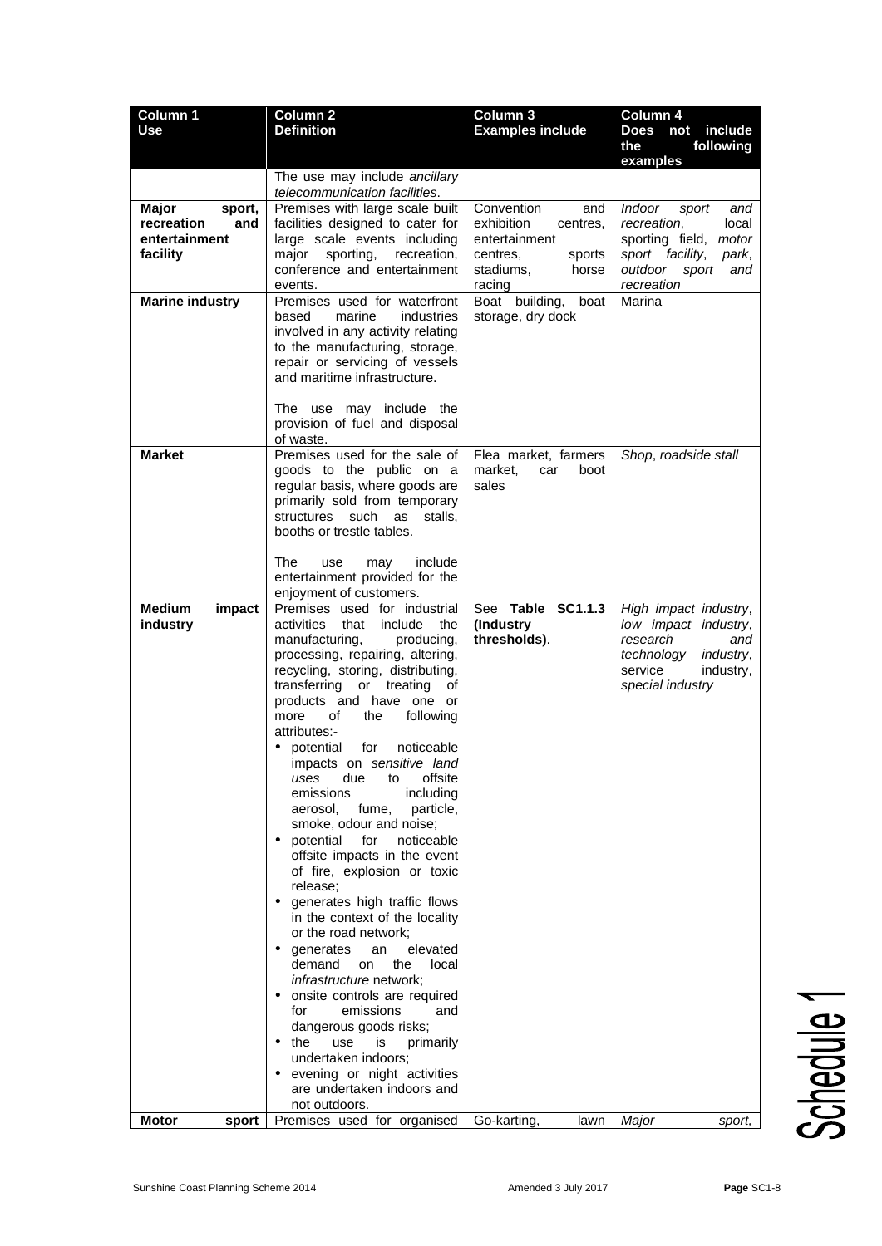| Column 1<br><b>Use</b>                                                   | Column <sub>2</sub><br><b>Definition</b>                                                                                                                                                                                                                                                                                                                                                                                                                                                                                                                                                                                                                                                                                                                                                                                                                                                                                                                                                | Column 3<br><b>Examples include</b>                                                                                | Column 4<br><b>Does</b><br>not<br>include                                                                                                    |
|--------------------------------------------------------------------------|-----------------------------------------------------------------------------------------------------------------------------------------------------------------------------------------------------------------------------------------------------------------------------------------------------------------------------------------------------------------------------------------------------------------------------------------------------------------------------------------------------------------------------------------------------------------------------------------------------------------------------------------------------------------------------------------------------------------------------------------------------------------------------------------------------------------------------------------------------------------------------------------------------------------------------------------------------------------------------------------|--------------------------------------------------------------------------------------------------------------------|----------------------------------------------------------------------------------------------------------------------------------------------|
|                                                                          |                                                                                                                                                                                                                                                                                                                                                                                                                                                                                                                                                                                                                                                                                                                                                                                                                                                                                                                                                                                         |                                                                                                                    | following<br>the<br>examples                                                                                                                 |
|                                                                          | The use may include ancillary<br>telecommunication facilities.                                                                                                                                                                                                                                                                                                                                                                                                                                                                                                                                                                                                                                                                                                                                                                                                                                                                                                                          |                                                                                                                    |                                                                                                                                              |
| <b>Major</b><br>sport,<br>recreation<br>and<br>entertainment<br>facility | Premises with large scale built<br>facilities designed to cater for<br>large scale events including<br>major<br>sporting, recreation,<br>conference and entertainment<br>events.                                                                                                                                                                                                                                                                                                                                                                                                                                                                                                                                                                                                                                                                                                                                                                                                        | Convention<br>and<br>exhibition<br>centres,<br>entertainment<br>centres,<br>sports<br>stadiums.<br>horse<br>racing | Indoor<br>sport<br>and<br>recreation,<br>local<br>sporting field,<br>motor<br>sport facility,<br>park,<br>outdoor sport<br>and<br>recreation |
| <b>Marine industry</b>                                                   | Premises used for waterfront<br>marine<br>industries<br>based<br>involved in any activity relating<br>to the manufacturing, storage,<br>repair or servicing of vessels<br>and maritime infrastructure.<br>The use may include the<br>provision of fuel and disposal<br>of waste.                                                                                                                                                                                                                                                                                                                                                                                                                                                                                                                                                                                                                                                                                                        | Boat building, boat<br>storage, dry dock                                                                           | Marina                                                                                                                                       |
| <b>Market</b>                                                            | Premises used for the sale of<br>goods to the public on a<br>regular basis, where goods are<br>primarily sold from temporary<br>structures such as stalls,<br>booths or trestle tables.<br>The<br>include<br>use<br>may<br>entertainment provided for the<br>enjoyment of customers.                                                                                                                                                                                                                                                                                                                                                                                                                                                                                                                                                                                                                                                                                                    | Flea market, farmers<br>market,<br>boot<br>car<br>sales                                                            | Shop, roadside stall                                                                                                                         |
| <b>Medium</b><br>impact<br>industry                                      | Premises used for industrial<br>activities that<br>include<br>the<br>manufacturing,<br>producing,<br>processing, repairing, altering,<br>recycling, storing, distributing,<br>transferring or treating<br>of<br>products and have one or<br>more<br>of<br>the<br>following<br>attributes:-<br>• potential<br>for<br>noticeable<br>impacts on sensitive land<br>offsite<br>due<br>to<br>uses<br>including<br>emissions<br>fume,<br>particle,<br>aerosol,<br>smoke, odour and noise;<br>potential<br>for<br>noticeable<br>offsite impacts in the event<br>of fire, explosion or toxic<br>release;<br>generates high traffic flows<br>in the context of the locality<br>or the road network;<br>elevated<br>generates<br>an<br>demand<br>on<br>the<br>local<br><i>infrastructure</i> network;<br>• onsite controls are required<br>for<br>emissions<br>and<br>dangerous goods risks;<br>the<br>use<br>is<br>primarily<br>$\bullet$<br>undertaken indoors;<br>• evening or night activities | See Table SC1.1.3<br>(Industry<br>thresholds).                                                                     | High impact industry,<br>low impact industry,<br>research<br>and<br>industry,<br>technology<br>service<br>industry,<br>special industry      |
| Motor<br>sport                                                           | are undertaken indoors and<br>not outdoors.<br>Premises used for organised                                                                                                                                                                                                                                                                                                                                                                                                                                                                                                                                                                                                                                                                                                                                                                                                                                                                                                              | Go-karting,<br>lawn                                                                                                | Major<br>sport,                                                                                                                              |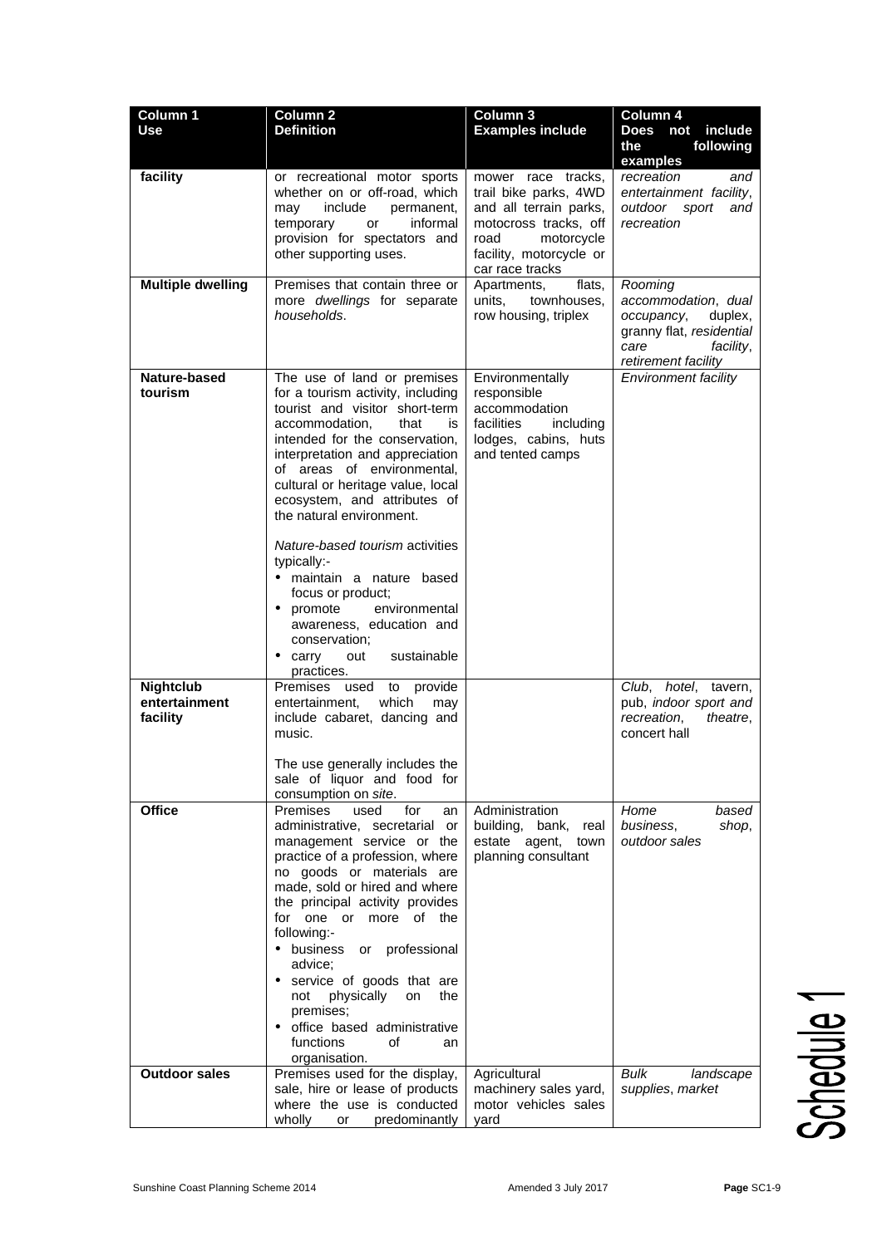| Column 1<br><b>Use</b>                        | <b>Column 2</b><br><b>Definition</b>                                                                                                                                                                                                                                                                                                                                                                                                                                                                                                                                        | Column 3<br><b>Examples include</b>                                                                                                                                | Column 4<br>Does<br>include<br>not                                                                                              |
|-----------------------------------------------|-----------------------------------------------------------------------------------------------------------------------------------------------------------------------------------------------------------------------------------------------------------------------------------------------------------------------------------------------------------------------------------------------------------------------------------------------------------------------------------------------------------------------------------------------------------------------------|--------------------------------------------------------------------------------------------------------------------------------------------------------------------|---------------------------------------------------------------------------------------------------------------------------------|
|                                               |                                                                                                                                                                                                                                                                                                                                                                                                                                                                                                                                                                             |                                                                                                                                                                    | following<br>the<br>examples                                                                                                    |
| facility                                      | or recreational motor sports<br>whether on or off-road, which<br>include<br>may<br>permanent,<br>informal<br>temporary<br>or<br>provision for spectators and<br>other supporting uses.                                                                                                                                                                                                                                                                                                                                                                                      | mower race tracks.<br>trail bike parks, 4WD<br>and all terrain parks,<br>motocross tracks, off<br>road<br>motorcycle<br>facility, motorcycle or<br>car race tracks | recreation<br>and<br>entertainment facility,<br>outdoor sport<br>and<br>recreation                                              |
| <b>Multiple dwelling</b>                      | Premises that contain three or<br>more dwellings for separate<br>households.                                                                                                                                                                                                                                                                                                                                                                                                                                                                                                | flats,<br>Apartments,<br>units.<br>townhouses.<br>row housing, triplex                                                                                             | Rooming<br>accommodation, dual<br>occupancy,<br>duplex,<br>granny flat, residential<br>care<br>facility,<br>retirement facility |
| Nature-based<br>tourism                       | The use of land or premises<br>for a tourism activity, including<br>tourist and visitor short-term<br>accommodation,<br>that<br>is<br>intended for the conservation.<br>interpretation and appreciation<br>of areas of environmental,<br>cultural or heritage value, local<br>ecosystem, and attributes of<br>the natural environment.<br>Nature-based tourism activities<br>typically:-<br>maintain a nature based<br>$\bullet$<br>focus or product;<br>promote<br>environmental<br>awareness, education and<br>conservation;<br>sustainable<br>carry<br>out<br>practices. | Environmentally<br>responsible<br>accommodation<br>facilities<br>including<br>lodges, cabins, huts<br>and tented camps                                             | <b>Environment facility</b>                                                                                                     |
| <b>Nightclub</b><br>entertainment<br>facility | Premises used to provide<br>which<br>entertainment.<br>may<br>include cabaret, dancing and<br>music.<br>The use generally includes the<br>sale of liquor and food for<br>consumption on site.                                                                                                                                                                                                                                                                                                                                                                               |                                                                                                                                                                    | Club, hotel, tavern,<br>pub, indoor sport and<br>recreation,<br>theatre,<br>concert hall                                        |
| <b>Office</b>                                 | for<br>Premises<br>used<br>an<br>administrative, secretarial or<br>management service or the<br>practice of a profession, where<br>no goods or materials are<br>made, sold or hired and where<br>the principal activity provides<br>for one or more of the<br>following:-<br>business or professional<br>advice;<br>• service of goods that are<br>physically<br>not<br>on<br>the<br>premises;<br>office based administrative<br>functions<br>οf<br>an<br>organisation.                                                                                                     | Administration<br>building, bank,<br>real<br>estate agent,<br>town<br>planning consultant                                                                          | Home<br>based<br>business,<br>shop,<br>outdoor sales                                                                            |
| <b>Outdoor sales</b>                          | Premises used for the display,<br>sale, hire or lease of products<br>where the use is conducted<br>wholly<br>predominantly<br>$\mathsf{or}$                                                                                                                                                                                                                                                                                                                                                                                                                                 | Agricultural<br>machinery sales yard,<br>motor vehicles sales<br>yard                                                                                              | Bulk<br>landscape<br>supplies, market                                                                                           |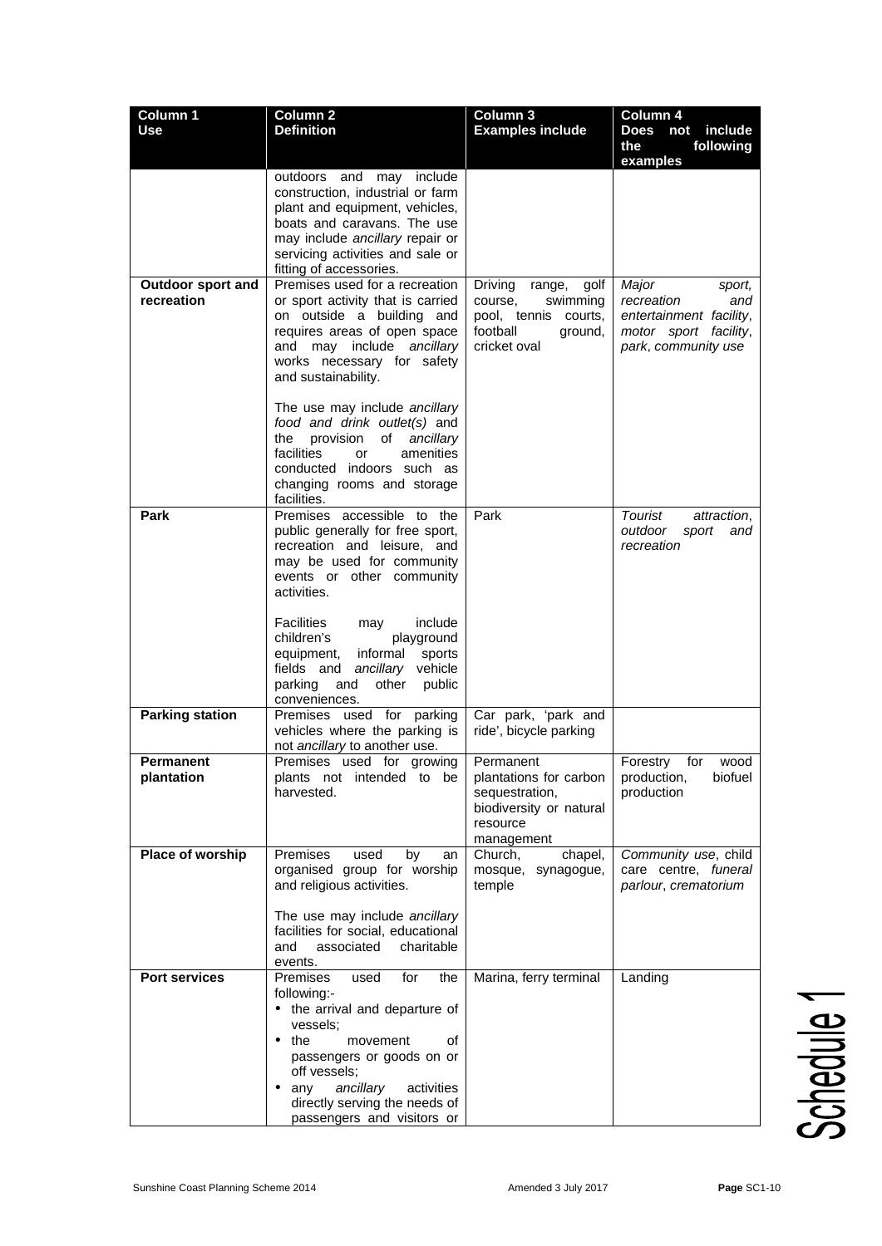| Column 1<br>Use                 | Column <sub>2</sub><br><b>Definition</b>                                                                                                                                                                                                                                                                             | Column 3<br><b>Examples include</b>                                                                             | Column 4<br>include<br><b>Does</b><br>not                                                                       |
|---------------------------------|----------------------------------------------------------------------------------------------------------------------------------------------------------------------------------------------------------------------------------------------------------------------------------------------------------------------|-----------------------------------------------------------------------------------------------------------------|-----------------------------------------------------------------------------------------------------------------|
|                                 |                                                                                                                                                                                                                                                                                                                      |                                                                                                                 | following<br>the<br>examples                                                                                    |
|                                 | outdoors and may include<br>construction, industrial or farm<br>plant and equipment, vehicles,<br>boats and caravans. The use<br>may include ancillary repair or<br>servicing activities and sale or<br>fitting of accessories.                                                                                      |                                                                                                                 |                                                                                                                 |
| Outdoor sport and<br>recreation | Premises used for a recreation<br>or sport activity that is carried<br>on outside a building and<br>requires areas of open space<br>and may include ancillary<br>works necessary for safety<br>and sustainability.<br>The use may include ancillary<br>food and drink outlet(s) and<br>provision of ancillary<br>the | Driving<br>golf<br>range,<br>course,<br>swimming<br>pool, tennis courts,<br>football<br>ground,<br>cricket oval | Major<br>sport,<br>recreation<br>and<br>entertainment facility,<br>motor sport facility,<br>park, community use |
|                                 | facilities<br>amenities<br>or<br>conducted indoors such as<br>changing rooms and storage<br>facilities.                                                                                                                                                                                                              |                                                                                                                 |                                                                                                                 |
| Park                            | Premises accessible to the<br>public generally for free sport,<br>recreation and leisure, and<br>may be used for community<br>events or other community<br>activities.                                                                                                                                               | Park                                                                                                            | Tourist<br>attraction,<br>outdoor<br>sport<br>and<br>recreation                                                 |
|                                 | Facilities<br>include<br>may<br>children's<br>playground<br>informal<br>equipment,<br>sports<br>fields and ancillary vehicle<br>parking and other<br>public<br>conveniences.                                                                                                                                         |                                                                                                                 |                                                                                                                 |
| <b>Parking station</b>          | Premises used for parking<br>vehicles where the parking is<br>not ancillary to another use.                                                                                                                                                                                                                          | Car park, 'park and<br>ride', bicycle parking                                                                   |                                                                                                                 |
| Permanent<br>plantation         | Premises used for growing<br>plants not intended to be<br>harvested.                                                                                                                                                                                                                                                 | Permanent<br>plantations for carbon<br>sequestration,<br>biodiversity or natural<br>resource<br>management      | Forestry<br>for<br>wood<br>production,<br>biofuel<br>production                                                 |
| Place of worship                | Premises<br>used<br>by<br>an<br>organised group for worship<br>and religious activities.<br>The use may include ancillary<br>facilities for social, educational<br>associated<br>charitable<br>and<br>events.                                                                                                        | chapel,<br>Church,<br>mosque, synagogue,<br>temple                                                              | Community use, child<br>care centre, funeral<br>parlour, crematorium                                            |
| <b>Port services</b>            | Premises<br>the<br>used<br>for<br>following:-<br>• the arrival and departure of<br>vessels;<br>the<br>$\bullet$<br>movement<br>οf<br>passengers or goods on or<br>off vessels;<br>ancillary<br>any<br>activities<br>directly serving the needs of<br>passengers and visitors or                                      | Marina, ferry terminal                                                                                          | Landing                                                                                                         |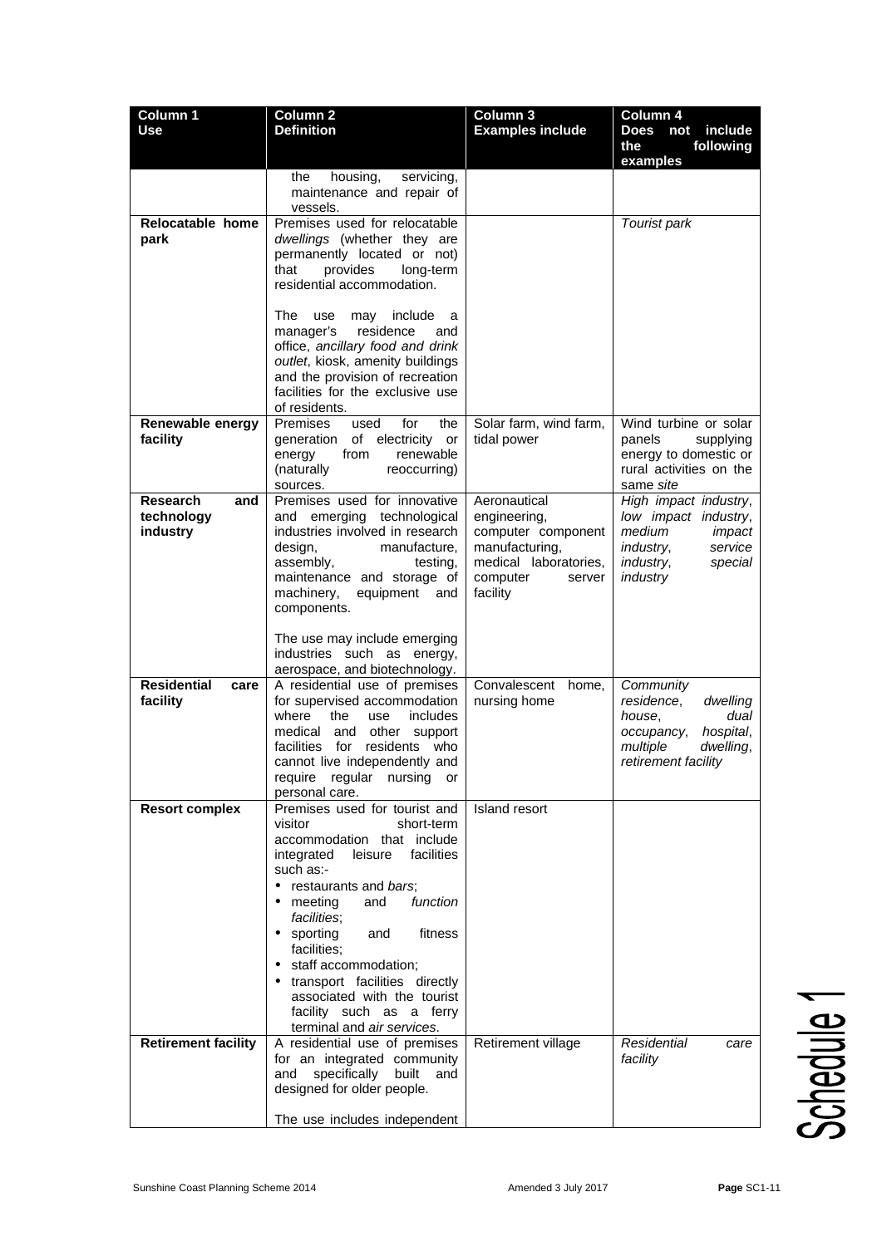| Column 1<br><b>Use</b>                           | Column <sub>2</sub><br><b>Definition</b>                                                                                                                                                                                                                                                                                                                                                                         | Column 3<br><b>Examples include</b>                                                                                             | Column 4<br>include<br><b>Does</b><br>not                                                                                        |  |
|--------------------------------------------------|------------------------------------------------------------------------------------------------------------------------------------------------------------------------------------------------------------------------------------------------------------------------------------------------------------------------------------------------------------------------------------------------------------------|---------------------------------------------------------------------------------------------------------------------------------|----------------------------------------------------------------------------------------------------------------------------------|--|
|                                                  |                                                                                                                                                                                                                                                                                                                                                                                                                  |                                                                                                                                 | following<br>the<br>examples                                                                                                     |  |
|                                                  | the<br>servicing,<br>housing,<br>maintenance and repair of<br>vessels.                                                                                                                                                                                                                                                                                                                                           |                                                                                                                                 |                                                                                                                                  |  |
| Relocatable home<br>park                         | Premises used for relocatable<br>dwellings (whether they are<br>permanently located or not)<br>that<br>provides<br>long-term<br>residential accommodation.<br>The<br>include<br>use<br>may<br>a<br>manager's<br>residence<br>and<br>office, ancillary food and drink<br>outlet, kiosk, amenity buildings<br>and the provision of recreation<br>facilities for the exclusive use<br>of residents.                 |                                                                                                                                 | Tourist park                                                                                                                     |  |
| Renewable energy<br>facility                     | Premises<br>used<br>for<br>the<br>generation of<br>electricity<br>or<br>from<br>renewable<br>energy<br>(naturally<br>reoccurring)<br>sources.                                                                                                                                                                                                                                                                    | Solar farm, wind farm,<br>tidal power                                                                                           | Wind turbine or solar<br>panels<br>supplying<br>energy to domestic or<br>rural activities on the<br>same site                    |  |
| <b>Research</b><br>and<br>technology<br>industry | Premises used for innovative<br>and emerging technological<br>industries involved in research<br>design,<br>manufacture,<br>assembly,<br>testing,<br>maintenance and storage of<br>machinery,<br>equipment<br>and<br>components.<br>The use may include emerging                                                                                                                                                 | Aeronautical<br>engineering,<br>computer component<br>manufacturing,<br>medical laboratories,<br>computer<br>server<br>facility | High impact industry,<br>low impact industry,<br>medium<br>impact<br>service<br>industry,<br>industry,<br>special<br>industry    |  |
|                                                  | industries such as energy,<br>aerospace, and biotechnology.                                                                                                                                                                                                                                                                                                                                                      |                                                                                                                                 |                                                                                                                                  |  |
| <b>Residential</b><br>care<br>facility           | A residential use of premises<br>for supervised accommodation<br>where<br>the<br>includes<br>use<br>medical<br>and other support<br>facilities for<br>residents who<br>cannot live independently and<br>require regular nursing<br>or<br>personal care.                                                                                                                                                          | Convalescent<br>home,<br>nursing home                                                                                           | Community<br>residence,<br>dwelling<br>dual<br>house,<br>hospital,<br>occupancy,<br>multiple<br>dwelling,<br>retirement facility |  |
| <b>Resort complex</b>                            | Premises used for tourist and<br>visitor<br>short-term<br>accommodation that include<br>integrated<br>leisure facilities<br>such as:-<br>restaurants and bars;<br>function<br>and<br>meeting<br>facilities;<br>• sporting<br>and<br>fitness<br>facilities;<br>• staff accommodation;<br>• transport facilities directly<br>associated with the tourist<br>facility such as a ferry<br>terminal and air services. | Island resort                                                                                                                   |                                                                                                                                  |  |
| <b>Retirement facility</b>                       | A residential use of premises<br>for an integrated community<br>specifically built<br>and<br>and<br>designed for older people.<br>The use includes independent                                                                                                                                                                                                                                                   | Retirement village                                                                                                              | Residential<br>care<br>facility                                                                                                  |  |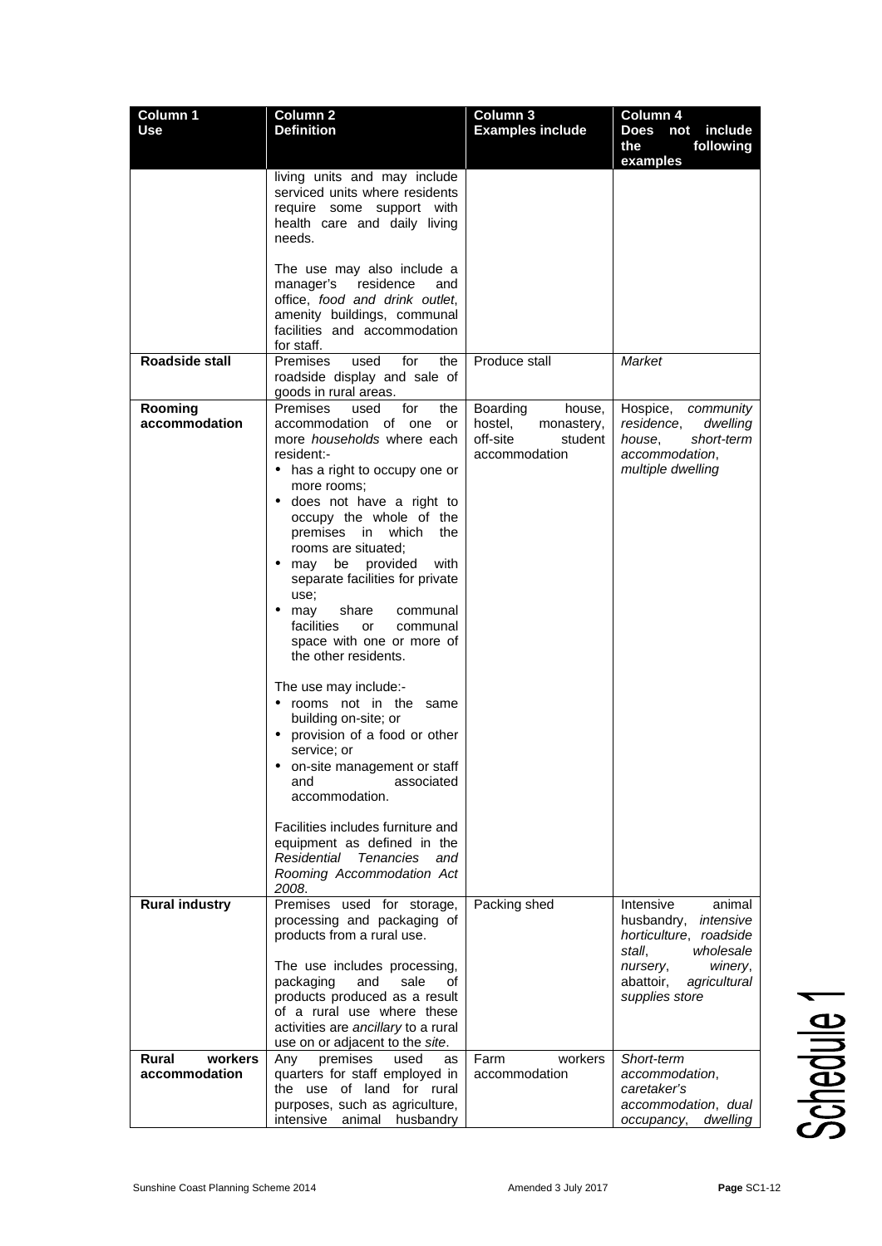| Column 1<br>Use       | Column 2<br><b>Definition</b>                                         | Column 3<br><b>Examples include</b>          | Column 4<br><b>Does</b><br>include<br>not      |  |
|-----------------------|-----------------------------------------------------------------------|----------------------------------------------|------------------------------------------------|--|
|                       |                                                                       |                                              | the<br>following<br>examples                   |  |
|                       | living units and may include                                          |                                              |                                                |  |
|                       | serviced units where residents<br>require some support with           |                                              |                                                |  |
|                       | health care and daily living                                          |                                              |                                                |  |
|                       | needs.                                                                |                                              |                                                |  |
|                       | The use may also include a                                            |                                              |                                                |  |
|                       | manager's residence<br>and<br>office, food and drink outlet,          |                                              |                                                |  |
|                       | amenity buildings, communal                                           |                                              |                                                |  |
|                       | facilities and accommodation<br>for staff.                            |                                              |                                                |  |
| <b>Roadside stall</b> | Premises<br>used<br>for<br>the                                        | Produce stall                                | Market                                         |  |
|                       | roadside display and sale of<br>goods in rural areas.                 |                                              |                                                |  |
| Rooming               | <b>Premises</b><br>for<br>used<br>the                                 | <b>Boarding</b><br>house,                    | Hospice,<br>community                          |  |
| accommodation         | accommodation of one<br>or<br>more <i>households</i> where each       | hostel,<br>monastery,<br>off-site<br>student | residence.<br>dwelling<br>house.<br>short-term |  |
|                       | resident:-                                                            | accommodation                                | accommodation,                                 |  |
|                       | • has a right to occupy one or<br>more rooms:                         |                                              | multiple dwelling                              |  |
|                       | does not have a right to<br>$\bullet$                                 |                                              |                                                |  |
|                       | occupy the whole of the<br>premises in which<br>the                   |                                              |                                                |  |
|                       | rooms are situated:                                                   |                                              |                                                |  |
|                       | • may be provided with<br>separate facilities for private             |                                              |                                                |  |
|                       | use:                                                                  |                                              |                                                |  |
|                       | may<br>share<br>communal<br>facilities<br>communal<br>or              |                                              |                                                |  |
|                       | space with one or more of                                             |                                              |                                                |  |
|                       | the other residents.                                                  |                                              |                                                |  |
|                       | The use may include:-                                                 |                                              |                                                |  |
|                       | rooms not in the same<br>building on-site; or                         |                                              |                                                |  |
|                       | provision of a food or other                                          |                                              |                                                |  |
|                       | service; or                                                           |                                              |                                                |  |
|                       | on-site management or staff<br>associated<br>and                      |                                              |                                                |  |
|                       | accommodation.                                                        |                                              |                                                |  |
|                       | Facilities includes furniture and                                     |                                              |                                                |  |
|                       | equipment as defined in the<br>Residential<br><b>Tenancies</b><br>and |                                              |                                                |  |
|                       | Rooming Accommodation Act                                             |                                              |                                                |  |
|                       | 2008.                                                                 |                                              |                                                |  |
| <b>Rural industry</b> | Premises used for storage,<br>processing and packaging of             | Packing shed                                 | Intensive<br>animal<br>husbandry,<br>intensive |  |
|                       | products from a rural use.                                            |                                              | horticulture, roadside                         |  |
|                       | The use includes processing,                                          |                                              | stall,<br>wholesale<br>nursery,<br>winery,     |  |
|                       | packaging<br>and<br>sale<br>οf<br>products produced as a result       |                                              | abattoir,<br>agricultural                      |  |
|                       | of a rural use where these                                            |                                              | supplies store                                 |  |
|                       | activities are ancillary to a rural                                   |                                              |                                                |  |
| workers<br>Rural      | use on or adjacent to the site.<br>Any<br>premises<br>used<br>as      | Farm<br>workers                              | Short-term                                     |  |
| accommodation         | quarters for staff employed in                                        | accommodation                                | accommodation,                                 |  |
|                       | the use of land for rural<br>purposes, such as agriculture,           |                                              | caretaker's<br>accommodation, dual             |  |
|                       | intensive animal husbandry                                            |                                              | occupancy, dwelling                            |  |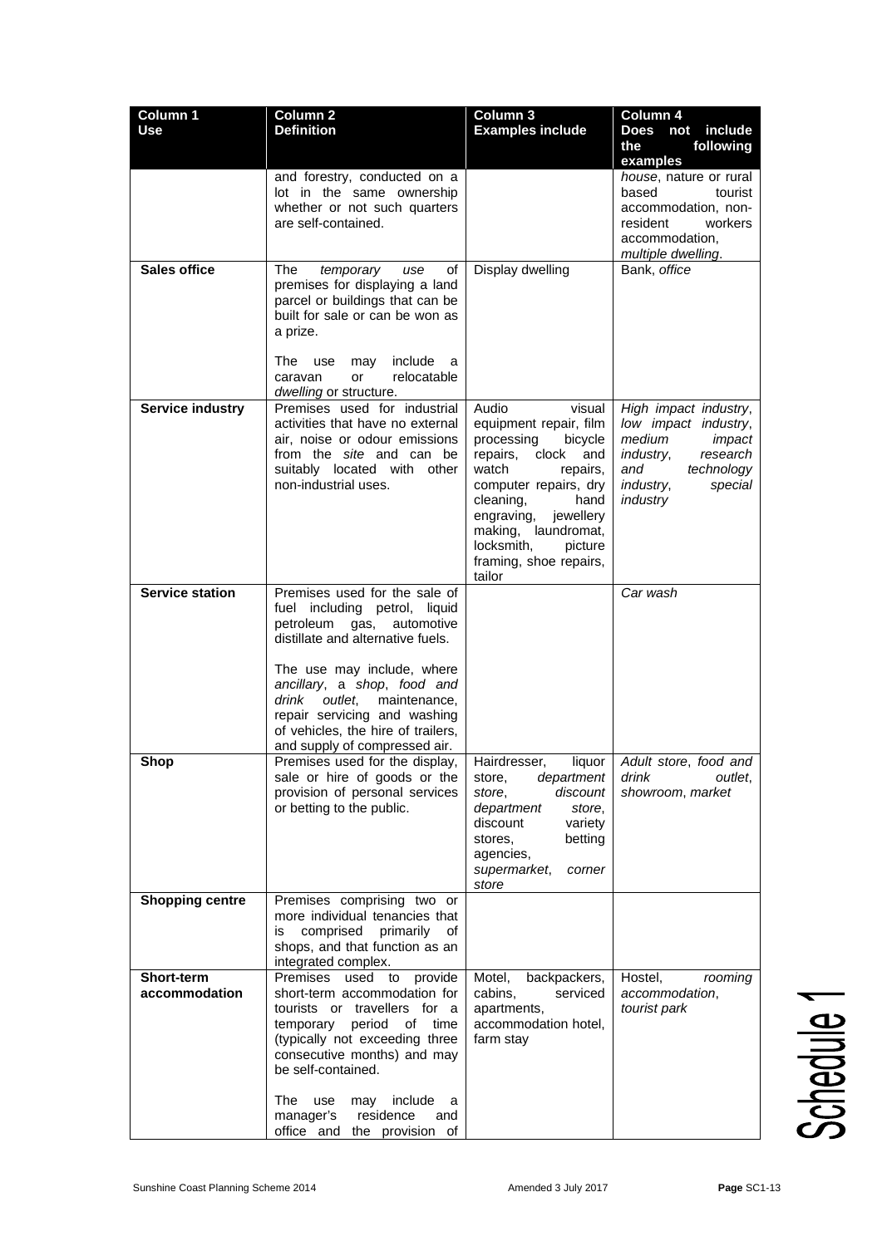| Column 1<br><b>Use</b>             | Column 2<br><b>Definition</b>                                                                                                                                                                                                                                                                                                            | Column 3<br><b>Examples include</b>                                                                                                                                                                                                                                              | Column 4<br><b>Does</b><br>include<br>not                                                                                                           |  |
|------------------------------------|------------------------------------------------------------------------------------------------------------------------------------------------------------------------------------------------------------------------------------------------------------------------------------------------------------------------------------------|----------------------------------------------------------------------------------------------------------------------------------------------------------------------------------------------------------------------------------------------------------------------------------|-----------------------------------------------------------------------------------------------------------------------------------------------------|--|
|                                    |                                                                                                                                                                                                                                                                                                                                          |                                                                                                                                                                                                                                                                                  | the<br>following                                                                                                                                    |  |
|                                    | and forestry, conducted on a<br>lot in the same ownership<br>whether or not such quarters<br>are self-contained.                                                                                                                                                                                                                         |                                                                                                                                                                                                                                                                                  | examples<br>house, nature or rural<br>based<br>tourist<br>accommodation, non-<br>resident<br>workers<br>accommodation,<br>multiple dwelling.        |  |
| <b>Sales office</b>                | The<br>temporary<br>of<br>use<br>premises for displaying a land<br>parcel or buildings that can be<br>built for sale or can be won as<br>a prize.<br>The<br>include<br>use<br>may<br>a<br>relocatable<br>caravan<br>or<br>dwelling or structure.                                                                                         | Display dwelling                                                                                                                                                                                                                                                                 | Bank, office                                                                                                                                        |  |
| <b>Service industry</b>            | Premises used for industrial<br>activities that have no external<br>air, noise or odour emissions<br>from the site and can be<br>suitably located with other<br>non-industrial uses.                                                                                                                                                     | Audio<br>visual<br>equipment repair, film<br>processing<br>bicycle<br>repairs, clock<br>and<br>watch<br>repairs,<br>computer repairs, dry<br>cleaning,<br>hand<br>engraving,<br>jewellery<br>making,<br>laundromat,<br>locksmith,<br>picture<br>framing, shoe repairs,<br>tailor | High impact industry,<br>low impact industry,<br>medium<br>impact<br>industry,<br>research<br>technology<br>and<br>industry,<br>special<br>industry |  |
| <b>Service station</b>             | Premises used for the sale of<br>fuel including petrol, liquid<br>petroleum gas, automotive<br>distillate and alternative fuels.<br>The use may include, where<br>ancillary, a shop, food and<br>drink<br>outlet,<br>maintenance.<br>repair servicing and washing<br>of vehicles, the hire of trailers,<br>and supply of compressed air. |                                                                                                                                                                                                                                                                                  | Car wash                                                                                                                                            |  |
| <b>Shop</b>                        | Premises used for the display,<br>sale or hire of goods or the<br>provision of personal services<br>or betting to the public.                                                                                                                                                                                                            | Hairdresser,<br>department<br>store,<br>discount<br>store.<br>department<br>store,<br>discount<br>variety<br>stores,<br>betting<br>agencies,<br>supermarket,<br>corner<br>store                                                                                                  | liquor   Adult store, food and<br>drink<br>outlet,<br>showroom, market                                                                              |  |
| <b>Shopping centre</b>             | Premises comprising two or<br>more individual tenancies that<br>comprised<br>primarily<br>is<br>οf<br>shops, and that function as an<br>integrated complex.                                                                                                                                                                              |                                                                                                                                                                                                                                                                                  |                                                                                                                                                     |  |
| <b>Short-term</b><br>accommodation | Premises<br>provide<br>used<br>to<br>short-term accommodation for<br>tourists or travellers for a<br>temporary period of<br>time<br>(typically not exceeding three<br>consecutive months) and may<br>be self-contained.<br>The<br>may include<br>use<br>a<br>manager's<br>residence<br>and<br>office and<br>the provision of             | Motel,<br>backpackers,<br>cabins,<br>serviced<br>apartments,<br>accommodation hotel,<br>farm stay                                                                                                                                                                                | Hostel,<br>rooming<br>accommodation,<br>tourist park                                                                                                |  |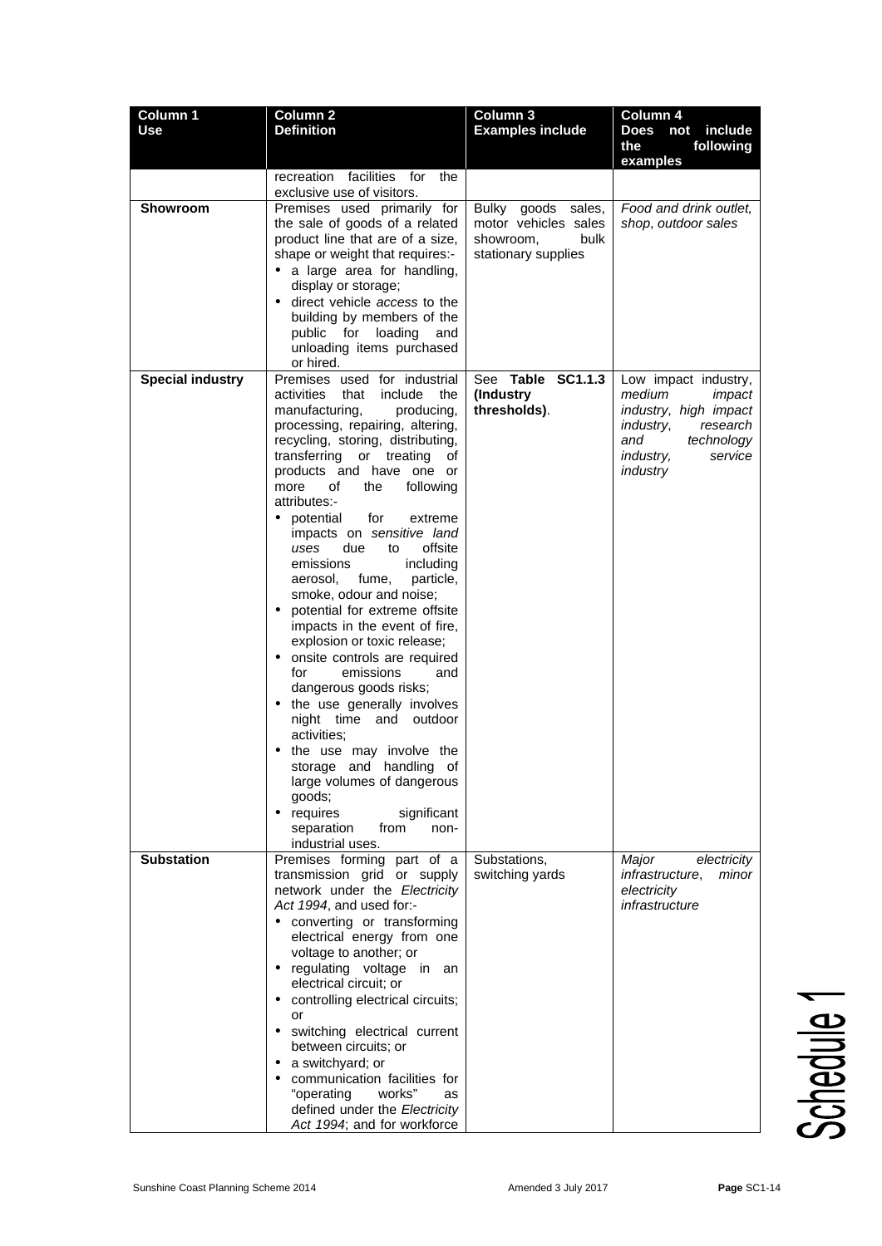| Column 1<br><b>Use</b>  | Column 2<br><b>Definition</b>                                                                                                                                                                                                                                                                                                                                                                                                                                                                                                                                                                                                                                                                                                                                                                                                                                                                     | Column 3<br><b>Examples include</b>                                                    | Column 4<br><b>Does</b>                                                                                                                                           |
|-------------------------|---------------------------------------------------------------------------------------------------------------------------------------------------------------------------------------------------------------------------------------------------------------------------------------------------------------------------------------------------------------------------------------------------------------------------------------------------------------------------------------------------------------------------------------------------------------------------------------------------------------------------------------------------------------------------------------------------------------------------------------------------------------------------------------------------------------------------------------------------------------------------------------------------|----------------------------------------------------------------------------------------|-------------------------------------------------------------------------------------------------------------------------------------------------------------------|
|                         |                                                                                                                                                                                                                                                                                                                                                                                                                                                                                                                                                                                                                                                                                                                                                                                                                                                                                                   |                                                                                        | include<br>not<br>following<br>the                                                                                                                                |
|                         | recreation facilities<br>for<br>the                                                                                                                                                                                                                                                                                                                                                                                                                                                                                                                                                                                                                                                                                                                                                                                                                                                               |                                                                                        | examples                                                                                                                                                          |
|                         | exclusive use of visitors.                                                                                                                                                                                                                                                                                                                                                                                                                                                                                                                                                                                                                                                                                                                                                                                                                                                                        |                                                                                        |                                                                                                                                                                   |
| <b>Showroom</b>         | Premises used primarily for<br>the sale of goods of a related<br>product line that are of a size,<br>shape or weight that requires:-<br>• a large area for handling,<br>display or storage;                                                                                                                                                                                                                                                                                                                                                                                                                                                                                                                                                                                                                                                                                                       | Bulky goods sales,<br>motor vehicles sales<br>showroom,<br>bulk<br>stationary supplies | Food and drink outlet,<br>shop, outdoor sales                                                                                                                     |
|                         | · direct vehicle access to the<br>building by members of the<br>public for loading<br>and<br>unloading items purchased<br>or hired.                                                                                                                                                                                                                                                                                                                                                                                                                                                                                                                                                                                                                                                                                                                                                               |                                                                                        |                                                                                                                                                                   |
| <b>Special industry</b> | Premises used for industrial<br>activities<br>that<br>include<br>the<br>manufacturing,<br>producing,<br>processing, repairing, altering,<br>recycling, storing, distributing,<br>transferring or treating<br>οf<br>products and have one or<br>more<br>οf<br>the<br>following<br>attributes:-<br>potential<br>for<br>$\bullet$<br>extreme<br>impacts on sensitive land<br>offsite<br>uses<br>due<br>to<br>including<br>emissions<br>particle,<br>aerosol, fume,<br>smoke, odour and noise;<br>potential for extreme offsite<br>impacts in the event of fire,<br>explosion or toxic release;<br>• onsite controls are required<br>for<br>emissions<br>and<br>dangerous goods risks;<br>• the use generally involves<br>night time and outdoor<br>activities:<br>the use may involve the<br>storage and handling of<br>large volumes of dangerous<br>goods;<br>requires<br>significant<br>$\bullet$ | See Table SC1.1.3<br>(Industry<br>thresholds).                                         | Low impact industry,<br>medium<br>impact<br>industry, high impact<br><i>industry,</i><br>research<br>technology<br>and<br><i>industry,</i><br>service<br>industry |
| <b>Substation</b>       | separation<br>from<br>non-<br>industrial uses.<br>Premises forming part of a                                                                                                                                                                                                                                                                                                                                                                                                                                                                                                                                                                                                                                                                                                                                                                                                                      | Substations,                                                                           | Major<br>electricity                                                                                                                                              |
|                         | transmission grid or supply<br>network under the Electricity<br>Act 1994, and used for:-<br>• converting or transforming<br>electrical energy from one<br>voltage to another; or<br>• regulating voltage in an<br>electrical circuit; or<br>controlling electrical circuits;<br>or<br>switching electrical current<br>$\bullet$<br>between circuits; or<br>a switchyard; or<br>communication facilities for<br>works"<br>"operating<br>as<br>defined under the Electricity<br>Act 1994; and for workforce                                                                                                                                                                                                                                                                                                                                                                                         | switching yards                                                                        | infrastructure,<br>minor<br>electricity<br>infrastructure                                                                                                         |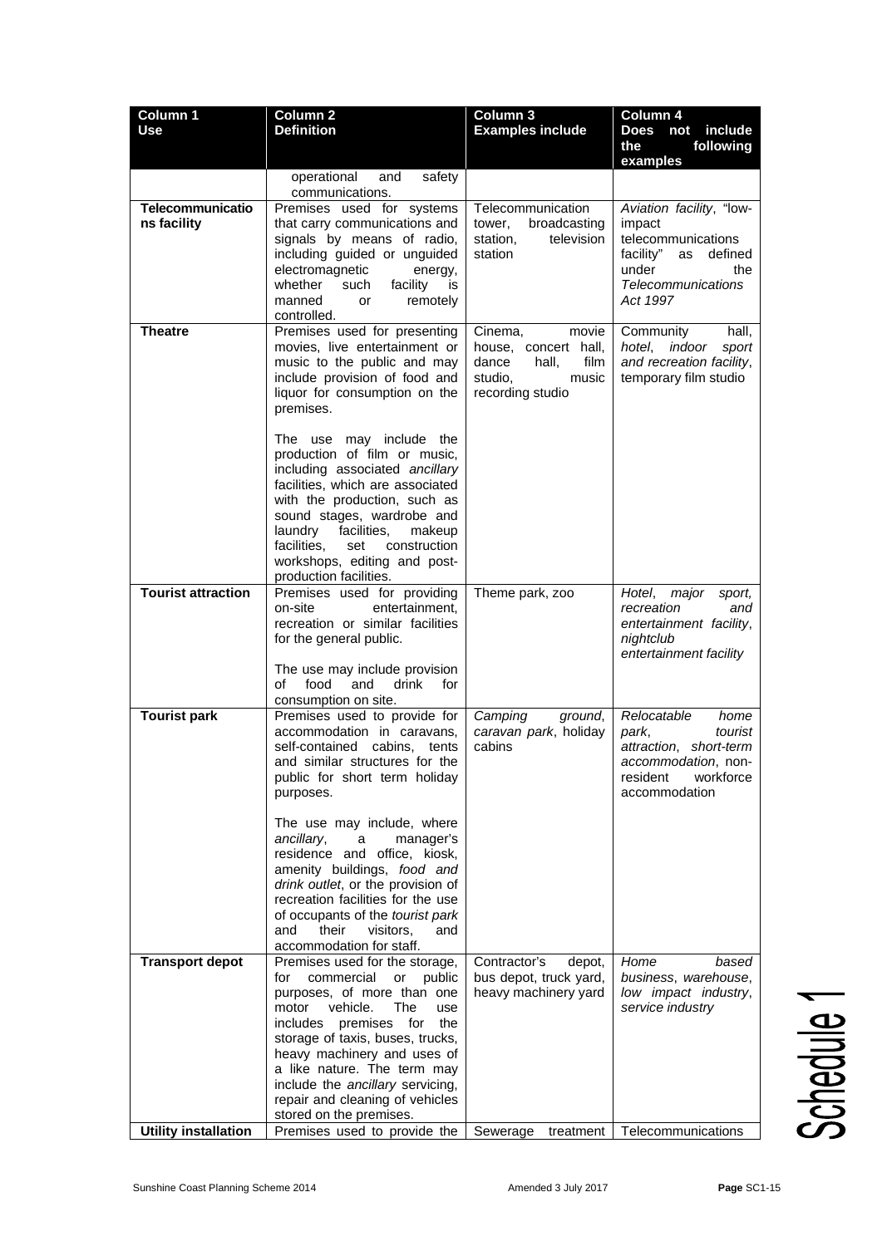| Column 1<br><b>Use</b>                 | <b>Column 2</b><br><b>Definition</b>                                                                                                                                                                                                                                                                                                                                                                                                                                                                           | Column 3<br><b>Examples include</b>                                                                        | Column 4<br><b>Does</b><br>include<br>not<br>following<br>the                                                                                   |  |
|----------------------------------------|----------------------------------------------------------------------------------------------------------------------------------------------------------------------------------------------------------------------------------------------------------------------------------------------------------------------------------------------------------------------------------------------------------------------------------------------------------------------------------------------------------------|------------------------------------------------------------------------------------------------------------|-------------------------------------------------------------------------------------------------------------------------------------------------|--|
|                                        |                                                                                                                                                                                                                                                                                                                                                                                                                                                                                                                |                                                                                                            | examples                                                                                                                                        |  |
|                                        | operational<br>and<br>safety<br>communications.                                                                                                                                                                                                                                                                                                                                                                                                                                                                |                                                                                                            |                                                                                                                                                 |  |
| <b>Telecommunicatio</b><br>ns facility | Premises used for systems<br>that carry communications and<br>signals by means of radio,<br>including guided or unguided<br>electromagnetic<br>energy,<br>whether<br>such<br>facility<br>is<br>manned<br>remotely<br>or<br>controlled.                                                                                                                                                                                                                                                                         | Telecommunication<br>broadcasting<br>tower,<br>station,<br>television<br>station                           | Aviation facility, "low-<br>impact<br>telecommunications<br>facility"<br>defined<br>as<br>under<br>the<br><b>Telecommunications</b><br>Act 1997 |  |
| <b>Theatre</b>                         | Premises used for presenting<br>movies, live entertainment or<br>music to the public and may<br>include provision of food and<br>liquor for consumption on the<br>premises.<br>The use may include the<br>production of film or music,<br>including associated ancillary<br>facilities, which are associated<br>with the production, such as<br>sound stages, wardrobe and<br>laundry<br>facilities,<br>makeup<br>construction<br>facilities.<br>set<br>workshops, editing and post-<br>production facilities. | Cinema,<br>movie<br>house, concert hall,<br>dance<br>hall,<br>film<br>studio,<br>music<br>recording studio | Community<br>hall,<br>hotel, indoor<br>sport<br>and recreation facility,<br>temporary film studio                                               |  |
| <b>Tourist attraction</b>              | Premises used for providing<br>on-site<br>entertainment.<br>recreation or similar facilities<br>for the general public.<br>The use may include provision<br>of<br>food<br>and<br>drink<br>for<br>consumption on site.                                                                                                                                                                                                                                                                                          | Theme park, zoo                                                                                            | Hotel, major<br>sport,<br>recreation<br>and<br>entertainment facility,<br>nightclub<br>entertainment facility                                   |  |
| <b>Tourist park</b>                    | Premises used to provide for<br>accommodation in caravans,<br>self-contained cabins, tents<br>and similar structures for the<br>public for short term holiday<br>purposes.<br>The use may include, where<br>ancillary,<br>manager's<br>a<br>residence and office, kiosk,<br>amenity buildings, food and<br>drink outlet, or the provision of<br>recreation facilities for the use<br>of occupants of the tourist park<br>their<br>visitors.<br>and<br>and<br>accommodation for staff.                          | Camping<br>ground,<br>caravan park, holiday<br>cabins                                                      | Relocatable<br>home<br>park,<br>tourist<br>attraction, short-term<br>accommodation, non-<br>resident<br>workforce<br>accommodation              |  |
| <b>Transport depot</b>                 | Premises used for the storage,<br>commercial or<br>public<br>for<br>purposes, of more than one<br>vehicle.<br>The<br>motor<br>use<br>for<br><i>includes</i><br>premises<br>the<br>storage of taxis, buses, trucks,<br>heavy machinery and uses of<br>a like nature. The term may<br>include the ancillary servicing,<br>repair and cleaning of vehicles<br>stored on the premises.                                                                                                                             | Contractor's<br>depot,<br>bus depot, truck yard,<br>heavy machinery yard                                   | Home<br>based<br>business, warehouse,<br>low impact industry,<br>service industry                                                               |  |
| <b>Utility installation</b>            | Premises used to provide the                                                                                                                                                                                                                                                                                                                                                                                                                                                                                   | Sewerage<br>treatment                                                                                      | Telecommunications                                                                                                                              |  |

Schedule 1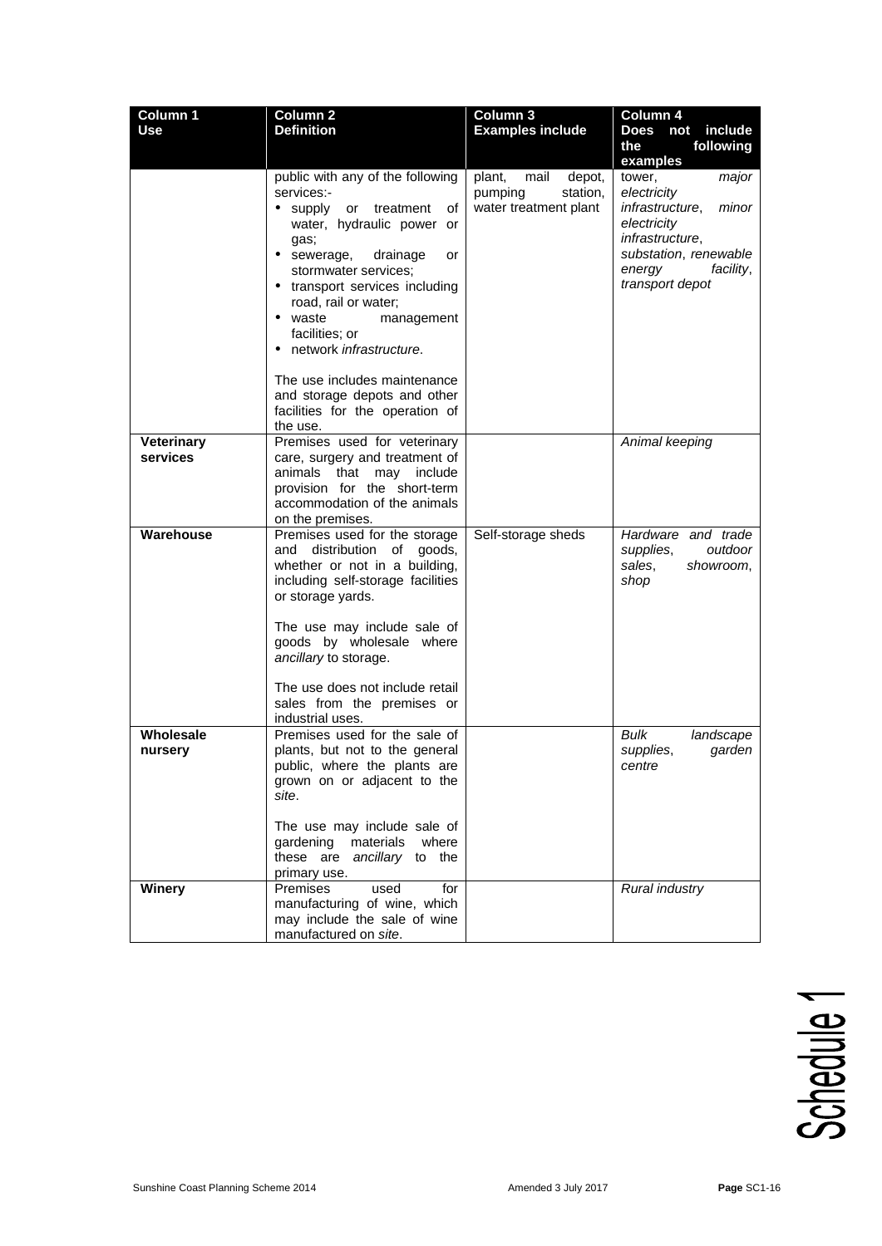| Column <sub>1</sub><br>Use    | Column <sub>2</sub><br><b>Definition</b>                                                                                                                                                                                                                                                                                                                                                     | Column 3<br><b>Examples include</b>                                      | Column 4<br><b>Does</b><br>include<br>not<br>the<br>following                                                                                                          |
|-------------------------------|----------------------------------------------------------------------------------------------------------------------------------------------------------------------------------------------------------------------------------------------------------------------------------------------------------------------------------------------------------------------------------------------|--------------------------------------------------------------------------|------------------------------------------------------------------------------------------------------------------------------------------------------------------------|
|                               |                                                                                                                                                                                                                                                                                                                                                                                              |                                                                          | examples                                                                                                                                                               |
|                               | public with any of the following<br>services:-<br>supply or treatment<br>οf<br>water, hydraulic power or<br>gas;<br>sewerage,<br>$\bullet$<br>drainage<br>or<br>stormwater services;<br>• transport services including<br>road, rail or water;<br>• waste<br>management<br>facilities; or<br>network <i>infrastructure</i> .<br>The use includes maintenance<br>and storage depots and other | plant,<br>mail<br>depot,<br>pumping<br>station.<br>water treatment plant | major<br>tower,<br>electricity<br><i>infrastructure.</i><br>minor<br>electricity<br>infrastructure,<br>substation, renewable<br>energy<br>facility,<br>transport depot |
|                               | facilities for the operation of<br>the use.                                                                                                                                                                                                                                                                                                                                                  |                                                                          |                                                                                                                                                                        |
| <b>Veterinary</b><br>services | Premises used for veterinary<br>care, surgery and treatment of<br>animals that may include<br>provision for the short-term<br>accommodation of the animals<br>on the premises.                                                                                                                                                                                                               |                                                                          | Animal keeping                                                                                                                                                         |
| Warehouse                     | Premises used for the storage<br>and distribution of goods,<br>whether or not in a building,<br>including self-storage facilities<br>or storage yards.<br>The use may include sale of<br>goods by wholesale where<br>ancillary to storage.<br>The use does not include retail<br>sales from the premises or<br>industrial uses.                                                              | Self-storage sheds                                                       | Hardware and trade<br>outdoor<br>supplies,<br>sales,<br>showroom.<br>shop                                                                                              |
| Wholesale<br>nursery          | Premises used for the sale of<br>plants, but not to the general<br>public, where the plants are<br>grown on or adjacent to the<br>site.<br>The use may include sale of<br>gardening<br>materials<br>where<br>these are<br>ancillary<br>to the<br>primary use.                                                                                                                                |                                                                          | Bulk<br>landscape<br>supplies,<br>garden<br>centre                                                                                                                     |
| <b>Winery</b>                 | Premises<br>for<br>used<br>manufacturing of wine, which<br>may include the sale of wine<br>manufactured on site.                                                                                                                                                                                                                                                                             |                                                                          | <b>Rural industry</b>                                                                                                                                                  |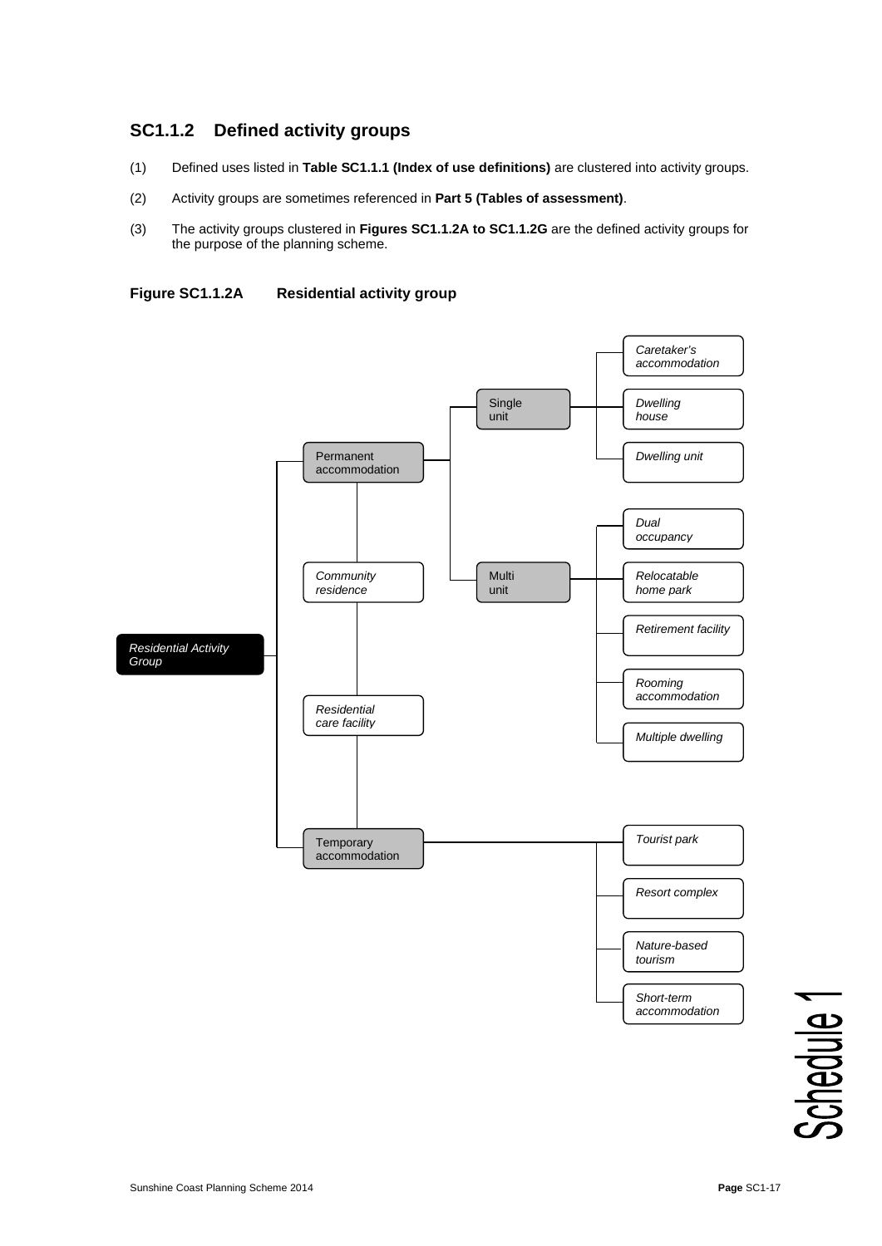#### <span id="page-17-0"></span>**SC1.1.2 Defined activity groups**

- (1) Defined uses listed in **Table SC1.1.1 (Index of use definitions)** are clustered into activity groups.
- (2) Activity groups are sometimes referenced in **Part 5 (Tables of assessment)**.
- (3) The activity groups clustered in **Figures SC1.1.2A to SC1.1.2G** are the defined activity groups for the purpose of the planning scheme.

<span id="page-17-1"></span>**Figure SC1.1.2A Residential activity group**

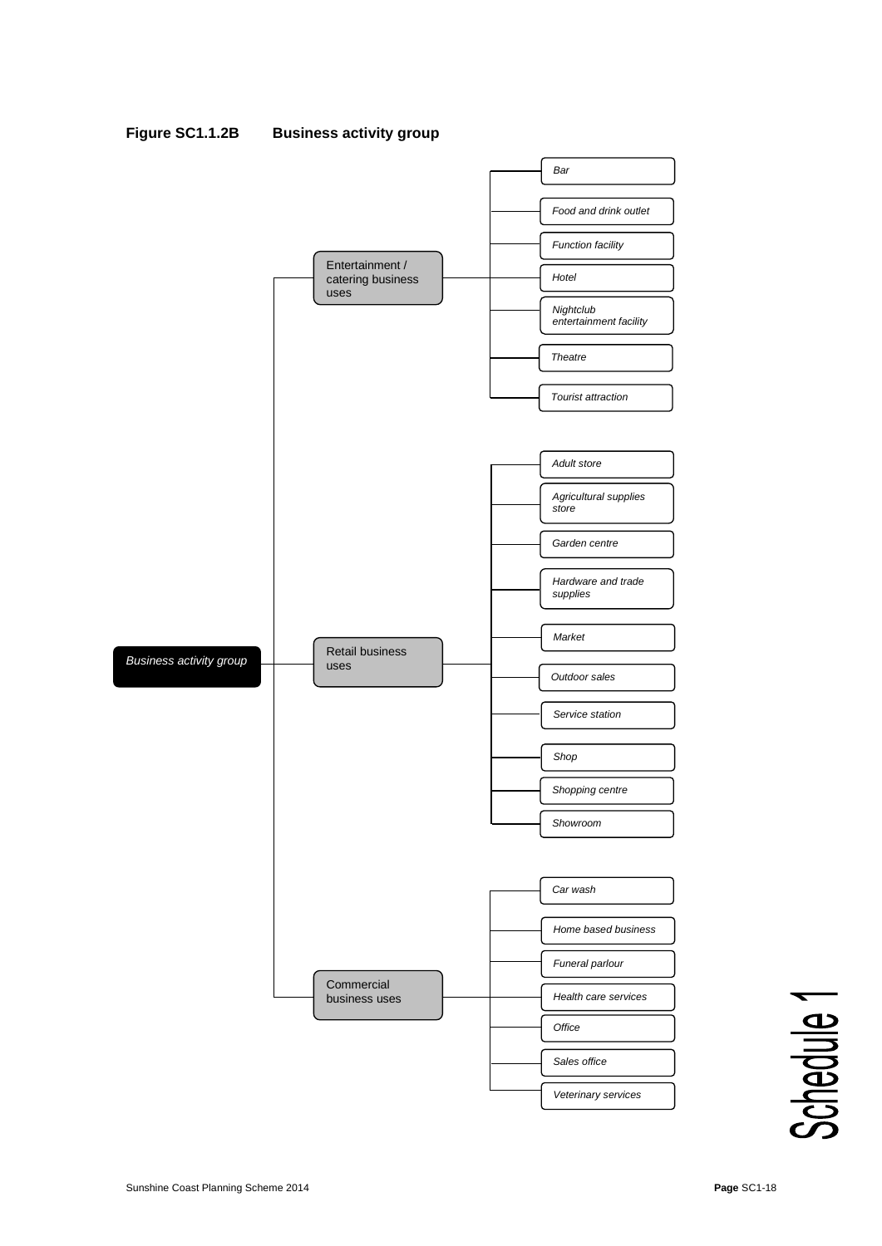<span id="page-18-0"></span>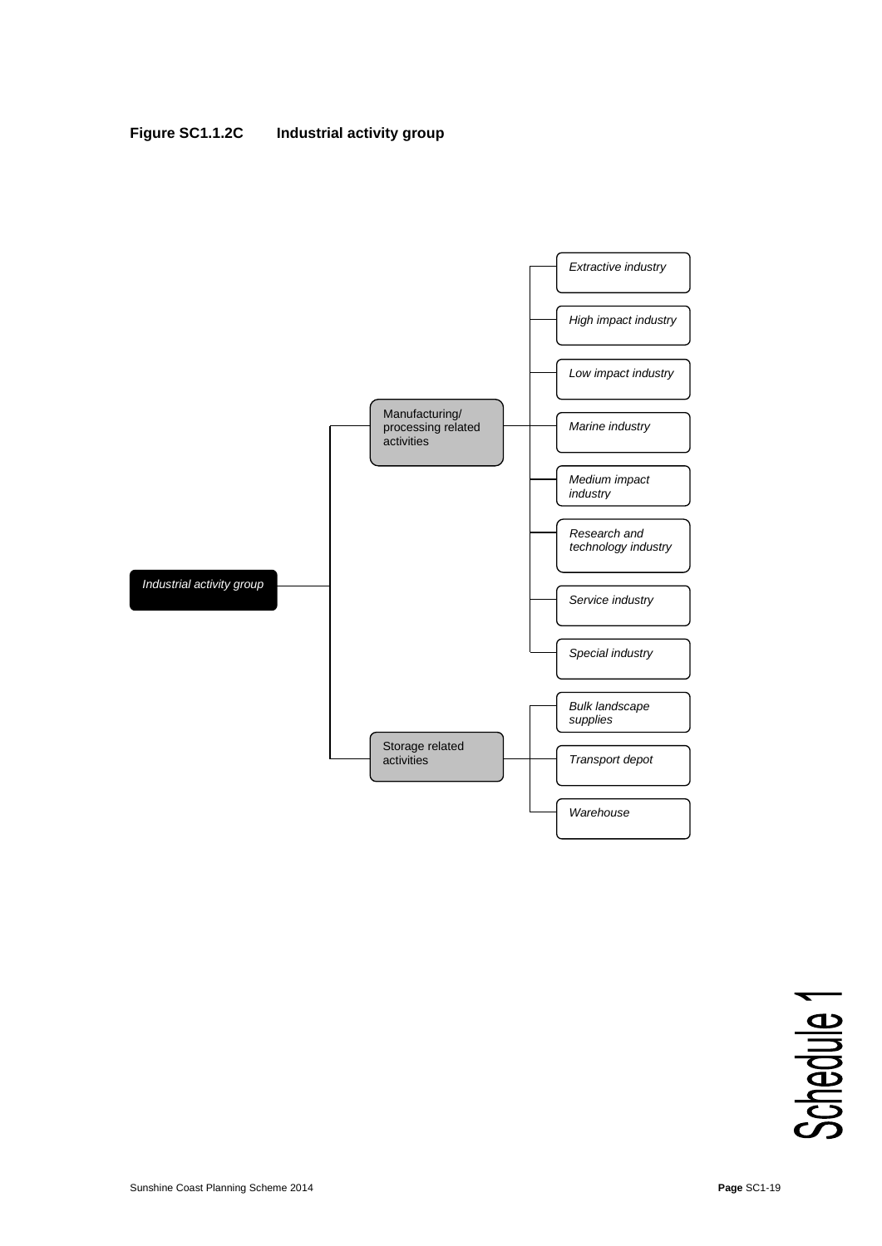#### <span id="page-19-0"></span>**Figure SC1.1.2C Industrial activity group**

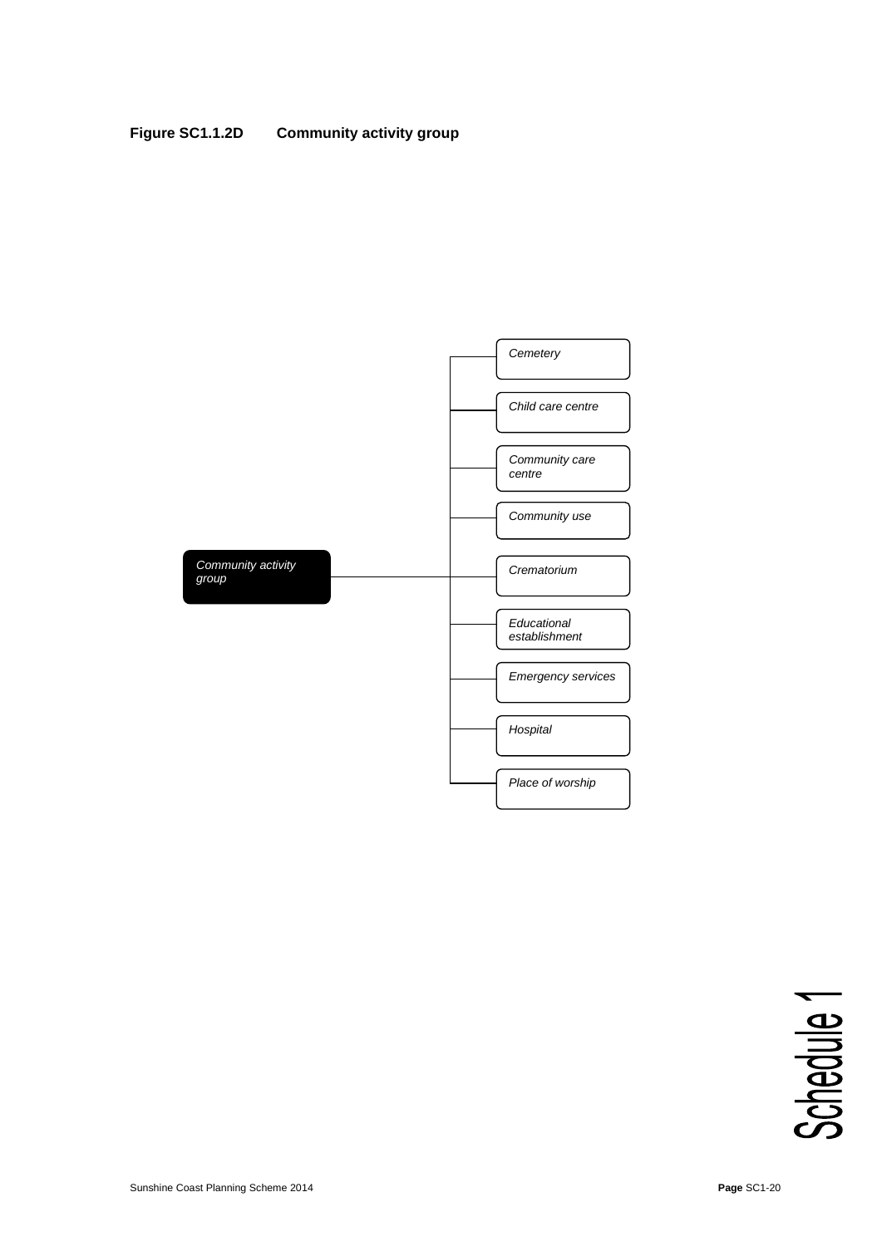#### <span id="page-20-0"></span>**Figure SC1.1.2D Community activity group**



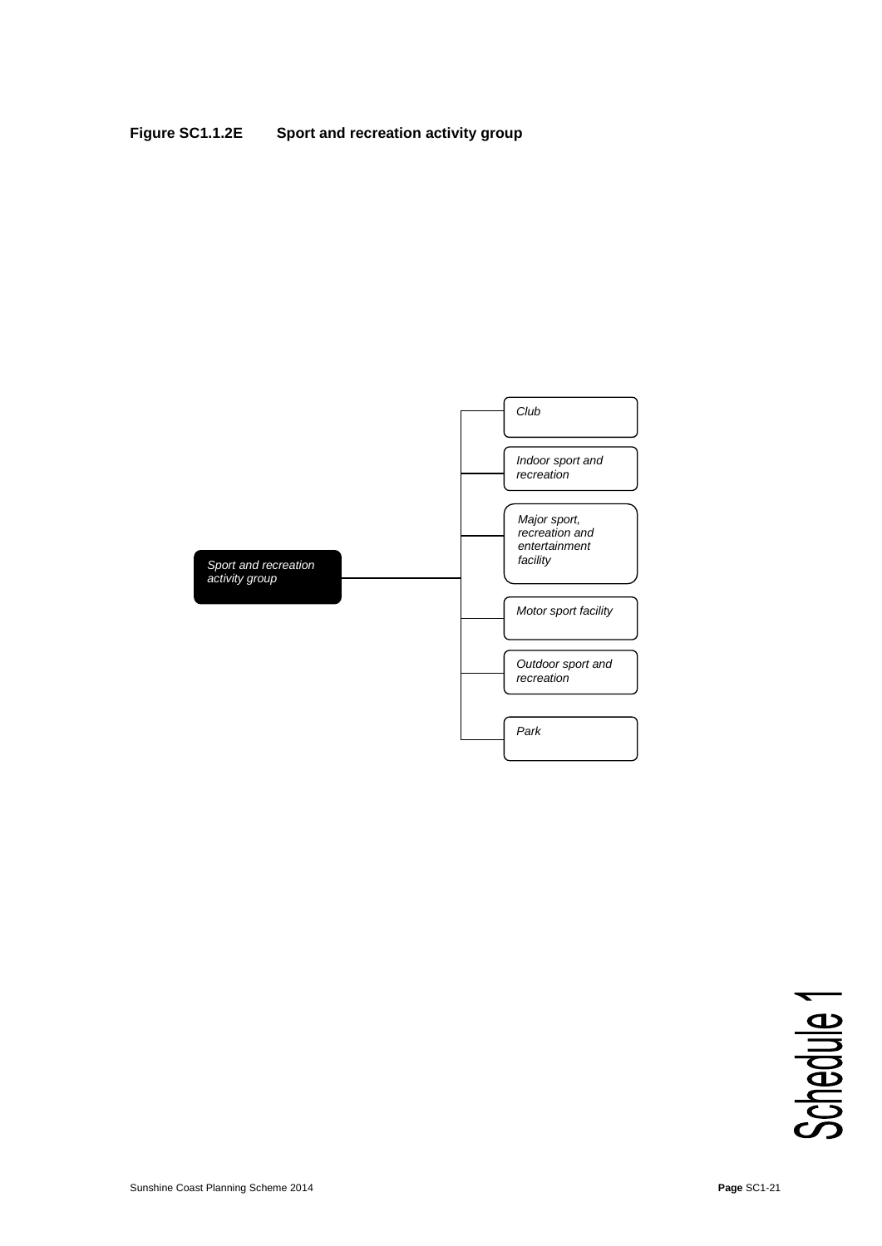#### <span id="page-21-0"></span>**Figure SC1.1.2E Sport and recreation activity group**

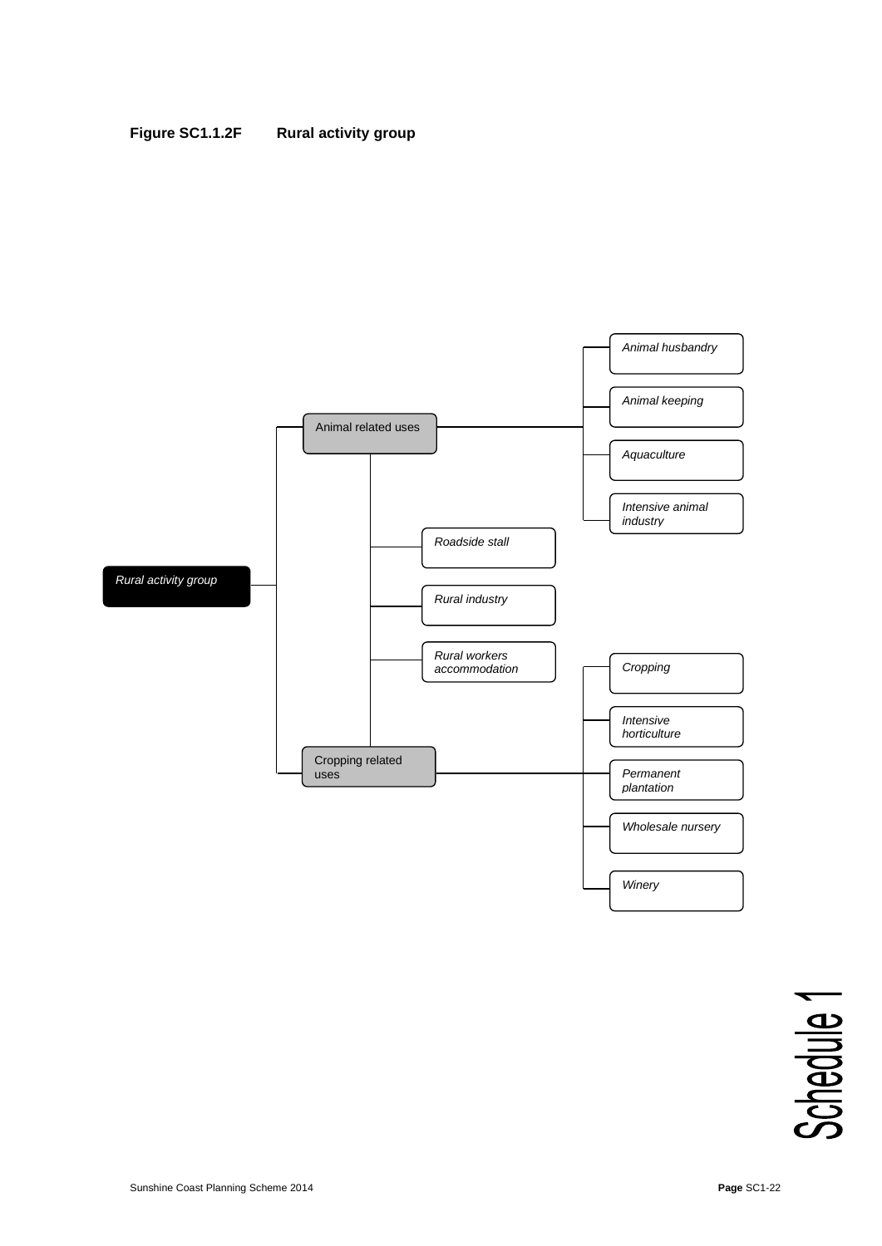#### <span id="page-22-0"></span>**Figure SC1.1.2F Rural activity group**



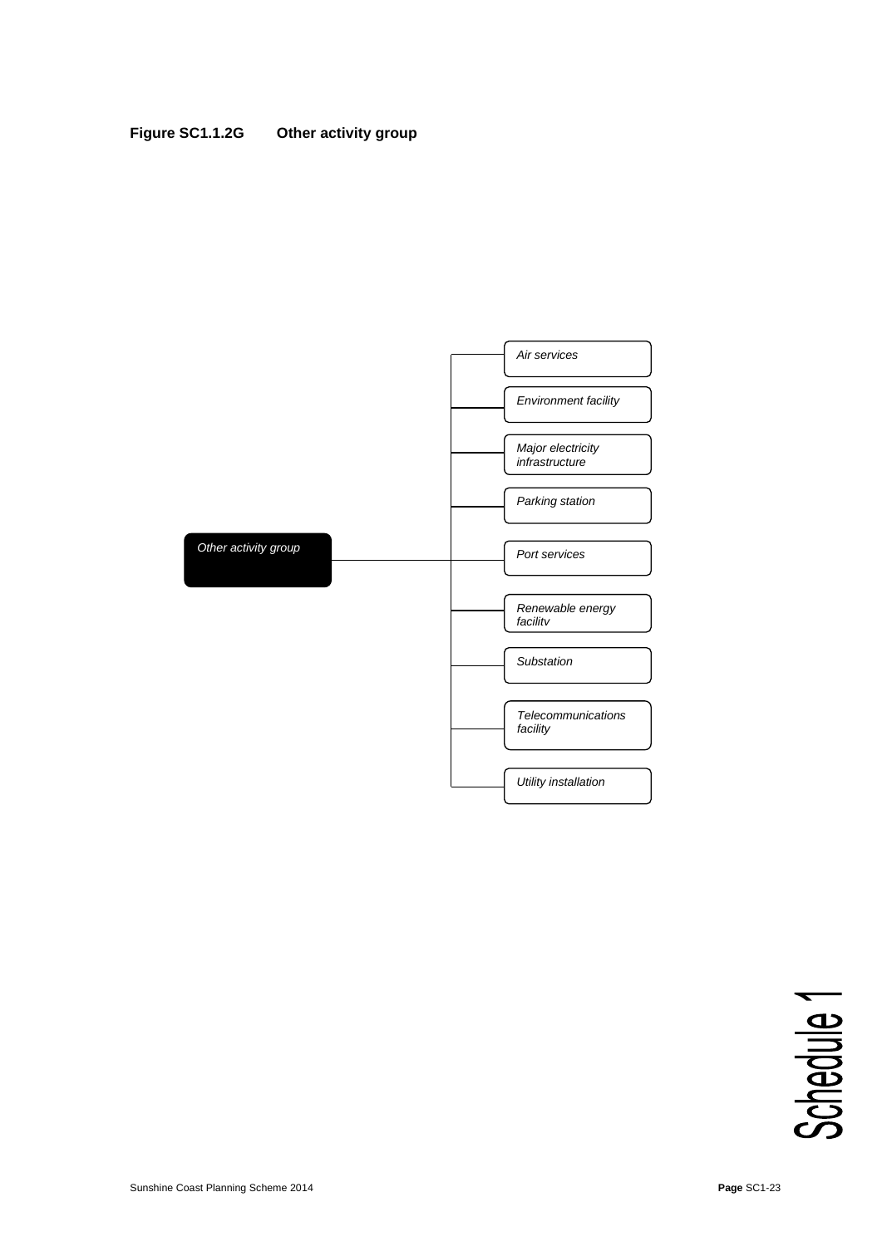#### <span id="page-23-0"></span>**Figure SC1.1.2G Other activity group**



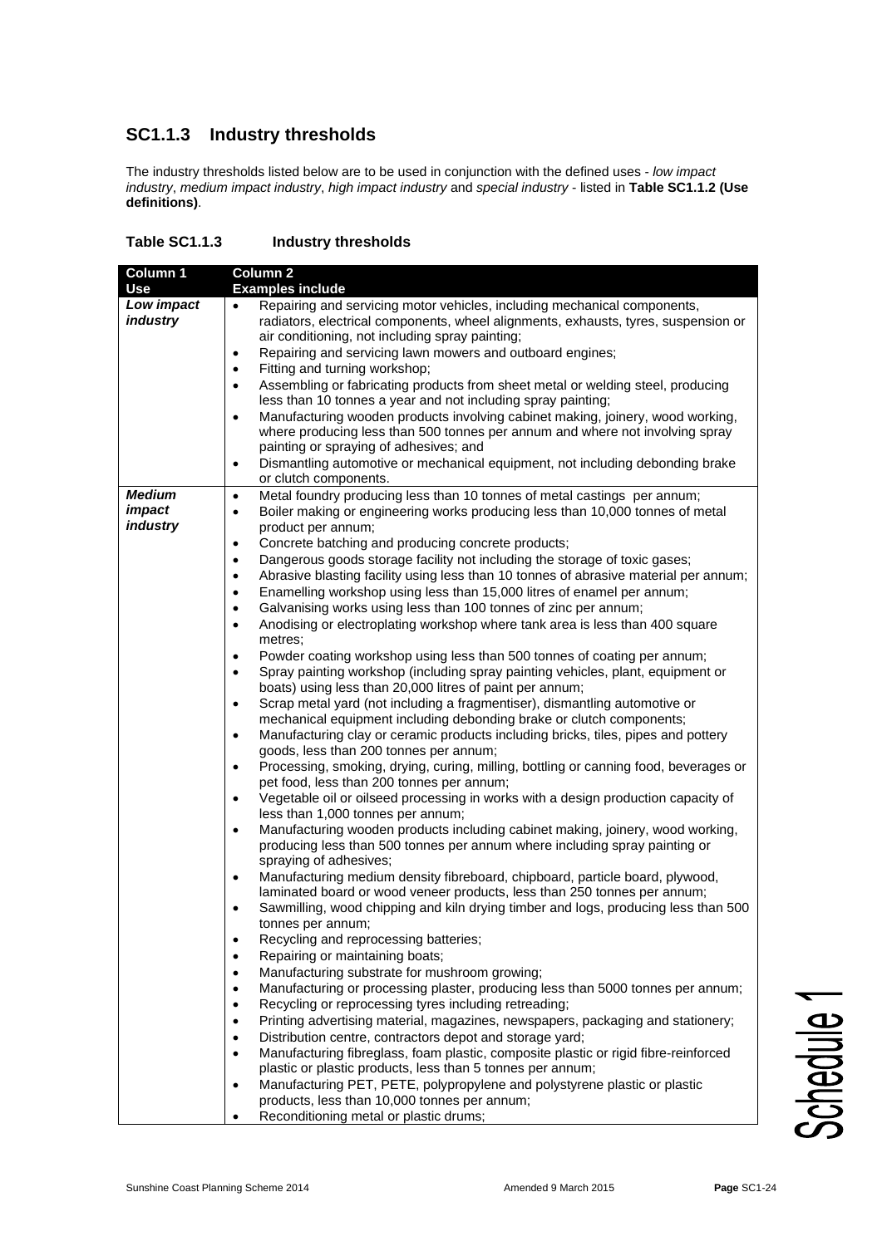### <span id="page-24-0"></span>**SC1.1.3 Industry thresholds**

The industry thresholds listed below are to be used in conjunction with the defined uses - *low impact industry*, *medium impact industry*, *high impact industry* and *special industry* - listed in **Table SC1.1.2 (Use definitions)**.

<span id="page-24-1"></span>

| Table SC1.1.3 | <b>Industry thresholds</b> |
|---------------|----------------------------|
|---------------|----------------------------|

| Column 1        | Column 2                                                                                                                                                                  |
|-----------------|---------------------------------------------------------------------------------------------------------------------------------------------------------------------------|
| <b>Use</b>      | <b>Examples include</b>                                                                                                                                                   |
| Low impact      | Repairing and servicing motor vehicles, including mechanical components,<br>$\bullet$                                                                                     |
| <i>industry</i> | radiators, electrical components, wheel alignments, exhausts, tyres, suspension or                                                                                        |
|                 | air conditioning, not including spray painting;                                                                                                                           |
|                 | Repairing and servicing lawn mowers and outboard engines;<br>$\bullet$                                                                                                    |
|                 | Fitting and turning workshop;<br>$\bullet$                                                                                                                                |
|                 | Assembling or fabricating products from sheet metal or welding steel, producing<br>٠                                                                                      |
|                 | less than 10 tonnes a year and not including spray painting;                                                                                                              |
|                 | Manufacturing wooden products involving cabinet making, joinery, wood working,<br>$\bullet$                                                                               |
|                 | where producing less than 500 tonnes per annum and where not involving spray                                                                                              |
|                 | painting or spraying of adhesives; and                                                                                                                                    |
|                 | Dismantling automotive or mechanical equipment, not including debonding brake<br>$\bullet$                                                                                |
|                 | or clutch components.                                                                                                                                                     |
| <b>Medium</b>   | Metal foundry producing less than 10 tonnes of metal castings per annum;<br>$\bullet$                                                                                     |
| impact          | Boiler making or engineering works producing less than 10,000 tonnes of metal<br>$\bullet$                                                                                |
| <i>industry</i> | product per annum;                                                                                                                                                        |
|                 | Concrete batching and producing concrete products;<br>$\bullet$                                                                                                           |
|                 | Dangerous goods storage facility not including the storage of toxic gases;<br>$\bullet$                                                                                   |
|                 | Abrasive blasting facility using less than 10 tonnes of abrasive material per annum;<br>٠                                                                                 |
|                 | Enamelling workshop using less than 15,000 litres of enamel per annum;<br>$\bullet$                                                                                       |
|                 | Galvanising works using less than 100 tonnes of zinc per annum;<br>$\bullet$                                                                                              |
|                 | Anodising or electroplating workshop where tank area is less than 400 square<br>$\bullet$                                                                                 |
|                 | metres;                                                                                                                                                                   |
|                 | Powder coating workshop using less than 500 tonnes of coating per annum;<br>$\bullet$                                                                                     |
|                 | Spray painting workshop (including spray painting vehicles, plant, equipment or<br>$\bullet$                                                                              |
|                 | boats) using less than 20,000 litres of paint per annum;                                                                                                                  |
|                 | Scrap metal yard (not including a fragmentiser), dismantling automotive or<br>$\bullet$                                                                                   |
|                 | mechanical equipment including debonding brake or clutch components;                                                                                                      |
|                 | Manufacturing clay or ceramic products including bricks, tiles, pipes and pottery<br>$\bullet$                                                                            |
|                 | goods, less than 200 tonnes per annum;                                                                                                                                    |
|                 | Processing, smoking, drying, curing, milling, bottling or canning food, beverages or<br>$\bullet$                                                                         |
|                 | pet food, less than 200 tonnes per annum;                                                                                                                                 |
|                 | Vegetable oil or oilseed processing in works with a design production capacity of<br>$\bullet$                                                                            |
|                 | less than 1,000 tonnes per annum;                                                                                                                                         |
|                 | Manufacturing wooden products including cabinet making, joinery, wood working,<br>$\bullet$<br>producing less than 500 tonnes per annum where including spray painting or |
|                 | spraying of adhesives;                                                                                                                                                    |
|                 | Manufacturing medium density fibreboard, chipboard, particle board, plywood,<br>$\bullet$                                                                                 |
|                 | laminated board or wood veneer products, less than 250 tonnes per annum;                                                                                                  |
|                 | Sawmilling, wood chipping and kiln drying timber and logs, producing less than 500<br>٠                                                                                   |
|                 | tonnes per annum;                                                                                                                                                         |
|                 | Recycling and reprocessing batteries;<br>٠                                                                                                                                |
|                 | Repairing or maintaining boats;                                                                                                                                           |
|                 | Manufacturing substrate for mushroom growing;                                                                                                                             |
|                 | Manufacturing or processing plaster, producing less than 5000 tonnes per annum;<br>٠                                                                                      |
|                 | Recycling or reprocessing tyres including retreading;<br>٠                                                                                                                |
|                 | Printing advertising material, magazines, newspapers, packaging and stationery;<br>$\bullet$                                                                              |
|                 | Distribution centre, contractors depot and storage yard;                                                                                                                  |
|                 | Manufacturing fibreglass, foam plastic, composite plastic or rigid fibre-reinforced                                                                                       |
|                 | plastic or plastic products, less than 5 tonnes per annum;                                                                                                                |
|                 | Manufacturing PET, PETE, polypropylene and polystyrene plastic or plastic<br>$\bullet$                                                                                    |
|                 | products, less than 10,000 tonnes per annum;                                                                                                                              |
|                 | Reconditioning metal or plastic drums;                                                                                                                                    |
|                 |                                                                                                                                                                           |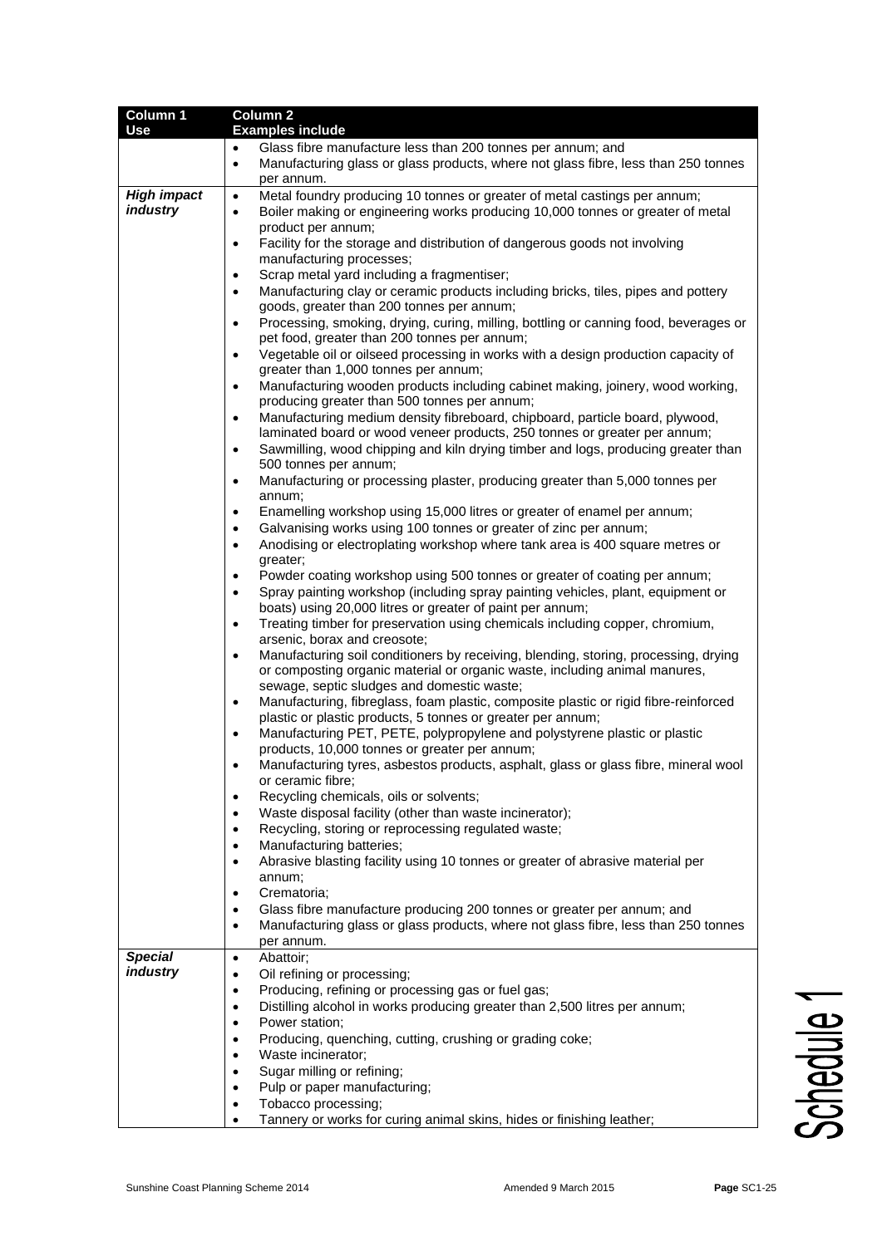| Column 1           | Column <sub>2</sub>                                                                                                                                                         |
|--------------------|-----------------------------------------------------------------------------------------------------------------------------------------------------------------------------|
| <b>Use</b>         | <b>Examples include</b><br>Glass fibre manufacture less than 200 tonnes per annum; and<br>$\bullet$                                                                         |
|                    | Manufacturing glass or glass products, where not glass fibre, less than 250 tonnes<br>$\bullet$                                                                             |
|                    | per annum.                                                                                                                                                                  |
| <b>High impact</b> | Metal foundry producing 10 tonnes or greater of metal castings per annum;<br>$\bullet$                                                                                      |
| <i>industry</i>    | Boiler making or engineering works producing 10,000 tonnes or greater of metal<br>$\bullet$                                                                                 |
|                    | product per annum;<br>Facility for the storage and distribution of dangerous goods not involving                                                                            |
|                    | $\bullet$<br>manufacturing processes;                                                                                                                                       |
|                    | Scrap metal yard including a fragmentiser;<br>$\bullet$                                                                                                                     |
|                    | Manufacturing clay or ceramic products including bricks, tiles, pipes and pottery<br>$\bullet$                                                                              |
|                    | goods, greater than 200 tonnes per annum;                                                                                                                                   |
|                    | Processing, smoking, drying, curing, milling, bottling or canning food, beverages or<br>$\bullet$<br>pet food, greater than 200 tonnes per annum;                           |
|                    | Vegetable oil or oilseed processing in works with a design production capacity of<br>$\bullet$                                                                              |
|                    | greater than 1,000 tonnes per annum;                                                                                                                                        |
|                    | Manufacturing wooden products including cabinet making, joinery, wood working,<br>$\bullet$                                                                                 |
|                    | producing greater than 500 tonnes per annum;                                                                                                                                |
|                    | Manufacturing medium density fibreboard, chipboard, particle board, plywood,<br>$\bullet$                                                                                   |
|                    | laminated board or wood veneer products, 250 tonnes or greater per annum;<br>Sawmilling, wood chipping and kiln drying timber and logs, producing greater than<br>$\bullet$ |
|                    | 500 tonnes per annum;                                                                                                                                                       |
|                    | Manufacturing or processing plaster, producing greater than 5,000 tonnes per<br>$\bullet$                                                                                   |
|                    | annum;                                                                                                                                                                      |
|                    | Enamelling workshop using 15,000 litres or greater of enamel per annum;<br>$\bullet$                                                                                        |
|                    | Galvanising works using 100 tonnes or greater of zinc per annum;<br>$\bullet$                                                                                               |
|                    | Anodising or electroplating workshop where tank area is 400 square metres or<br>٠<br>greater;                                                                               |
|                    | Powder coating workshop using 500 tonnes or greater of coating per annum;<br>$\bullet$                                                                                      |
|                    | Spray painting workshop (including spray painting vehicles, plant, equipment or<br>$\bullet$                                                                                |
|                    | boats) using 20,000 litres or greater of paint per annum;                                                                                                                   |
|                    | Treating timber for preservation using chemicals including copper, chromium,<br>$\bullet$                                                                                   |
|                    | arsenic, borax and creosote;<br>Manufacturing soil conditioners by receiving, blending, storing, processing, drying<br>$\bullet$                                            |
|                    | or composting organic material or organic waste, including animal manures,                                                                                                  |
|                    | sewage, septic sludges and domestic waste;                                                                                                                                  |
|                    | Manufacturing, fibreglass, foam plastic, composite plastic or rigid fibre-reinforced<br>$\bullet$                                                                           |
|                    | plastic or plastic products, 5 tonnes or greater per annum;                                                                                                                 |
|                    | Manufacturing PET, PETE, polypropylene and polystyrene plastic or plastic<br>$\bullet$<br>products, 10,000 tonnes or greater per annum;                                     |
|                    | Manufacturing tyres, asbestos products, asphalt, glass or glass fibre, mineral wool<br>٠                                                                                    |
|                    | or ceramic fibre;                                                                                                                                                           |
|                    | Recycling chemicals, oils or solvents;<br>$\bullet$                                                                                                                         |
|                    | Waste disposal facility (other than waste incinerator);<br>٠                                                                                                                |
|                    | Recycling, storing or reprocessing regulated waste;                                                                                                                         |
|                    | Manufacturing batteries;<br>٠                                                                                                                                               |
|                    | Abrasive blasting facility using 10 tonnes or greater of abrasive material per<br>$\bullet$<br>annum;                                                                       |
|                    | Crematoria;<br>$\bullet$                                                                                                                                                    |
|                    | Glass fibre manufacture producing 200 tonnes or greater per annum; and<br>٠                                                                                                 |
|                    | Manufacturing glass or glass products, where not glass fibre, less than 250 tonnes<br>$\bullet$                                                                             |
|                    | per annum.                                                                                                                                                                  |
| <b>Special</b>     | Abattoir;<br>$\bullet$                                                                                                                                                      |
| <i>industry</i>    | Oil refining or processing;<br>$\bullet$                                                                                                                                    |
|                    | Producing, refining or processing gas or fuel gas;<br>$\bullet$<br>Distilling alcohol in works producing greater than 2,500 litres per annum;<br>٠                          |
|                    | Power station;<br>٠                                                                                                                                                         |
|                    | Producing, quenching, cutting, crushing or grading coke;<br>$\bullet$                                                                                                       |
|                    | Waste incinerator;<br>$\bullet$                                                                                                                                             |
|                    | Sugar milling or refining;<br>$\bullet$                                                                                                                                     |
|                    | Pulp or paper manufacturing;<br>٠                                                                                                                                           |
|                    | Tobacco processing;                                                                                                                                                         |
|                    | Tannery or works for curing animal skins, hides or finishing leather;                                                                                                       |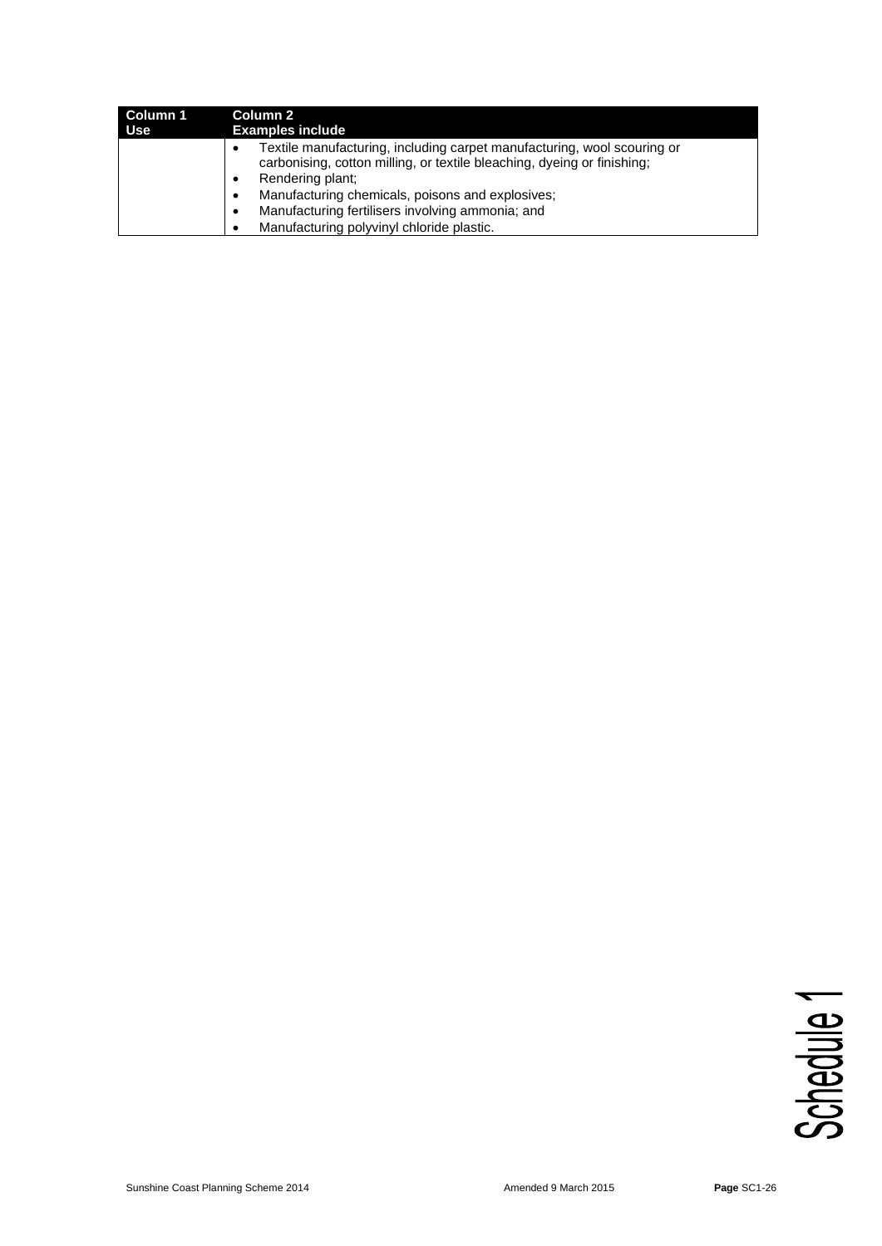| Column 1 | Column 2                                                                                                                                                                                                                                                                                                                    |
|----------|-----------------------------------------------------------------------------------------------------------------------------------------------------------------------------------------------------------------------------------------------------------------------------------------------------------------------------|
| Use      | <b>Examples include</b>                                                                                                                                                                                                                                                                                                     |
|          | Textile manufacturing, including carpet manufacturing, wool scouring or<br>carbonising, cotton milling, or textile bleaching, dyeing or finishing;<br>Rendering plant;<br>Manufacturing chemicals, poisons and explosives;<br>Manufacturing fertilisers involving ammonia; and<br>Manufacturing polyvinyl chloride plastic. |

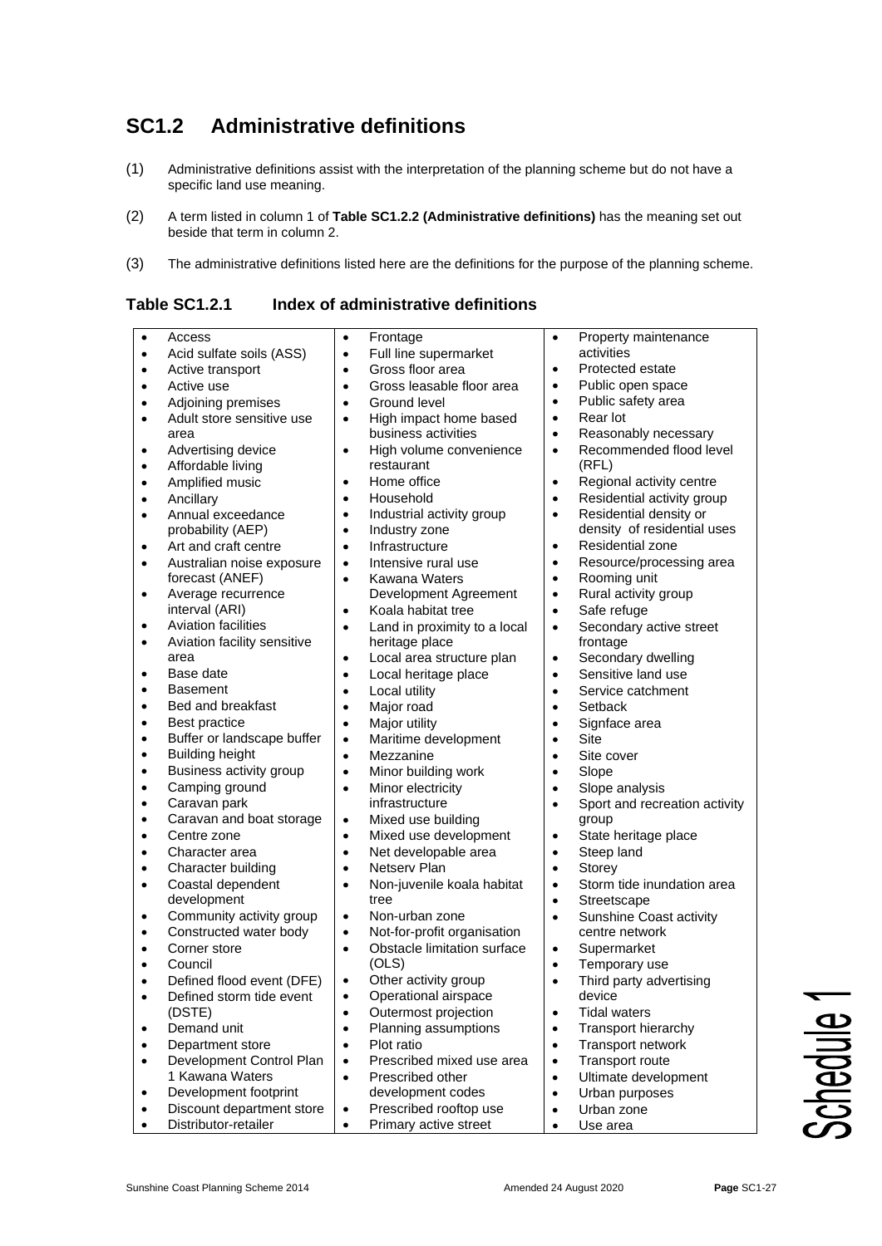## <span id="page-27-0"></span>**SC1.2 Administrative definitions**

- (1) Administrative definitions assist with the interpretation of the planning scheme but do not have a specific land use meaning.
- (2) A term listed in column 1 of **Table SC1.2.2 (Administrative definitions)** has the meaning set out beside that term in column 2.
- (3) The administrative definitions listed here are the definitions for the purpose of the planning scheme.

<span id="page-27-1"></span>**Table SC1.2.1 Index of administrative definitions**

| $\bullet$ | Access                      | $\bullet$ | Frontage                     | $\bullet$ | Property maintenance          |
|-----------|-----------------------------|-----------|------------------------------|-----------|-------------------------------|
| $\bullet$ | Acid sulfate soils (ASS)    | $\bullet$ | Full line supermarket        |           | activities                    |
| $\bullet$ | Active transport            | $\bullet$ | Gross floor area             | $\bullet$ | Protected estate              |
| $\bullet$ | Active use                  | $\bullet$ | Gross leasable floor area    | $\bullet$ | Public open space             |
| ٠         | Adjoining premises          | $\bullet$ | Ground level                 | $\bullet$ | Public safety area            |
| $\bullet$ | Adult store sensitive use   | $\bullet$ | High impact home based       | $\bullet$ | Rear lot                      |
|           | area                        |           | business activities          | $\bullet$ | Reasonably necessary          |
| $\bullet$ | Advertising device          | $\bullet$ | High volume convenience      | $\bullet$ | Recommended flood level       |
| $\bullet$ | Affordable living           |           | restaurant                   |           | (RFL)                         |
| $\bullet$ | Amplified music             | $\bullet$ | Home office                  | $\bullet$ | Regional activity centre      |
| $\bullet$ | Ancillary                   | $\bullet$ | Household                    | $\bullet$ | Residential activity group    |
|           | Annual exceedance           | $\bullet$ | Industrial activity group    | $\bullet$ | Residential density or        |
|           | probability (AEP)           | $\bullet$ | Industry zone                |           | density of residential uses   |
| $\bullet$ | Art and craft centre        | $\bullet$ | Infrastructure               | $\bullet$ | Residential zone              |
| $\bullet$ | Australian noise exposure   | $\bullet$ | Intensive rural use          | $\bullet$ | Resource/processing area      |
|           | forecast (ANEF)             | $\bullet$ | Kawana Waters                | $\bullet$ | Rooming unit                  |
| $\bullet$ | Average recurrence          |           | Development Agreement        | $\bullet$ | Rural activity group          |
|           | interval (ARI)              | $\bullet$ | Koala habitat tree           | $\bullet$ | Safe refuge                   |
| $\bullet$ | <b>Aviation facilities</b>  | $\bullet$ | Land in proximity to a local | $\bullet$ | Secondary active street       |
| $\bullet$ | Aviation facility sensitive |           | heritage place               |           | frontage                      |
|           | area                        | $\bullet$ | Local area structure plan    | $\bullet$ | Secondary dwelling            |
| $\bullet$ | Base date                   | $\bullet$ | Local heritage place         | $\bullet$ | Sensitive land use            |
| $\bullet$ | <b>Basement</b>             | $\bullet$ | Local utility                | $\bullet$ | Service catchment             |
| $\bullet$ | Bed and breakfast           | $\bullet$ | Major road                   | $\bullet$ | Setback                       |
| $\bullet$ | Best practice               | $\bullet$ | Major utility                | $\bullet$ | Signface area                 |
| $\bullet$ | Buffer or landscape buffer  | $\bullet$ | Maritime development         | $\bullet$ | Site                          |
| $\bullet$ | <b>Building height</b>      | $\bullet$ | Mezzanine                    | $\bullet$ | Site cover                    |
| ٠         | Business activity group     | $\bullet$ | Minor building work          | $\bullet$ | Slope                         |
| ٠         | Camping ground              | $\bullet$ | Minor electricity            | $\bullet$ | Slope analysis                |
| $\bullet$ | Caravan park                |           | infrastructure               | $\bullet$ | Sport and recreation activity |
| $\bullet$ | Caravan and boat storage    | $\bullet$ | Mixed use building           |           | group                         |
| $\bullet$ | Centre zone                 | $\bullet$ | Mixed use development        | $\bullet$ | State heritage place          |
| $\bullet$ | Character area              | $\bullet$ | Net developable area         | $\bullet$ | Steep land                    |
| $\bullet$ | Character building          | $\bullet$ | Netserv Plan                 | $\bullet$ | Storey                        |
| $\bullet$ | Coastal dependent           | $\bullet$ | Non-juvenile koala habitat   | $\bullet$ | Storm tide inundation area    |
|           | development                 |           | tree                         | $\bullet$ | Streetscape                   |
| $\bullet$ | Community activity group    | $\bullet$ | Non-urban zone               | $\bullet$ | Sunshine Coast activity       |
| $\bullet$ | Constructed water body      | $\bullet$ | Not-for-profit organisation  |           | centre network                |
| ٠         | Corner store                | $\bullet$ | Obstacle limitation surface  | $\bullet$ | Supermarket                   |
| $\bullet$ | Council                     |           | (OLS)                        | $\bullet$ | Temporary use                 |
|           | Defined flood event (DFE)   | $\bullet$ | Other activity group         |           | Third party advertising       |
| $\bullet$ | Defined storm tide event    | $\bullet$ | Operational airspace         |           | device                        |
|           | (DSTE)                      | $\bullet$ | Outermost projection         | $\bullet$ | <b>Tidal waters</b>           |
| $\bullet$ | Demand unit                 | $\bullet$ | Planning assumptions         | ٠         | Transport hierarchy           |
| ٠         | Department store            | $\bullet$ | Plot ratio                   | $\bullet$ | Transport network             |
| $\bullet$ | Development Control Plan    | $\bullet$ | Prescribed mixed use area    | $\bullet$ | Transport route               |
|           | 1 Kawana Waters             | $\bullet$ | Prescribed other             | $\bullet$ | Ultimate development          |
| $\bullet$ | Development footprint       |           | development codes            | $\bullet$ | Urban purposes                |
| ٠         | Discount department store   | $\bullet$ | Prescribed rooftop use       | $\bullet$ | Urban zone                    |
| $\bullet$ | Distributor-retailer        | $\bullet$ | Primary active street        | $\bullet$ | Use area                      |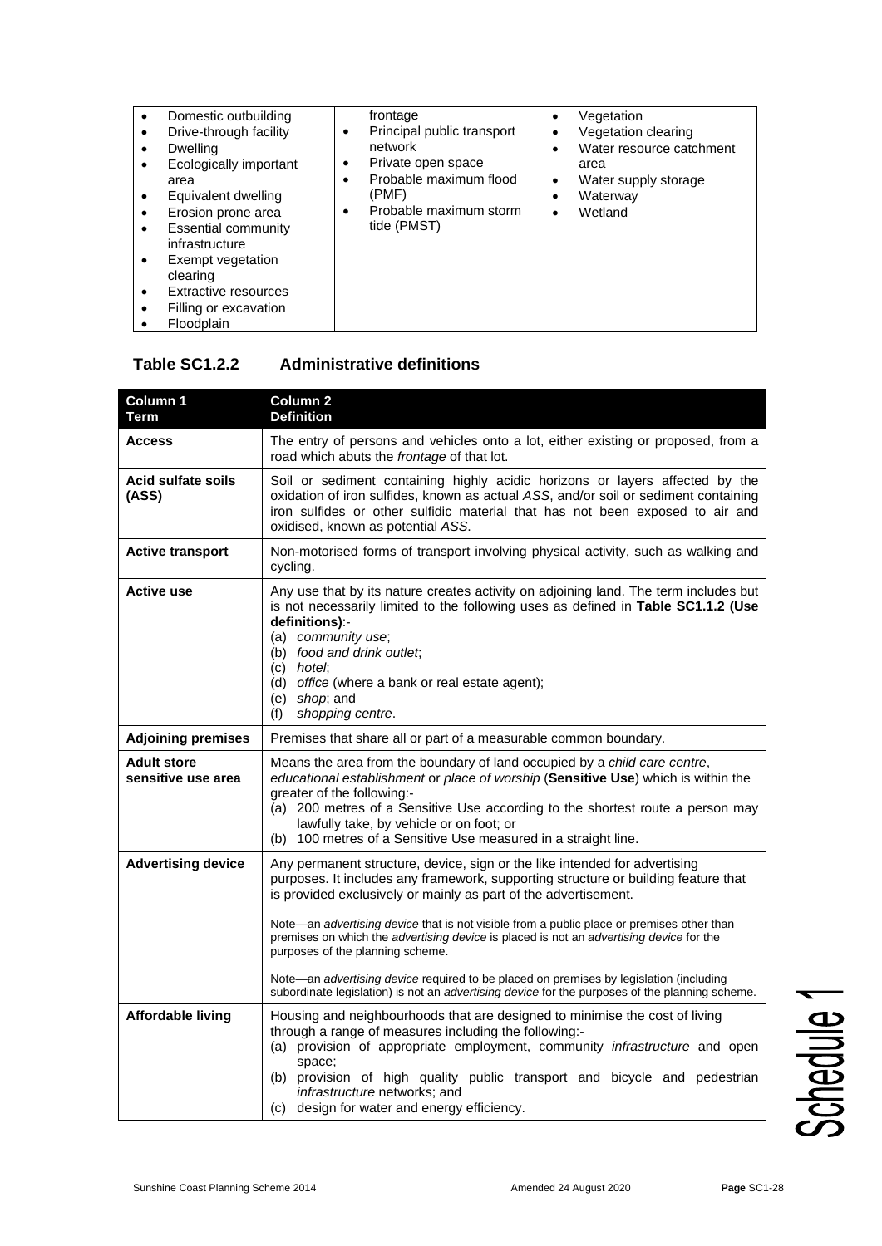| Domestic outbuilding<br>Drive-through facility<br><b>Dwelling</b><br>Ecologically important<br>area                                                                                       | frontage<br>Principal public transport<br>$\bullet$<br>network<br>Private open space<br>$\bullet$<br>Probable maximum flood<br>٠ | Vegetation<br>Vegetation clearing<br>Water resource catchment<br>area<br>Water supply storage |
|-------------------------------------------------------------------------------------------------------------------------------------------------------------------------------------------|----------------------------------------------------------------------------------------------------------------------------------|-----------------------------------------------------------------------------------------------|
| Equivalent dwelling<br>Erosion prone area<br><b>Essential community</b><br>infrastructure<br>Exempt vegetation<br>clearing<br>Extractive resources<br>Filling or excavation<br>Floodplain | (PMF)<br>Probable maximum storm<br>$\bullet$<br>tide (PMST)                                                                      | Waterway<br>Wetland                                                                           |

<span id="page-28-0"></span>

| Table SC1.2.2 | <b>Administrative definitions</b> |  |
|---------------|-----------------------------------|--|
|---------------|-----------------------------------|--|

| Column 1<br><b>Term</b>                  | Column <sub>2</sub><br><b>Definition</b>                                                                                                                                                                                                                                                                                                                                                                                                                                                                                                                                                                                                                                  |
|------------------------------------------|---------------------------------------------------------------------------------------------------------------------------------------------------------------------------------------------------------------------------------------------------------------------------------------------------------------------------------------------------------------------------------------------------------------------------------------------------------------------------------------------------------------------------------------------------------------------------------------------------------------------------------------------------------------------------|
| <b>Access</b>                            | The entry of persons and vehicles onto a lot, either existing or proposed, from a<br>road which abuts the frontage of that lot.                                                                                                                                                                                                                                                                                                                                                                                                                                                                                                                                           |
| Acid sulfate soils<br>(ASS)              | Soil or sediment containing highly acidic horizons or layers affected by the<br>oxidation of iron sulfides, known as actual ASS, and/or soil or sediment containing<br>iron sulfides or other sulfidic material that has not been exposed to air and<br>oxidised, known as potential ASS.                                                                                                                                                                                                                                                                                                                                                                                 |
| <b>Active transport</b>                  | Non-motorised forms of transport involving physical activity, such as walking and<br>cycling.                                                                                                                                                                                                                                                                                                                                                                                                                                                                                                                                                                             |
| <b>Active use</b>                        | Any use that by its nature creates activity on adjoining land. The term includes but<br>is not necessarily limited to the following uses as defined in Table SC1.1.2 (Use<br>definitions):-<br>(a) community use;<br>(b) food and drink outlet;<br>$(c)$ hotel;<br>(d) office (where a bank or real estate agent);<br>(e) shop; and<br>(f)<br>shopping centre.                                                                                                                                                                                                                                                                                                            |
| <b>Adjoining premises</b>                | Premises that share all or part of a measurable common boundary.                                                                                                                                                                                                                                                                                                                                                                                                                                                                                                                                                                                                          |
| <b>Adult store</b><br>sensitive use area | Means the area from the boundary of land occupied by a child care centre,<br>educational establishment or place of worship (Sensitive Use) which is within the<br>greater of the following:-<br>(a) 200 metres of a Sensitive Use according to the shortest route a person may<br>lawfully take, by vehicle or on foot; or<br>100 metres of a Sensitive Use measured in a straight line.<br>(b)                                                                                                                                                                                                                                                                           |
| <b>Advertising device</b>                | Any permanent structure, device, sign or the like intended for advertising<br>purposes. It includes any framework, supporting structure or building feature that<br>is provided exclusively or mainly as part of the advertisement.<br>Note—an <i>advertising device</i> that is not visible from a public place or premises other than<br>premises on which the advertising device is placed is not an advertising device for the<br>purposes of the planning scheme.<br>Note—an advertising device required to be placed on premises by legislation (including<br>subordinate legislation) is not an <i>advertising device</i> for the purposes of the planning scheme. |
| <b>Affordable living</b>                 | Housing and neighbourhoods that are designed to minimise the cost of living<br>through a range of measures including the following:-<br>(a) provision of appropriate employment, community infrastructure and open<br>space;<br>(b) provision of high quality public transport and bicycle and pedestrian<br>infrastructure networks; and<br>design for water and energy efficiency.<br>(c)                                                                                                                                                                                                                                                                               |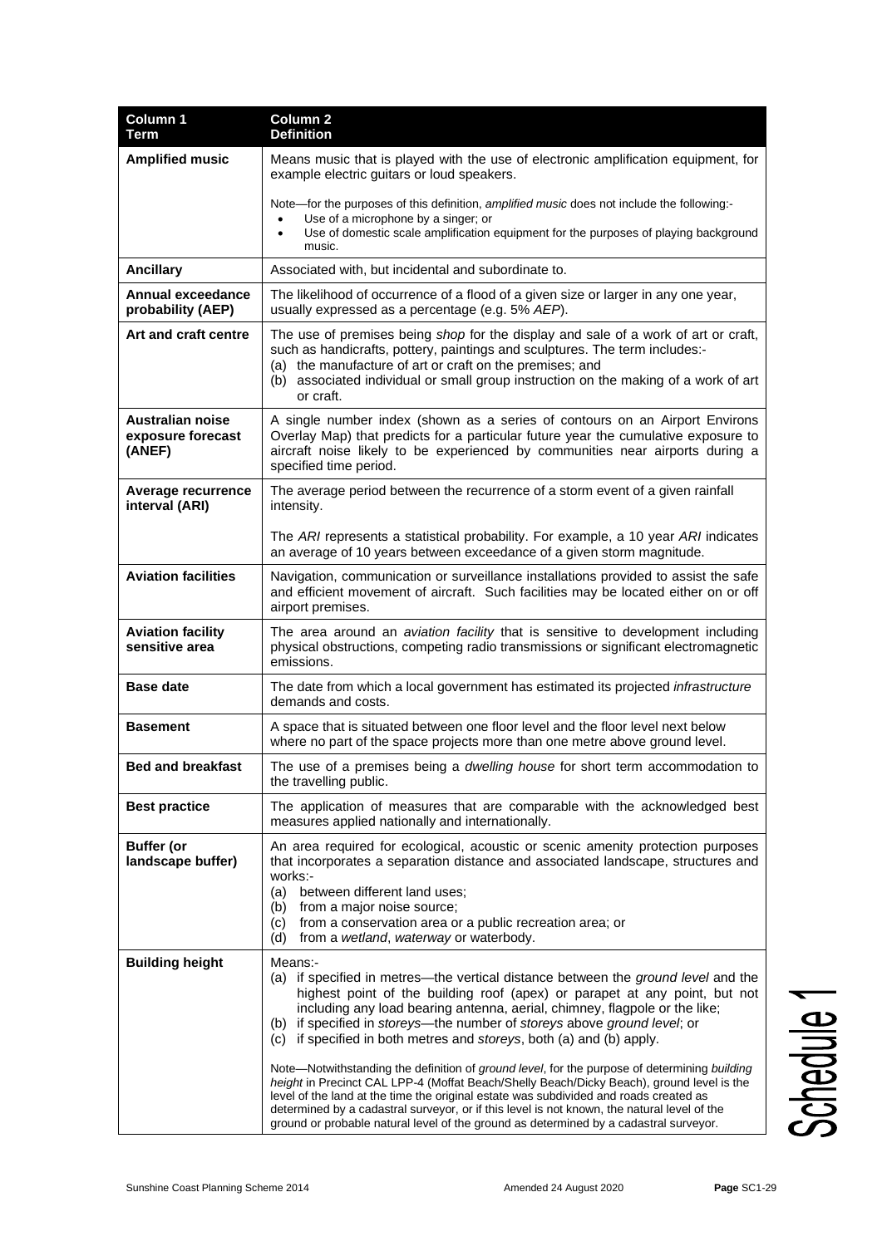| Column 1<br><b>Term</b>                         | Column <sub>2</sub><br><b>Definition</b>                                                                                                                                                                                                                                                                                                                                                                                                                                                                                                                                                                        |
|-------------------------------------------------|-----------------------------------------------------------------------------------------------------------------------------------------------------------------------------------------------------------------------------------------------------------------------------------------------------------------------------------------------------------------------------------------------------------------------------------------------------------------------------------------------------------------------------------------------------------------------------------------------------------------|
| <b>Amplified music</b>                          | Means music that is played with the use of electronic amplification equipment, for<br>example electric guitars or loud speakers.                                                                                                                                                                                                                                                                                                                                                                                                                                                                                |
|                                                 | Note-for the purposes of this definition, amplified music does not include the following:-<br>Use of a microphone by a singer; or<br>Use of domestic scale amplification equipment for the purposes of playing background<br>$\bullet$<br>music.                                                                                                                                                                                                                                                                                                                                                                |
| <b>Ancillary</b>                                | Associated with, but incidental and subordinate to.                                                                                                                                                                                                                                                                                                                                                                                                                                                                                                                                                             |
| <b>Annual exceedance</b><br>probability (AEP)   | The likelihood of occurrence of a flood of a given size or larger in any one year,<br>usually expressed as a percentage (e.g. 5% AEP).                                                                                                                                                                                                                                                                                                                                                                                                                                                                          |
| Art and craft centre                            | The use of premises being shop for the display and sale of a work of art or craft,<br>such as handicrafts, pottery, paintings and sculptures. The term includes:-<br>(a) the manufacture of art or craft on the premises; and<br>(b) associated individual or small group instruction on the making of a work of art<br>or craft.                                                                                                                                                                                                                                                                               |
| Australian noise<br>exposure forecast<br>(ANEF) | A single number index (shown as a series of contours on an Airport Environs<br>Overlay Map) that predicts for a particular future year the cumulative exposure to<br>aircraft noise likely to be experienced by communities near airports during a<br>specified time period.                                                                                                                                                                                                                                                                                                                                    |
| Average recurrence<br>interval (ARI)            | The average period between the recurrence of a storm event of a given rainfall<br>intensity.                                                                                                                                                                                                                                                                                                                                                                                                                                                                                                                    |
|                                                 | The ARI represents a statistical probability. For example, a 10 year ARI indicates<br>an average of 10 years between exceedance of a given storm magnitude.                                                                                                                                                                                                                                                                                                                                                                                                                                                     |
| <b>Aviation facilities</b>                      | Navigation, communication or surveillance installations provided to assist the safe<br>and efficient movement of aircraft. Such facilities may be located either on or off<br>airport premises.                                                                                                                                                                                                                                                                                                                                                                                                                 |
| <b>Aviation facility</b><br>sensitive area      | The area around an aviation facility that is sensitive to development including<br>physical obstructions, competing radio transmissions or significant electromagnetic<br>emissions.                                                                                                                                                                                                                                                                                                                                                                                                                            |
| <b>Base date</b>                                | The date from which a local government has estimated its projected infrastructure<br>demands and costs.                                                                                                                                                                                                                                                                                                                                                                                                                                                                                                         |
| <b>Basement</b>                                 | A space that is situated between one floor level and the floor level next below<br>where no part of the space projects more than one metre above ground level.                                                                                                                                                                                                                                                                                                                                                                                                                                                  |
| <b>Bed and breakfast</b>                        | The use of a premises being a <i>dwelling house</i> for short term accommodation to<br>the travelling public.                                                                                                                                                                                                                                                                                                                                                                                                                                                                                                   |
| <b>Best practice</b>                            | The application of measures that are comparable with the acknowledged best<br>measures applied nationally and internationally.                                                                                                                                                                                                                                                                                                                                                                                                                                                                                  |
| <b>Buffer (or</b><br>landscape buffer)          | An area required for ecological, acoustic or scenic amenity protection purposes<br>that incorporates a separation distance and associated landscape, structures and<br>works:-<br>(a)<br>between different land uses:<br>from a major noise source;<br>(b)<br>from a conservation area or a public recreation area; or<br>(c)<br>(d)<br>from a wetland, waterway or waterbody.                                                                                                                                                                                                                                  |
| <b>Building height</b>                          | Means:-<br>(a) if specified in metres—the vertical distance between the ground level and the<br>highest point of the building roof (apex) or parapet at any point, but not<br>including any load bearing antenna, aerial, chimney, flagpole or the like;<br>if specified in storeys—the number of storeys above ground level; or<br>(b)<br>if specified in both metres and storeys, both (a) and (b) apply.<br>(c)<br>Note—Notwithstanding the definition of ground level, for the purpose of determining building<br>height in Precinct CAL LPP-4 (Moffat Beach/Shelly Beach/Dicky Beach), ground level is the |
|                                                 | level of the land at the time the original estate was subdivided and roads created as<br>determined by a cadastral surveyor, or if this level is not known, the natural level of the<br>ground or probable natural level of the ground as determined by a cadastral surveyor.                                                                                                                                                                                                                                                                                                                                   |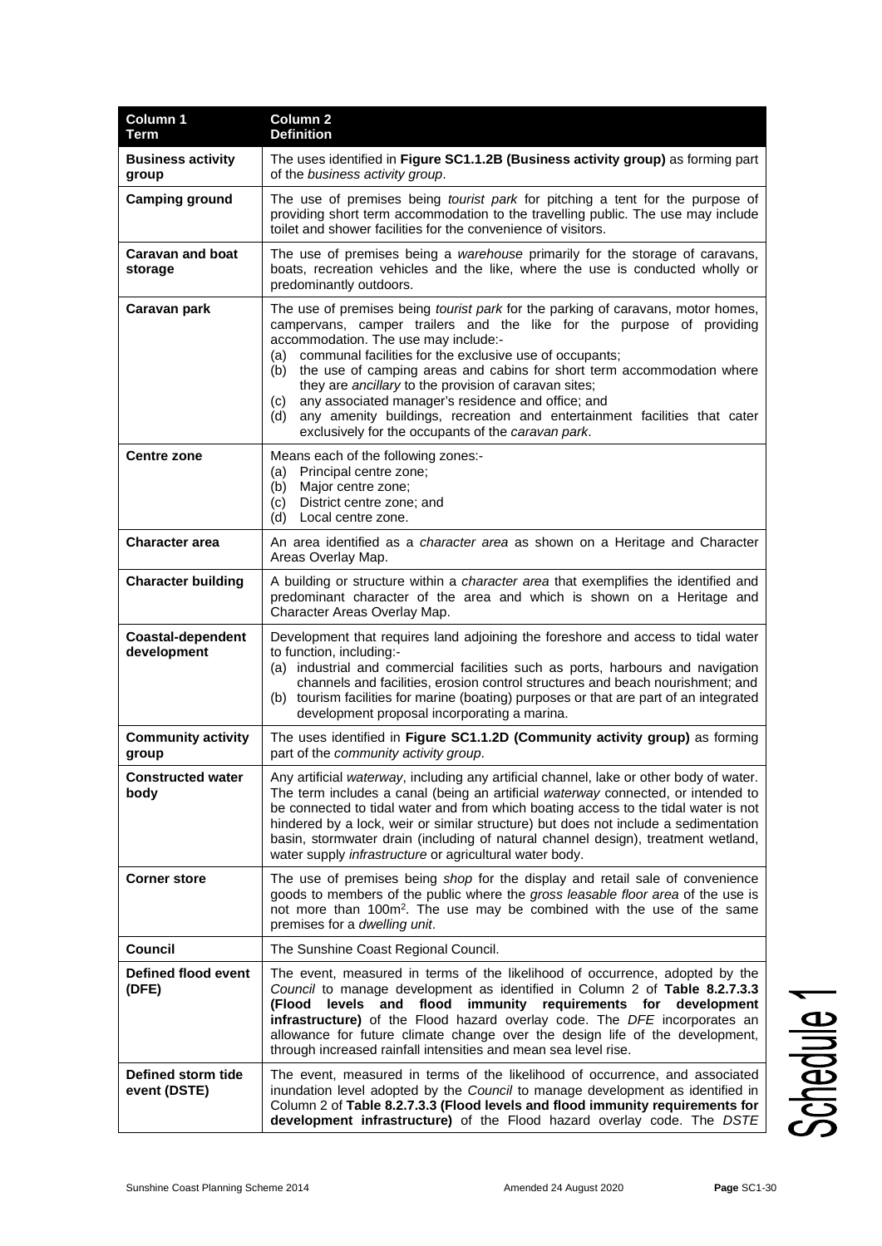| Column 1<br><b>Term</b>                 | <b>Column 2</b><br><b>Definition</b>                                                                                                                                                                                                                                                                                                                                                                                                                                                                                                                                                                                        |
|-----------------------------------------|-----------------------------------------------------------------------------------------------------------------------------------------------------------------------------------------------------------------------------------------------------------------------------------------------------------------------------------------------------------------------------------------------------------------------------------------------------------------------------------------------------------------------------------------------------------------------------------------------------------------------------|
| <b>Business activity</b><br>group       | The uses identified in Figure SC1.1.2B (Business activity group) as forming part<br>of the business activity group.                                                                                                                                                                                                                                                                                                                                                                                                                                                                                                         |
| <b>Camping ground</b>                   | The use of premises being tourist park for pitching a tent for the purpose of<br>providing short term accommodation to the travelling public. The use may include<br>toilet and shower facilities for the convenience of visitors.                                                                                                                                                                                                                                                                                                                                                                                          |
| <b>Caravan and boat</b><br>storage      | The use of premises being a warehouse primarily for the storage of caravans,<br>boats, recreation vehicles and the like, where the use is conducted wholly or<br>predominantly outdoors.                                                                                                                                                                                                                                                                                                                                                                                                                                    |
| Caravan park                            | The use of premises being <i>tourist park</i> for the parking of caravans, motor homes,<br>campervans, camper trailers and the like for the purpose of providing<br>accommodation. The use may include:-<br>communal facilities for the exclusive use of occupants;<br>(a)<br>the use of camping areas and cabins for short term accommodation where<br>(b)<br>they are ancillary to the provision of caravan sites;<br>any associated manager's residence and office; and<br>(c)<br>any amenity buildings, recreation and entertainment facilities that cater<br>(d)<br>exclusively for the occupants of the caravan park. |
| <b>Centre zone</b>                      | Means each of the following zones:-<br>Principal centre zone;<br>(a)<br>Major centre zone;<br>(b)<br>District centre zone; and<br>(c)<br>Local centre zone.<br>(d)                                                                                                                                                                                                                                                                                                                                                                                                                                                          |
| <b>Character area</b>                   | An area identified as a character area as shown on a Heritage and Character<br>Areas Overlay Map.                                                                                                                                                                                                                                                                                                                                                                                                                                                                                                                           |
| <b>Character building</b>               | A building or structure within a character area that exemplifies the identified and<br>predominant character of the area and which is shown on a Heritage and<br>Character Areas Overlay Map.                                                                                                                                                                                                                                                                                                                                                                                                                               |
| <b>Coastal-dependent</b><br>development | Development that requires land adjoining the foreshore and access to tidal water<br>to function, including:-<br>(a) industrial and commercial facilities such as ports, harbours and navigation<br>channels and facilities, erosion control structures and beach nourishment; and<br>(b) tourism facilities for marine (boating) purposes or that are part of an integrated<br>development proposal incorporating a marina.                                                                                                                                                                                                 |
| <b>Community activity</b><br>group      | The uses identified in Figure SC1.1.2D (Community activity group) as forming<br>part of the community activity group.                                                                                                                                                                                                                                                                                                                                                                                                                                                                                                       |
| <b>Constructed water</b><br>body        | Any artificial waterway, including any artificial channel, lake or other body of water.<br>The term includes a canal (being an artificial waterway connected, or intended to<br>be connected to tidal water and from which boating access to the tidal water is not<br>hindered by a lock, weir or similar structure) but does not include a sedimentation<br>basin, stormwater drain (including of natural channel design), treatment wetland,<br>water supply infrastructure or agricultural water body.                                                                                                                  |
| <b>Corner store</b>                     | The use of premises being shop for the display and retail sale of convenience<br>goods to members of the public where the gross leasable floor area of the use is<br>not more than 100m <sup>2</sup> . The use may be combined with the use of the same<br>premises for a dwelling unit.                                                                                                                                                                                                                                                                                                                                    |
| Council                                 | The Sunshine Coast Regional Council.                                                                                                                                                                                                                                                                                                                                                                                                                                                                                                                                                                                        |
| Defined flood event<br>(DFE)            | The event, measured in terms of the likelihood of occurrence, adopted by the<br>Council to manage development as identified in Column 2 of Table 8.2.7.3.3<br>immunity requirements for development<br>(Flood levels<br>and flood<br>infrastructure) of the Flood hazard overlay code. The DFE incorporates an<br>allowance for future climate change over the design life of the development,<br>through increased rainfall intensities and mean sea level rise.                                                                                                                                                           |
| Defined storm tide<br>event (DSTE)      | The event, measured in terms of the likelihood of occurrence, and associated<br>inundation level adopted by the Council to manage development as identified in<br>Column 2 of Table 8.2.7.3.3 (Flood levels and flood immunity requirements for<br>development infrastructure) of the Flood hazard overlay code. The DSTE                                                                                                                                                                                                                                                                                                   |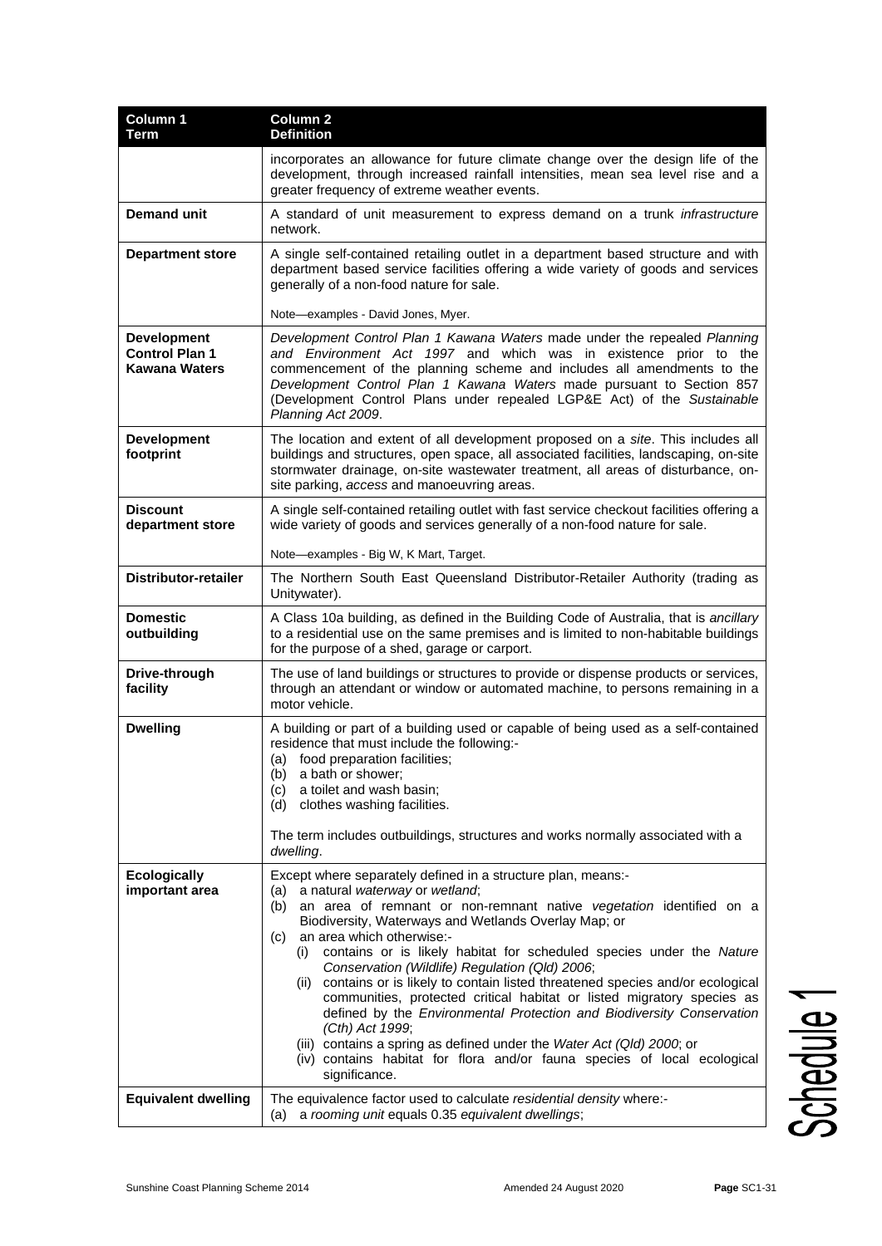| Column 1<br><b>Term</b>                                             | Column <sub>2</sub><br><b>Definition</b>                                                                                                                                                                                                                                                                                                                                                                                                                                                                                                                                                                                                                                                                                                                                                                                                          |
|---------------------------------------------------------------------|---------------------------------------------------------------------------------------------------------------------------------------------------------------------------------------------------------------------------------------------------------------------------------------------------------------------------------------------------------------------------------------------------------------------------------------------------------------------------------------------------------------------------------------------------------------------------------------------------------------------------------------------------------------------------------------------------------------------------------------------------------------------------------------------------------------------------------------------------|
|                                                                     | incorporates an allowance for future climate change over the design life of the<br>development, through increased rainfall intensities, mean sea level rise and a<br>greater frequency of extreme weather events.                                                                                                                                                                                                                                                                                                                                                                                                                                                                                                                                                                                                                                 |
| <b>Demand unit</b>                                                  | A standard of unit measurement to express demand on a trunk infrastructure<br>network.                                                                                                                                                                                                                                                                                                                                                                                                                                                                                                                                                                                                                                                                                                                                                            |
| <b>Department store</b>                                             | A single self-contained retailing outlet in a department based structure and with<br>department based service facilities offering a wide variety of goods and services<br>generally of a non-food nature for sale.                                                                                                                                                                                                                                                                                                                                                                                                                                                                                                                                                                                                                                |
|                                                                     | Note-examples - David Jones, Myer.                                                                                                                                                                                                                                                                                                                                                                                                                                                                                                                                                                                                                                                                                                                                                                                                                |
| <b>Development</b><br><b>Control Plan 1</b><br><b>Kawana Waters</b> | Development Control Plan 1 Kawana Waters made under the repealed Planning<br>and Environment Act 1997 and which was in existence prior to the<br>commencement of the planning scheme and includes all amendments to the<br>Development Control Plan 1 Kawana Waters made pursuant to Section 857<br>(Development Control Plans under repealed LGP&E Act) of the Sustainable<br>Planning Act 2009.                                                                                                                                                                                                                                                                                                                                                                                                                                                 |
| <b>Development</b><br>footprint                                     | The location and extent of all development proposed on a site. This includes all<br>buildings and structures, open space, all associated facilities, landscaping, on-site<br>stormwater drainage, on-site wastewater treatment, all areas of disturbance, on-<br>site parking, access and manoeuvring areas.                                                                                                                                                                                                                                                                                                                                                                                                                                                                                                                                      |
| <b>Discount</b><br>department store                                 | A single self-contained retailing outlet with fast service checkout facilities offering a<br>wide variety of goods and services generally of a non-food nature for sale.<br>Note-examples - Big W, K Mart, Target.                                                                                                                                                                                                                                                                                                                                                                                                                                                                                                                                                                                                                                |
| <b>Distributor-retailer</b>                                         |                                                                                                                                                                                                                                                                                                                                                                                                                                                                                                                                                                                                                                                                                                                                                                                                                                                   |
|                                                                     | The Northern South East Queensland Distributor-Retailer Authority (trading as<br>Unitywater).                                                                                                                                                                                                                                                                                                                                                                                                                                                                                                                                                                                                                                                                                                                                                     |
| <b>Domestic</b><br>outbuilding                                      | A Class 10a building, as defined in the Building Code of Australia, that is ancillary<br>to a residential use on the same premises and is limited to non-habitable buildings<br>for the purpose of a shed, garage or carport.                                                                                                                                                                                                                                                                                                                                                                                                                                                                                                                                                                                                                     |
| Drive-through<br>facility                                           | The use of land buildings or structures to provide or dispense products or services,<br>through an attendant or window or automated machine, to persons remaining in a<br>motor vehicle.                                                                                                                                                                                                                                                                                                                                                                                                                                                                                                                                                                                                                                                          |
| <b>Dwelling</b>                                                     | A building or part of a building used or capable of being used as a self-contained<br>residence that must include the following:-<br>(a) food preparation facilities;<br>a bath or shower;<br>(b)<br>a toilet and wash basin;<br>(c)<br>clothes washing facilities.<br>(d)<br>The term includes outbuildings, structures and works normally associated with a<br>dwelling.                                                                                                                                                                                                                                                                                                                                                                                                                                                                        |
| <b>Ecologically</b><br>important area                               | Except where separately defined in a structure plan, means:-<br>a natural waterway or wetland;<br>(a)<br>an area of remnant or non-remnant native vegetation identified on a<br>(b)<br>Biodiversity, Waterways and Wetlands Overlay Map; or<br>an area which otherwise:-<br>(c)<br>contains or is likely habitat for scheduled species under the Nature<br>(1)<br>Conservation (Wildlife) Regulation (Qld) 2006;<br>(ii) contains or is likely to contain listed threatened species and/or ecological<br>communities, protected critical habitat or listed migratory species as<br>defined by the Environmental Protection and Biodiversity Conservation<br>(Cth) Act 1999;<br>(iii) contains a spring as defined under the Water Act (Qld) 2000; or<br>(iv) contains habitat for flora and/or fauna species of local ecological<br>significance. |
| <b>Equivalent dwelling</b>                                          | The equivalence factor used to calculate residential density where:-<br>(a) a rooming unit equals 0.35 equivalent dwellings;                                                                                                                                                                                                                                                                                                                                                                                                                                                                                                                                                                                                                                                                                                                      |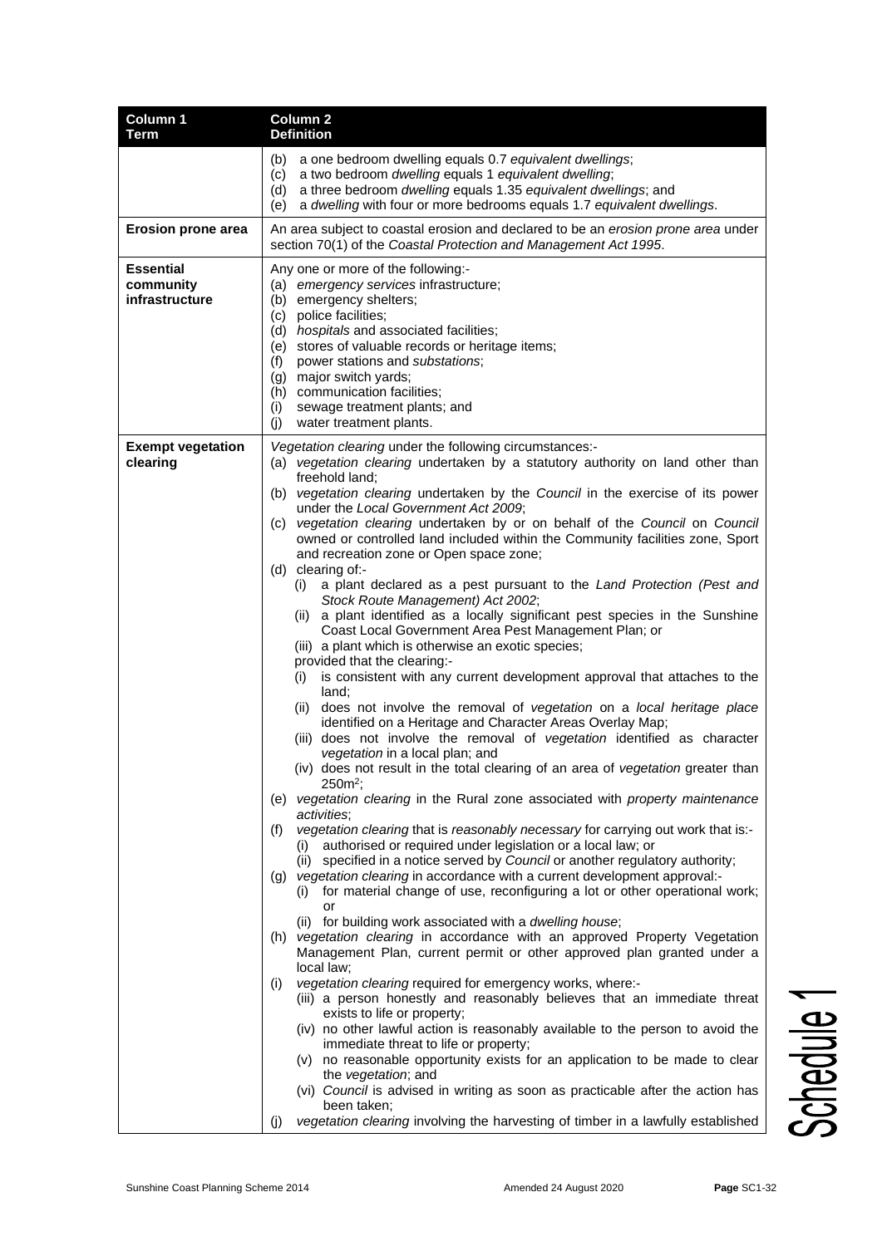| Column 1<br>Term                                | Column 2<br><b>Definition</b>                                                                                                                                                                                                                                                                                                                                                                                                                                                                                                                                                                                                                                                                                                                                                                                                                                                                                                                                                                                                                                                                                                                                                                                                                                                                                                                                                                                                                                                                                                                                                                                                                                                                                                                                                                                                                                                                                                                                                                                                                                                                                                                                                                                                                                                                                                                                                                                                                                                                                                                                                                                                                                                                              |
|-------------------------------------------------|------------------------------------------------------------------------------------------------------------------------------------------------------------------------------------------------------------------------------------------------------------------------------------------------------------------------------------------------------------------------------------------------------------------------------------------------------------------------------------------------------------------------------------------------------------------------------------------------------------------------------------------------------------------------------------------------------------------------------------------------------------------------------------------------------------------------------------------------------------------------------------------------------------------------------------------------------------------------------------------------------------------------------------------------------------------------------------------------------------------------------------------------------------------------------------------------------------------------------------------------------------------------------------------------------------------------------------------------------------------------------------------------------------------------------------------------------------------------------------------------------------------------------------------------------------------------------------------------------------------------------------------------------------------------------------------------------------------------------------------------------------------------------------------------------------------------------------------------------------------------------------------------------------------------------------------------------------------------------------------------------------------------------------------------------------------------------------------------------------------------------------------------------------------------------------------------------------------------------------------------------------------------------------------------------------------------------------------------------------------------------------------------------------------------------------------------------------------------------------------------------------------------------------------------------------------------------------------------------------------------------------------------------------------------------------------------------------|
|                                                 | a one bedroom dwelling equals 0.7 equivalent dwellings;<br>(b)<br>a two bedroom dwelling equals 1 equivalent dwelling;<br>(c)<br>a three bedroom dwelling equals 1.35 equivalent dwellings; and<br>(d)<br>a dwelling with four or more bedrooms equals 1.7 equivalent dwellings.<br>(e)                                                                                                                                                                                                                                                                                                                                                                                                                                                                                                                                                                                                                                                                                                                                                                                                                                                                                                                                                                                                                                                                                                                                                                                                                                                                                                                                                                                                                                                                                                                                                                                                                                                                                                                                                                                                                                                                                                                                                                                                                                                                                                                                                                                                                                                                                                                                                                                                                    |
| Erosion prone area                              | An area subject to coastal erosion and declared to be an erosion prone area under<br>section 70(1) of the Coastal Protection and Management Act 1995.                                                                                                                                                                                                                                                                                                                                                                                                                                                                                                                                                                                                                                                                                                                                                                                                                                                                                                                                                                                                                                                                                                                                                                                                                                                                                                                                                                                                                                                                                                                                                                                                                                                                                                                                                                                                                                                                                                                                                                                                                                                                                                                                                                                                                                                                                                                                                                                                                                                                                                                                                      |
| <b>Essential</b><br>community<br>infrastructure | Any one or more of the following:-<br>(a) emergency services infrastructure;<br>(b) emergency shelters;<br>(c) police facilities;<br>(d) hospitals and associated facilities;<br>(e) stores of valuable records or heritage items;<br>(f) power stations and <i>substations</i> ;<br>(g) major switch yards;<br>(h) communication facilities;<br>(i)<br>sewage treatment plants; and<br>water treatment plants.<br>(j)                                                                                                                                                                                                                                                                                                                                                                                                                                                                                                                                                                                                                                                                                                                                                                                                                                                                                                                                                                                                                                                                                                                                                                                                                                                                                                                                                                                                                                                                                                                                                                                                                                                                                                                                                                                                                                                                                                                                                                                                                                                                                                                                                                                                                                                                                     |
| <b>Exempt vegetation</b><br>clearing            | Vegetation clearing under the following circumstances:-<br>(a) vegetation clearing undertaken by a statutory authority on land other than<br>freehold land:<br>(b) vegetation clearing undertaken by the Council in the exercise of its power<br>under the Local Government Act 2009;<br>(c) vegetation clearing undertaken by or on behalf of the Council on Council<br>owned or controlled land included within the Community facilities zone, Sport<br>and recreation zone or Open space zone;<br>(d) clearing of:-<br>a plant declared as a pest pursuant to the Land Protection (Pest and<br>(1)<br>Stock Route Management) Act 2002;<br>a plant identified as a locally significant pest species in the Sunshine<br>(II) —<br>Coast Local Government Area Pest Management Plan; or<br>(iii) a plant which is otherwise an exotic species;<br>provided that the clearing:-<br>is consistent with any current development approval that attaches to the<br>(1)<br>land;<br>(ii) does not involve the removal of vegetation on a local heritage place<br>identified on a Heritage and Character Areas Overlay Map;<br>(iii) does not involve the removal of vegetation identified as character<br>vegetation in a local plan; and<br>(iv) does not result in the total clearing of an area of vegetation greater than<br>$250m^2$ ;<br>(e) vegetation clearing in the Rural zone associated with property maintenance<br>activities;<br>vegetation clearing that is reasonably necessary for carrying out work that is:-<br>(f)<br>authorised or required under legislation or a local law; or<br>(ii) specified in a notice served by Council or another regulatory authority;<br>(g) vegetation clearing in accordance with a current development approval:-<br>for material change of use, reconfiguring a lot or other operational work;<br>(1)<br>or<br>(ii) for building work associated with a dwelling house;<br>(h) vegetation clearing in accordance with an approved Property Vegetation<br>Management Plan, current permit or other approved plan granted under a<br>local law;<br>vegetation clearing required for emergency works, where:-<br>(i)<br>(iii) a person honestly and reasonably believes that an immediate threat<br>exists to life or property;<br>(iv) no other lawful action is reasonably available to the person to avoid the<br>immediate threat to life or property;<br>(v) no reasonable opportunity exists for an application to be made to clear<br>the vegetation; and<br>(vi) Council is advised in writing as soon as practicable after the action has<br>been taken;<br>vegetation clearing involving the harvesting of timber in a lawfully established<br>(j) |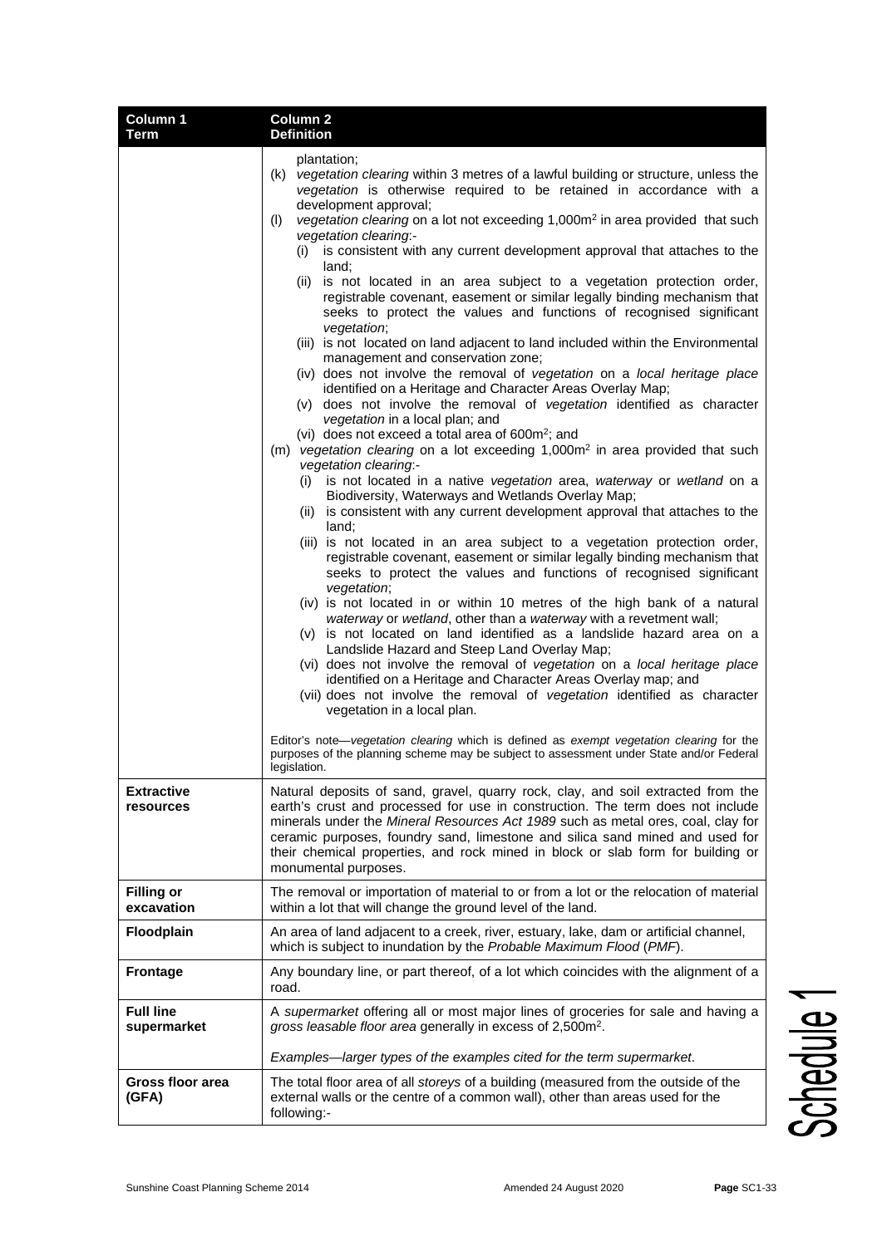| Column 1<br>Term                | <b>Column 2</b><br><b>Definition</b>                                                                                                                                                                                                                                                                                                                                                                                                                                                                                                                                                                                                                                                                                                                                                                                                                                                                                                                                                                                                                                                                                                                                                                                                                                                                                                                                                                                                                                                                                                                                                                                                                                                                                                                                                                                                                                                                                                                                                                                                                                                                                                                                                                                                                                                                                                                                                                                                                   |
|---------------------------------|--------------------------------------------------------------------------------------------------------------------------------------------------------------------------------------------------------------------------------------------------------------------------------------------------------------------------------------------------------------------------------------------------------------------------------------------------------------------------------------------------------------------------------------------------------------------------------------------------------------------------------------------------------------------------------------------------------------------------------------------------------------------------------------------------------------------------------------------------------------------------------------------------------------------------------------------------------------------------------------------------------------------------------------------------------------------------------------------------------------------------------------------------------------------------------------------------------------------------------------------------------------------------------------------------------------------------------------------------------------------------------------------------------------------------------------------------------------------------------------------------------------------------------------------------------------------------------------------------------------------------------------------------------------------------------------------------------------------------------------------------------------------------------------------------------------------------------------------------------------------------------------------------------------------------------------------------------------------------------------------------------------------------------------------------------------------------------------------------------------------------------------------------------------------------------------------------------------------------------------------------------------------------------------------------------------------------------------------------------------------------------------------------------------------------------------------------------|
|                                 | plantation;<br>vegetation clearing within 3 metres of a lawful building or structure, unless the<br>(k)<br>vegetation is otherwise required to be retained in accordance with a<br>development approval;<br>vegetation clearing on a lot not exceeding 1,000m <sup>2</sup> in area provided that such<br>(1)<br>vegetation clearing:-<br>(i) is consistent with any current development approval that attaches to the<br>land;<br>(ii) is not located in an area subject to a vegetation protection order,<br>registrable covenant, easement or similar legally binding mechanism that<br>seeks to protect the values and functions of recognised significant<br>vegetation;<br>(iii) is not located on land adjacent to land included within the Environmental<br>management and conservation zone;<br>(iv) does not involve the removal of vegetation on a local heritage place<br>identified on a Heritage and Character Areas Overlay Map;<br>(v) does not involve the removal of vegetation identified as character<br>vegetation in a local plan; and<br>(vi) does not exceed a total area of $600m^2$ ; and<br>(m) vegetation clearing on a lot exceeding $1,000m^2$ in area provided that such<br>vegetation clearing -<br>(i) is not located in a native vegetation area, waterway or wetland on a<br>Biodiversity, Waterways and Wetlands Overlay Map;<br>is consistent with any current development approval that attaches to the<br>(ii)<br>land;<br>(iii) is not located in an area subject to a vegetation protection order,<br>registrable covenant, easement or similar legally binding mechanism that<br>seeks to protect the values and functions of recognised significant<br>vegetation;<br>(iv) is not located in or within 10 metres of the high bank of a natural<br>waterway or wetland, other than a waterway with a revetment wall;<br>(v) is not located on land identified as a landslide hazard area on a<br>Landslide Hazard and Steep Land Overlay Map;<br>(vi) does not involve the removal of vegetation on a local heritage place<br>identified on a Heritage and Character Areas Overlay map; and<br>(vii) does not involve the removal of vegetation identified as character<br>vegetation in a local plan.<br>Editor's note—vegetation clearing which is defined as exempt vegetation clearing for the<br>purposes of the planning scheme may be subject to assessment under State and/or Federal<br>legislation. |
| <b>Extractive</b><br>resources  | Natural deposits of sand, gravel, quarry rock, clay, and soil extracted from the<br>earth's crust and processed for use in construction. The term does not include<br>minerals under the Mineral Resources Act 1989 such as metal ores, coal, clay for<br>ceramic purposes, foundry sand, limestone and silica sand mined and used for<br>their chemical properties, and rock mined in block or slab form for building or<br>monumental purposes.                                                                                                                                                                                                                                                                                                                                                                                                                                                                                                                                                                                                                                                                                                                                                                                                                                                                                                                                                                                                                                                                                                                                                                                                                                                                                                                                                                                                                                                                                                                                                                                                                                                                                                                                                                                                                                                                                                                                                                                                      |
| <b>Filling or</b><br>excavation | The removal or importation of material to or from a lot or the relocation of material<br>within a lot that will change the ground level of the land.                                                                                                                                                                                                                                                                                                                                                                                                                                                                                                                                                                                                                                                                                                                                                                                                                                                                                                                                                                                                                                                                                                                                                                                                                                                                                                                                                                                                                                                                                                                                                                                                                                                                                                                                                                                                                                                                                                                                                                                                                                                                                                                                                                                                                                                                                                   |
| <b>Floodplain</b>               | An area of land adjacent to a creek, river, estuary, lake, dam or artificial channel,<br>which is subject to inundation by the Probable Maximum Flood (PMF).                                                                                                                                                                                                                                                                                                                                                                                                                                                                                                                                                                                                                                                                                                                                                                                                                                                                                                                                                                                                                                                                                                                                                                                                                                                                                                                                                                                                                                                                                                                                                                                                                                                                                                                                                                                                                                                                                                                                                                                                                                                                                                                                                                                                                                                                                           |
| <b>Frontage</b>                 | Any boundary line, or part thereof, of a lot which coincides with the alignment of a<br>road.                                                                                                                                                                                                                                                                                                                                                                                                                                                                                                                                                                                                                                                                                                                                                                                                                                                                                                                                                                                                                                                                                                                                                                                                                                                                                                                                                                                                                                                                                                                                                                                                                                                                                                                                                                                                                                                                                                                                                                                                                                                                                                                                                                                                                                                                                                                                                          |
| <b>Full line</b><br>supermarket | A supermarket offering all or most major lines of groceries for sale and having a<br>gross leasable floor area generally in excess of 2,500m <sup>2</sup> .                                                                                                                                                                                                                                                                                                                                                                                                                                                                                                                                                                                                                                                                                                                                                                                                                                                                                                                                                                                                                                                                                                                                                                                                                                                                                                                                                                                                                                                                                                                                                                                                                                                                                                                                                                                                                                                                                                                                                                                                                                                                                                                                                                                                                                                                                            |
|                                 | Examples—larger types of the examples cited for the term supermarket.                                                                                                                                                                                                                                                                                                                                                                                                                                                                                                                                                                                                                                                                                                                                                                                                                                                                                                                                                                                                                                                                                                                                                                                                                                                                                                                                                                                                                                                                                                                                                                                                                                                                                                                                                                                                                                                                                                                                                                                                                                                                                                                                                                                                                                                                                                                                                                                  |
| Gross floor area<br>(GFA)       | The total floor area of all storeys of a building (measured from the outside of the<br>external walls or the centre of a common wall), other than areas used for the<br>following:-                                                                                                                                                                                                                                                                                                                                                                                                                                                                                                                                                                                                                                                                                                                                                                                                                                                                                                                                                                                                                                                                                                                                                                                                                                                                                                                                                                                                                                                                                                                                                                                                                                                                                                                                                                                                                                                                                                                                                                                                                                                                                                                                                                                                                                                                    |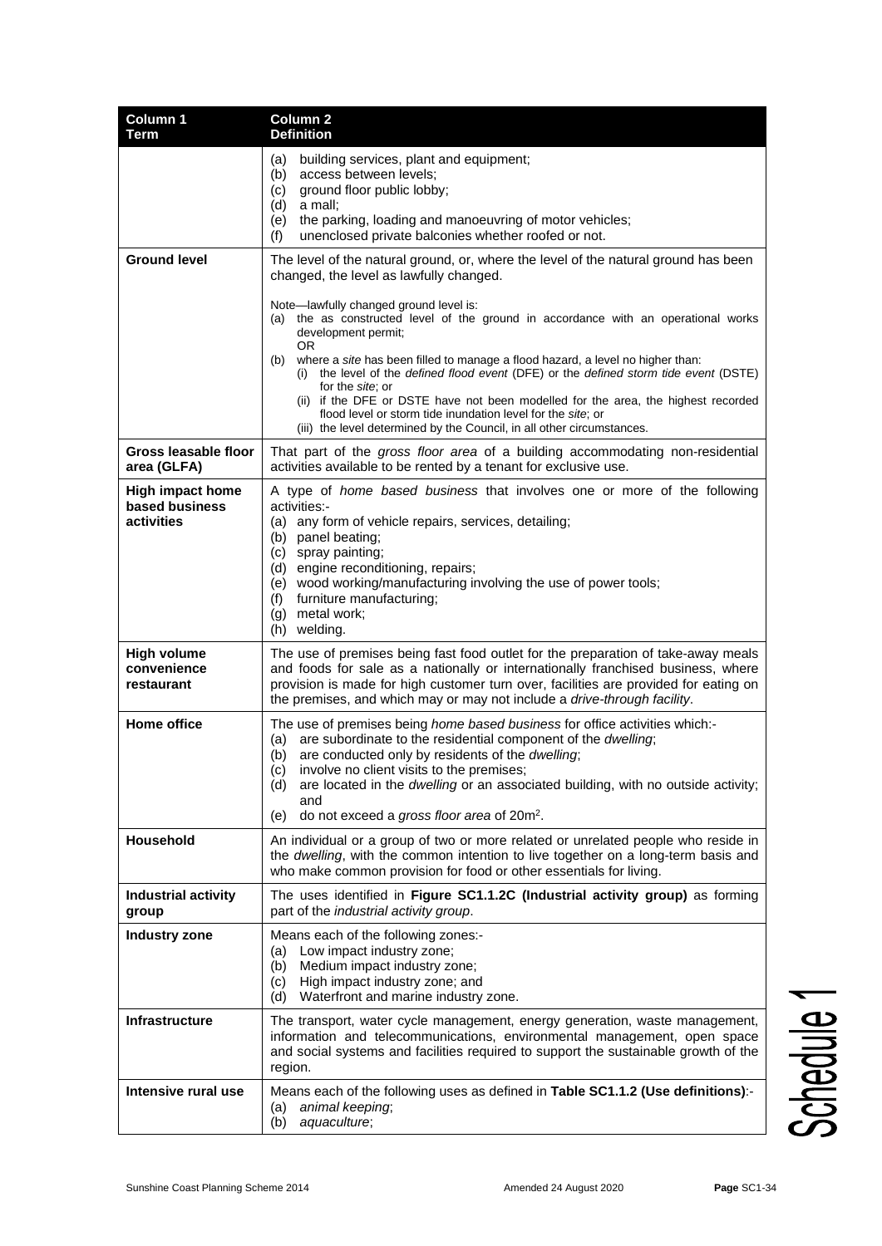| Column 1<br><b>Term</b>                                 | <b>Column 2</b><br><b>Definition</b>                                                                                                                                                                                                                                                                                                                                                                                                                                                                                                                                                           |
|---------------------------------------------------------|------------------------------------------------------------------------------------------------------------------------------------------------------------------------------------------------------------------------------------------------------------------------------------------------------------------------------------------------------------------------------------------------------------------------------------------------------------------------------------------------------------------------------------------------------------------------------------------------|
|                                                         | building services, plant and equipment;<br>(a)<br>access between levels;<br>(b)<br>ground floor public lobby;<br>(c)<br>a mall;<br>(d)<br>the parking, loading and manoeuvring of motor vehicles;<br>(e)<br>unenclosed private balconies whether roofed or not.<br>(f)                                                                                                                                                                                                                                                                                                                         |
| <b>Ground level</b>                                     | The level of the natural ground, or, where the level of the natural ground has been<br>changed, the level as lawfully changed.                                                                                                                                                                                                                                                                                                                                                                                                                                                                 |
|                                                         | Note-lawfully changed ground level is:<br>(a) the as constructed level of the ground in accordance with an operational works<br>development permit;<br>OR.<br>where a site has been filled to manage a flood hazard, a level no higher than:<br>(b)<br>(i) the level of the defined flood event (DFE) or the defined storm tide event (DSTE)<br>for the site; or<br>(ii) if the DFE or DSTE have not been modelled for the area, the highest recorded<br>flood level or storm tide inundation level for the site; or<br>(iii) the level determined by the Council, in all other circumstances. |
| Gross leasable floor<br>area (GLFA)                     | That part of the gross floor area of a building accommodating non-residential<br>activities available to be rented by a tenant for exclusive use.                                                                                                                                                                                                                                                                                                                                                                                                                                              |
| High impact home<br>based business<br><b>activities</b> | A type of <i>home based business</i> that involves one or more of the following<br>activities:-<br>(a) any form of vehicle repairs, services, detailing;<br>(b) panel beating;<br>(c) spray painting;<br>(d) engine reconditioning, repairs;<br>(e) wood working/manufacturing involving the use of power tools;<br>(f) furniture manufacturing;<br>(g) metal work;<br>(h) welding.                                                                                                                                                                                                            |
| <b>High volume</b><br>convenience<br>restaurant         | The use of premises being fast food outlet for the preparation of take-away meals<br>and foods for sale as a nationally or internationally franchised business, where<br>provision is made for high customer turn over, facilities are provided for eating on<br>the premises, and which may or may not include a drive-through facility.                                                                                                                                                                                                                                                      |
| <b>Home office</b>                                      | The use of premises being home based business for office activities which:-<br>(a) are subordinate to the residential component of the dwelling;<br>are conducted only by residents of the dwelling;<br>(b)<br>(c) involve no client visits to the premises;<br>are located in the dwelling or an associated building, with no outside activity;<br>(d)<br>and<br>do not exceed a gross floor area of 20m <sup>2</sup> .<br>(e)                                                                                                                                                                |
| Household                                               | An individual or a group of two or more related or unrelated people who reside in<br>the dwelling, with the common intention to live together on a long-term basis and<br>who make common provision for food or other essentials for living.                                                                                                                                                                                                                                                                                                                                                   |
| <b>Industrial activity</b><br>group                     | The uses identified in Figure SC1.1.2C (Industrial activity group) as forming<br>part of the industrial activity group.                                                                                                                                                                                                                                                                                                                                                                                                                                                                        |
| <b>Industry zone</b>                                    | Means each of the following zones:-<br>Low impact industry zone;<br>(a)<br>Medium impact industry zone;<br>(b)<br>High impact industry zone; and<br>(c)<br>Waterfront and marine industry zone.<br>(d)                                                                                                                                                                                                                                                                                                                                                                                         |
| <b>Infrastructure</b>                                   | The transport, water cycle management, energy generation, waste management,<br>information and telecommunications, environmental management, open space<br>and social systems and facilities required to support the sustainable growth of the<br>region.                                                                                                                                                                                                                                                                                                                                      |
| Intensive rural use                                     | Means each of the following uses as defined in Table SC1.1.2 (Use definitions):-<br>(a) animal keeping;<br>aquaculture;<br>(b)                                                                                                                                                                                                                                                                                                                                                                                                                                                                 |

Schedule 1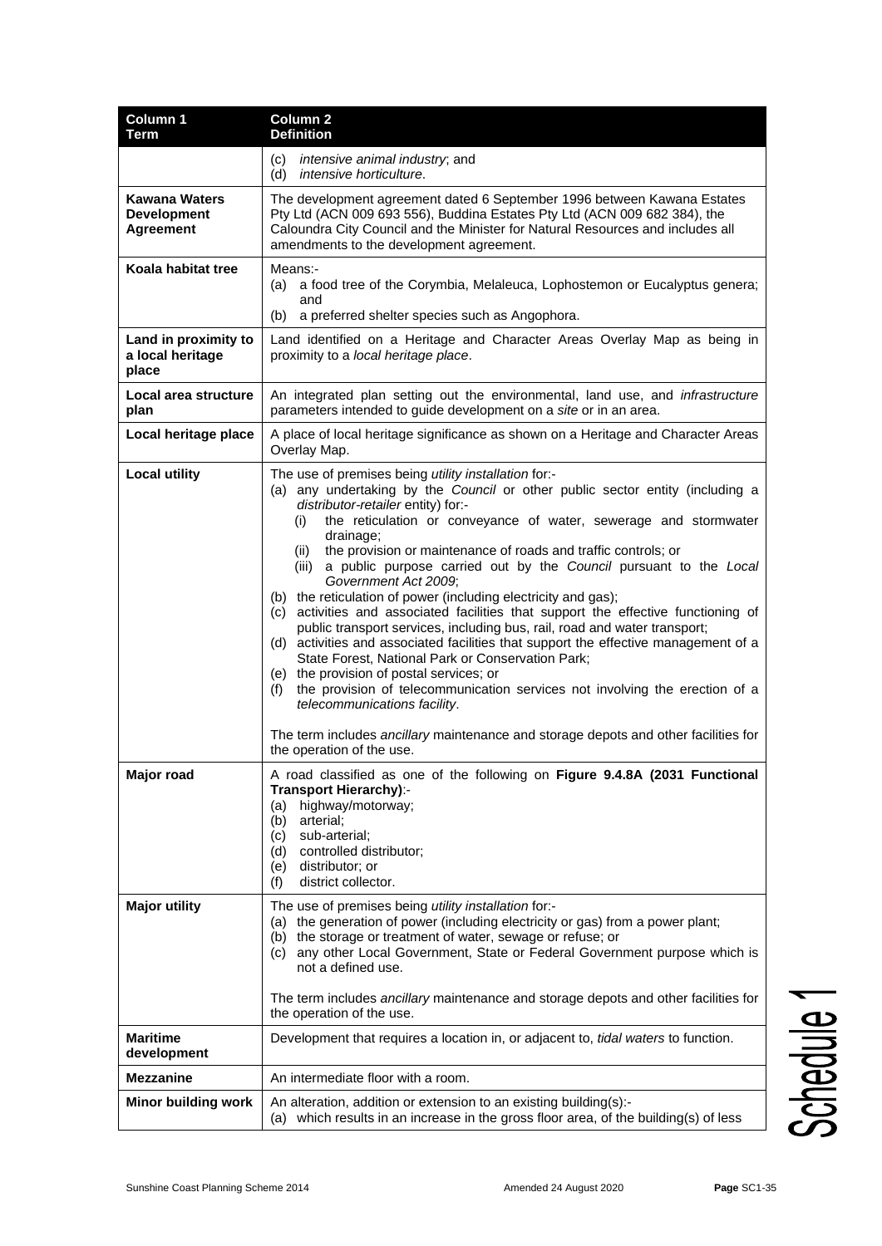| Column 1<br><b>Term</b>                                 | Column <sub>2</sub><br><b>Definition</b>                                                                                                                                                                                                                                                                                                                                                                                                                                                                                                                                                                                                                                                                                                                                                                                                                                                                                                                                                                                                                                                                                |
|---------------------------------------------------------|-------------------------------------------------------------------------------------------------------------------------------------------------------------------------------------------------------------------------------------------------------------------------------------------------------------------------------------------------------------------------------------------------------------------------------------------------------------------------------------------------------------------------------------------------------------------------------------------------------------------------------------------------------------------------------------------------------------------------------------------------------------------------------------------------------------------------------------------------------------------------------------------------------------------------------------------------------------------------------------------------------------------------------------------------------------------------------------------------------------------------|
|                                                         | (c)<br>intensive animal industry; and<br>(d) intensive horticulture.                                                                                                                                                                                                                                                                                                                                                                                                                                                                                                                                                                                                                                                                                                                                                                                                                                                                                                                                                                                                                                                    |
| Kawana Waters<br><b>Development</b><br><b>Agreement</b> | The development agreement dated 6 September 1996 between Kawana Estates<br>Pty Ltd (ACN 009 693 556), Buddina Estates Pty Ltd (ACN 009 682 384), the<br>Caloundra City Council and the Minister for Natural Resources and includes all<br>amendments to the development agreement.                                                                                                                                                                                                                                                                                                                                                                                                                                                                                                                                                                                                                                                                                                                                                                                                                                      |
| Koala habitat tree                                      | Means:-<br>a food tree of the Corymbia, Melaleuca, Lophostemon or Eucalyptus genera;<br>(a)<br>and<br>a preferred shelter species such as Angophora.<br>(b)                                                                                                                                                                                                                                                                                                                                                                                                                                                                                                                                                                                                                                                                                                                                                                                                                                                                                                                                                             |
| Land in proximity to<br>a local heritage<br>place       | Land identified on a Heritage and Character Areas Overlay Map as being in<br>proximity to a local heritage place.                                                                                                                                                                                                                                                                                                                                                                                                                                                                                                                                                                                                                                                                                                                                                                                                                                                                                                                                                                                                       |
| Local area structure<br>plan                            | An integrated plan setting out the environmental, land use, and infrastructure<br>parameters intended to guide development on a site or in an area.                                                                                                                                                                                                                                                                                                                                                                                                                                                                                                                                                                                                                                                                                                                                                                                                                                                                                                                                                                     |
| Local heritage place                                    | A place of local heritage significance as shown on a Heritage and Character Areas<br>Overlay Map.                                                                                                                                                                                                                                                                                                                                                                                                                                                                                                                                                                                                                                                                                                                                                                                                                                                                                                                                                                                                                       |
| <b>Local utility</b>                                    | The use of premises being utility installation for:-<br>(a) any undertaking by the Council or other public sector entity (including a<br>distributor-retailer entity) for:-<br>the reticulation or conveyance of water, sewerage and stormwater<br>(i)<br>drainage;<br>the provision or maintenance of roads and traffic controls; or<br>(ii)<br>(iii) a public purpose carried out by the Council pursuant to the Local<br>Government Act 2009;<br>(b) the reticulation of power (including electricity and gas);<br>(c) activities and associated facilities that support the effective functioning of<br>public transport services, including bus, rail, road and water transport;<br>(d) activities and associated facilities that support the effective management of a<br>State Forest, National Park or Conservation Park;<br>(e) the provision of postal services; or<br>the provision of telecommunication services not involving the erection of a<br>(f)<br>telecommunications facility.<br>The term includes ancillary maintenance and storage depots and other facilities for<br>the operation of the use. |
| Major road                                              | A road classified as one of the following on Figure 9.4.8A (2031 Functional<br>Transport Hierarchy):-<br>highway/motorway;<br>(a)<br>arterial:<br>(b)<br>sub-arterial;<br>(c)<br>controlled distributor;<br>(d)<br>distributor; or<br>(e)<br>district collector.<br>(f)                                                                                                                                                                                                                                                                                                                                                                                                                                                                                                                                                                                                                                                                                                                                                                                                                                                 |
| <b>Major utility</b>                                    | The use of premises being <i>utility installation</i> for:-<br>(a) the generation of power (including electricity or gas) from a power plant;<br>(b) the storage or treatment of water, sewage or refuse; or<br>(c) any other Local Government, State or Federal Government purpose which is<br>not a defined use.<br>The term includes ancillary maintenance and storage depots and other facilities for<br>the operation of the use.                                                                                                                                                                                                                                                                                                                                                                                                                                                                                                                                                                                                                                                                                  |
| <b>Maritime</b><br>development                          | Development that requires a location in, or adjacent to, tidal waters to function.                                                                                                                                                                                                                                                                                                                                                                                                                                                                                                                                                                                                                                                                                                                                                                                                                                                                                                                                                                                                                                      |
| <b>Mezzanine</b>                                        | An intermediate floor with a room.                                                                                                                                                                                                                                                                                                                                                                                                                                                                                                                                                                                                                                                                                                                                                                                                                                                                                                                                                                                                                                                                                      |
| <b>Minor building work</b>                              | An alteration, addition or extension to an existing building(s):-<br>(a) which results in an increase in the gross floor area, of the building(s) of less                                                                                                                                                                                                                                                                                                                                                                                                                                                                                                                                                                                                                                                                                                                                                                                                                                                                                                                                                               |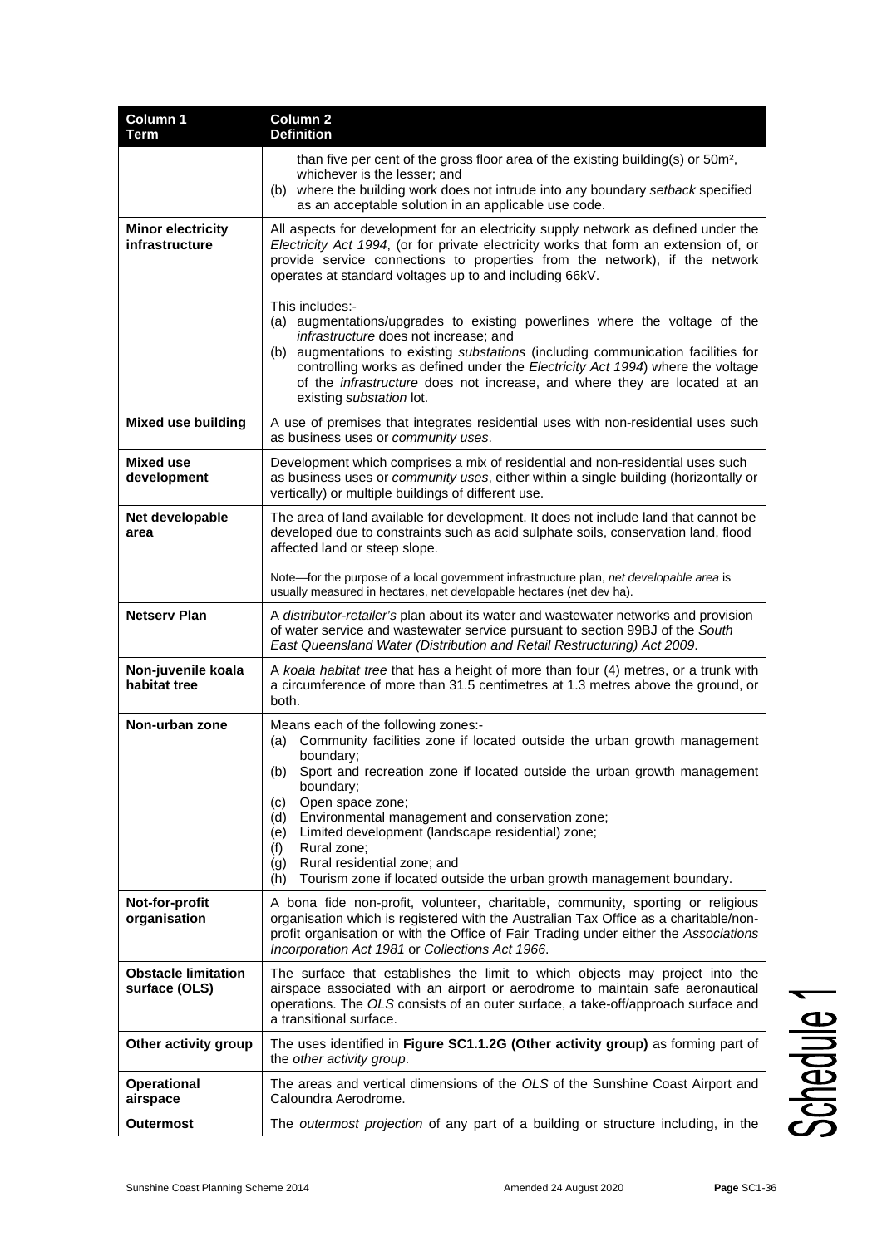| Column 1<br><b>Term</b>                     | Column <sub>2</sub><br><b>Definition</b>                                                                                                                                                                                                                                                                                                                                                                                                                                                                                 |
|---------------------------------------------|--------------------------------------------------------------------------------------------------------------------------------------------------------------------------------------------------------------------------------------------------------------------------------------------------------------------------------------------------------------------------------------------------------------------------------------------------------------------------------------------------------------------------|
|                                             | than five per cent of the gross floor area of the existing building(s) or 50m <sup>2</sup> ,<br>whichever is the lesser; and<br>(b) where the building work does not intrude into any boundary setback specified<br>as an acceptable solution in an applicable use code.                                                                                                                                                                                                                                                 |
| <b>Minor electricity</b><br>infrastructure  | All aspects for development for an electricity supply network as defined under the<br>Electricity Act 1994, (or for private electricity works that form an extension of, or<br>provide service connections to properties from the network), if the network<br>operates at standard voltages up to and including 66kV.                                                                                                                                                                                                    |
|                                             | This includes:-<br>(a) augmentations/upgrades to existing powerlines where the voltage of the<br>infrastructure does not increase; and<br>(b) augmentations to existing substations (including communication facilities for<br>controlling works as defined under the Electricity Act 1994) where the voltage<br>of the infrastructure does not increase, and where they are located at an<br>existing substation lot.                                                                                                   |
| <b>Mixed use building</b>                   | A use of premises that integrates residential uses with non-residential uses such<br>as business uses or community uses.                                                                                                                                                                                                                                                                                                                                                                                                 |
| <b>Mixed use</b><br>development             | Development which comprises a mix of residential and non-residential uses such<br>as business uses or community uses, either within a single building (horizontally or<br>vertically) or multiple buildings of different use.                                                                                                                                                                                                                                                                                            |
| Net developable<br>area                     | The area of land available for development. It does not include land that cannot be<br>developed due to constraints such as acid sulphate soils, conservation land, flood<br>affected land or steep slope.                                                                                                                                                                                                                                                                                                               |
|                                             | Note-for the purpose of a local government infrastructure plan, net developable area is<br>usually measured in hectares, net developable hectares (net dev ha).                                                                                                                                                                                                                                                                                                                                                          |
| <b>Netserv Plan</b>                         | A distributor-retailer's plan about its water and wastewater networks and provision<br>of water service and wastewater service pursuant to section 99BJ of the South<br>East Queensland Water (Distribution and Retail Restructuring) Act 2009.                                                                                                                                                                                                                                                                          |
| Non-juvenile koala<br>habitat tree          | A koala habitat tree that has a height of more than four (4) metres, or a trunk with<br>a circumference of more than 31.5 centimetres at 1.3 metres above the ground, or<br>both.                                                                                                                                                                                                                                                                                                                                        |
| Non-urban zone                              | Means each of the following zones:-<br>(a) Community facilities zone if located outside the urban growth management<br>boundary;<br>(b) Sport and recreation zone if located outside the urban growth management<br>boundary;<br>Open space zone;<br>(C).<br>Environmental management and conservation zone;<br>(d)<br>(e) Limited development (landscape residential) zone;<br>Rural zone;<br>(f)<br>Rural residential zone; and<br>(g)<br>(h)<br>Tourism zone if located outside the urban growth management boundary. |
| Not-for-profit<br>organisation              | A bona fide non-profit, volunteer, charitable, community, sporting or religious<br>organisation which is registered with the Australian Tax Office as a charitable/non-<br>profit organisation or with the Office of Fair Trading under either the Associations<br>Incorporation Act 1981 or Collections Act 1966.                                                                                                                                                                                                       |
| <b>Obstacle limitation</b><br>surface (OLS) | The surface that establishes the limit to which objects may project into the<br>airspace associated with an airport or aerodrome to maintain safe aeronautical<br>operations. The OLS consists of an outer surface, a take-off/approach surface and<br>a transitional surface.                                                                                                                                                                                                                                           |
| Other activity group                        | The uses identified in Figure SC1.1.2G (Other activity group) as forming part of<br>the other activity group.                                                                                                                                                                                                                                                                                                                                                                                                            |
| <b>Operational</b><br>airspace              | The areas and vertical dimensions of the OLS of the Sunshine Coast Airport and<br>Caloundra Aerodrome.                                                                                                                                                                                                                                                                                                                                                                                                                   |
| <b>Outermost</b>                            | The outermost projection of any part of a building or structure including, in the                                                                                                                                                                                                                                                                                                                                                                                                                                        |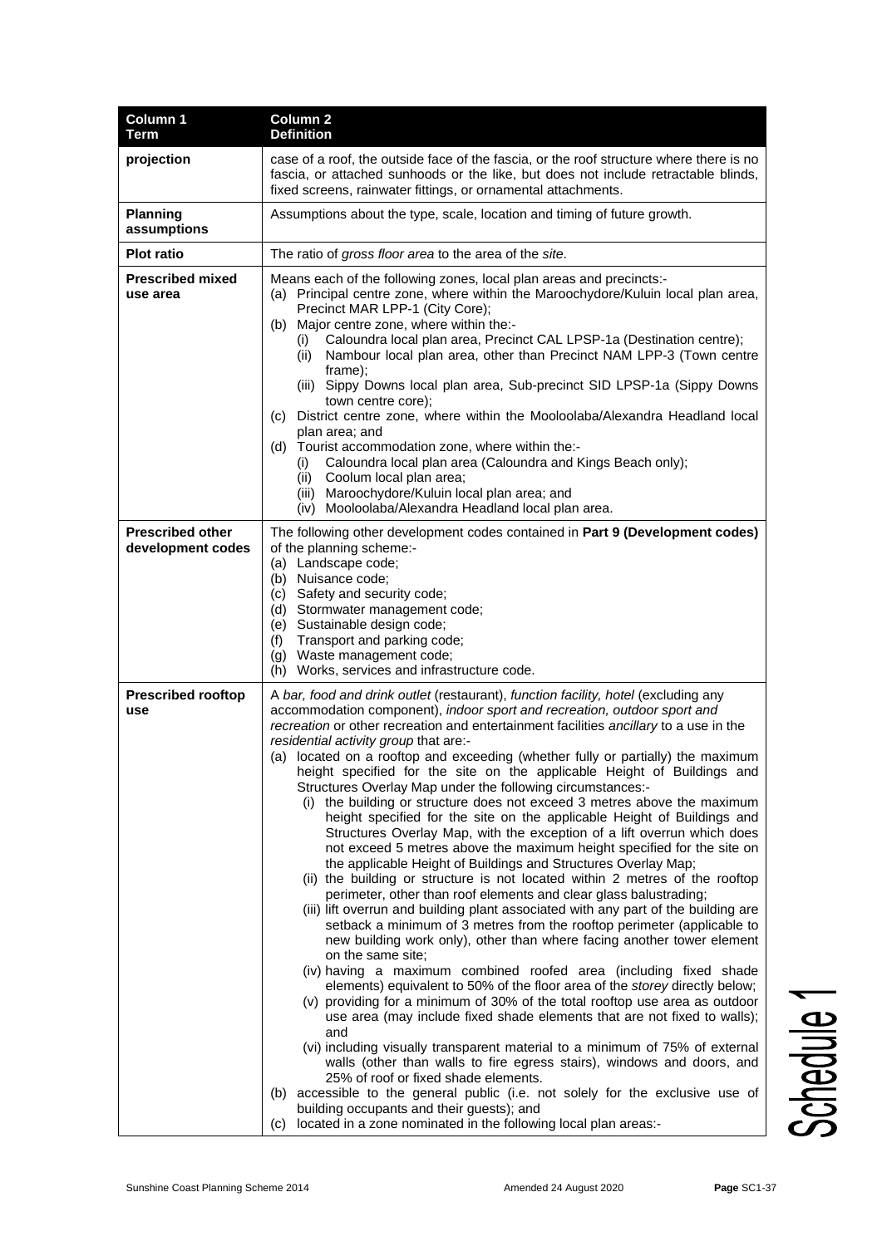| Column 1<br>Term                             | Column <sub>2</sub><br><b>Definition</b>                                                                                                                                                                                                                                                                                                                                                                                                                                                                                                                                                                                                                                                                                                                                                                                                                                                                                                                                                                                                                                                                                                                                                                                                                                                                                                                                                                                                                                                                                                                                                                                                                                                                                                                                                                                                                                                                                                                                                                                                                           |
|----------------------------------------------|--------------------------------------------------------------------------------------------------------------------------------------------------------------------------------------------------------------------------------------------------------------------------------------------------------------------------------------------------------------------------------------------------------------------------------------------------------------------------------------------------------------------------------------------------------------------------------------------------------------------------------------------------------------------------------------------------------------------------------------------------------------------------------------------------------------------------------------------------------------------------------------------------------------------------------------------------------------------------------------------------------------------------------------------------------------------------------------------------------------------------------------------------------------------------------------------------------------------------------------------------------------------------------------------------------------------------------------------------------------------------------------------------------------------------------------------------------------------------------------------------------------------------------------------------------------------------------------------------------------------------------------------------------------------------------------------------------------------------------------------------------------------------------------------------------------------------------------------------------------------------------------------------------------------------------------------------------------------------------------------------------------------------------------------------------------------|
| projection                                   | case of a roof, the outside face of the fascia, or the roof structure where there is no<br>fascia, or attached sunhoods or the like, but does not include retractable blinds,<br>fixed screens, rainwater fittings, or ornamental attachments.                                                                                                                                                                                                                                                                                                                                                                                                                                                                                                                                                                                                                                                                                                                                                                                                                                                                                                                                                                                                                                                                                                                                                                                                                                                                                                                                                                                                                                                                                                                                                                                                                                                                                                                                                                                                                     |
| <b>Planning</b><br>assumptions               | Assumptions about the type, scale, location and timing of future growth.                                                                                                                                                                                                                                                                                                                                                                                                                                                                                                                                                                                                                                                                                                                                                                                                                                                                                                                                                                                                                                                                                                                                                                                                                                                                                                                                                                                                                                                                                                                                                                                                                                                                                                                                                                                                                                                                                                                                                                                           |
| <b>Plot ratio</b>                            | The ratio of gross floor area to the area of the site.                                                                                                                                                                                                                                                                                                                                                                                                                                                                                                                                                                                                                                                                                                                                                                                                                                                                                                                                                                                                                                                                                                                                                                                                                                                                                                                                                                                                                                                                                                                                                                                                                                                                                                                                                                                                                                                                                                                                                                                                             |
| <b>Prescribed mixed</b><br>use area          | Means each of the following zones, local plan areas and precincts:-<br>(a) Principal centre zone, where within the Maroochydore/Kuluin local plan area,<br>Precinct MAR LPP-1 (City Core);<br>(b) Major centre zone, where within the:-<br>Caloundra local plan area, Precinct CAL LPSP-1a (Destination centre);<br>(1)<br>Nambour local plan area, other than Precinct NAM LPP-3 (Town centre<br>(ii)<br>frame);<br>(iii) Sippy Downs local plan area, Sub-precinct SID LPSP-1a (Sippy Downs<br>town centre core);<br>(c) District centre zone, where within the Mooloolaba/Alexandra Headland local<br>plan area; and<br>(d) Tourist accommodation zone, where within the:-<br>Caloundra local plan area (Caloundra and Kings Beach only);<br>(1)<br>(ii) Coolum local plan area;<br>(iii) Maroochydore/Kuluin local plan area; and<br>(iv) Mooloolaba/Alexandra Headland local plan area.                                                                                                                                                                                                                                                                                                                                                                                                                                                                                                                                                                                                                                                                                                                                                                                                                                                                                                                                                                                                                                                                                                                                                                       |
| <b>Prescribed other</b><br>development codes | The following other development codes contained in Part 9 (Development codes)<br>of the planning scheme:-<br>(a) Landscape code;<br>(b) Nuisance code;<br>(c) Safety and security code;<br>(d) Stormwater management code;<br>(e) Sustainable design code;<br>Transport and parking code;<br>(f)<br>(g) Waste management code;<br>Works, services and infrastructure code.<br>(h)                                                                                                                                                                                                                                                                                                                                                                                                                                                                                                                                                                                                                                                                                                                                                                                                                                                                                                                                                                                                                                                                                                                                                                                                                                                                                                                                                                                                                                                                                                                                                                                                                                                                                  |
| <b>Prescribed rooftop</b><br>use             | A bar, food and drink outlet (restaurant), function facility, hotel (excluding any<br>accommodation component), indoor sport and recreation, outdoor sport and<br>recreation or other recreation and entertainment facilities ancillary to a use in the<br>residential activity group that are:-<br>(a) located on a rooftop and exceeding (whether fully or partially) the maximum<br>height specified for the site on the applicable Height of Buildings and<br>Structures Overlay Map under the following circumstances:-<br>(i) the building or structure does not exceed 3 metres above the maximum<br>height specified for the site on the applicable Height of Buildings and<br>Structures Overlay Map, with the exception of a lift overrun which does<br>not exceed 5 metres above the maximum height specified for the site on<br>the applicable Height of Buildings and Structures Overlay Map;<br>(ii) the building or structure is not located within 2 metres of the rooftop<br>perimeter, other than roof elements and clear glass balustrading;<br>(iii) lift overrun and building plant associated with any part of the building are<br>setback a minimum of 3 metres from the rooftop perimeter (applicable to<br>new building work only), other than where facing another tower element<br>on the same site;<br>(iv) having a maximum combined roofed area (including fixed shade<br>elements) equivalent to 50% of the floor area of the storey directly below;<br>$(v)$ providing for a minimum of 30% of the total rooftop use area as outdoor<br>use area (may include fixed shade elements that are not fixed to walls);<br>and<br>(vi) including visually transparent material to a minimum of 75% of external<br>walls (other than walls to fire egress stairs), windows and doors, and<br>25% of roof or fixed shade elements.<br>(b) accessible to the general public (i.e. not solely for the exclusive use of<br>building occupants and their guests); and<br>located in a zone nominated in the following local plan areas:-<br>(C) |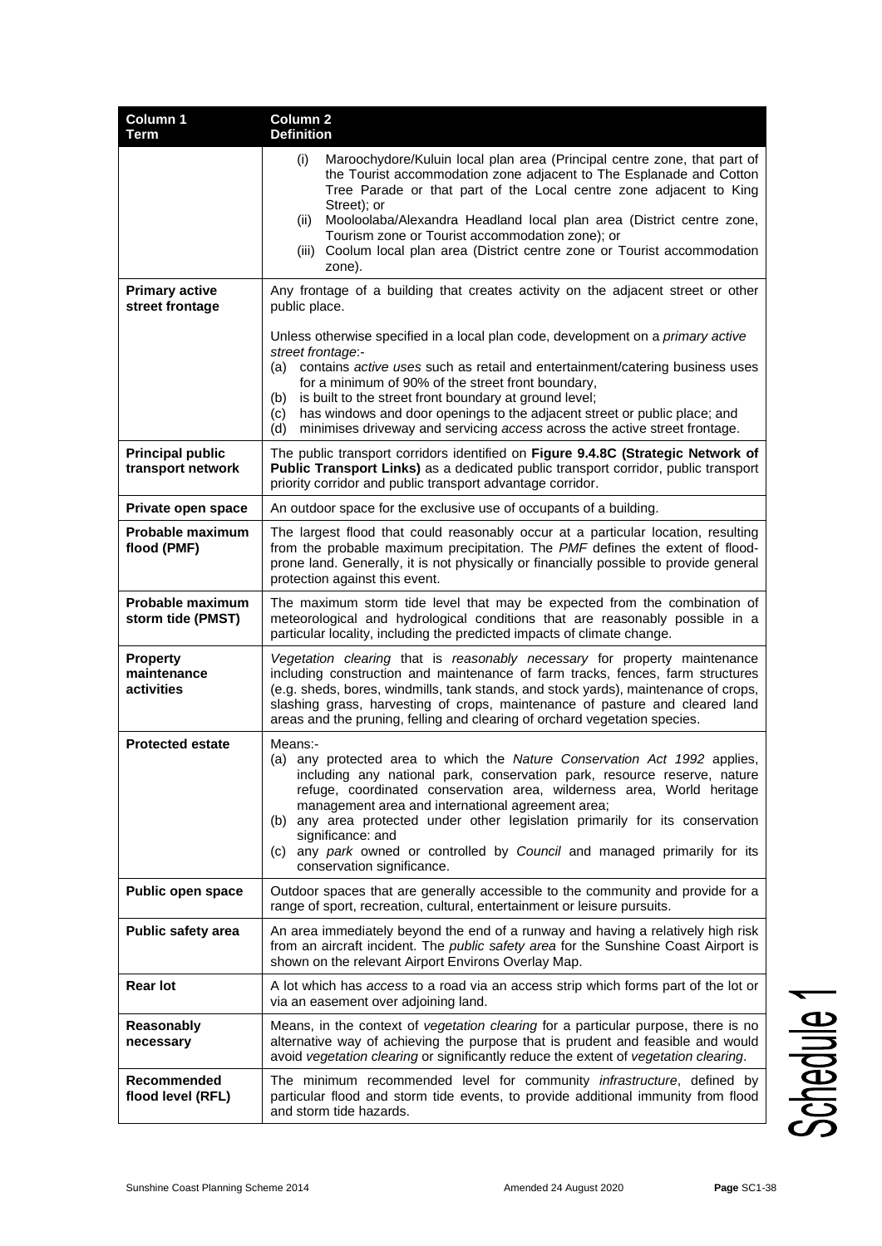| Column 1<br><b>Term</b>                      | Column <sub>2</sub><br><b>Definition</b>                                                                                                                                                                                                                                                                                                                                                                                                                                                                         |
|----------------------------------------------|------------------------------------------------------------------------------------------------------------------------------------------------------------------------------------------------------------------------------------------------------------------------------------------------------------------------------------------------------------------------------------------------------------------------------------------------------------------------------------------------------------------|
|                                              | Maroochydore/Kuluin local plan area (Principal centre zone, that part of<br>(i)<br>the Tourist accommodation zone adjacent to The Esplanade and Cotton<br>Tree Parade or that part of the Local centre zone adjacent to King<br>Street); or<br>Mooloolaba/Alexandra Headland local plan area (District centre zone,<br>(ii)<br>Tourism zone or Tourist accommodation zone); or<br>(iii) Coolum local plan area (District centre zone or Tourist accommodation<br>zone).                                          |
| <b>Primary active</b><br>street frontage     | Any frontage of a building that creates activity on the adjacent street or other<br>public place.                                                                                                                                                                                                                                                                                                                                                                                                                |
|                                              | Unless otherwise specified in a local plan code, development on a primary active<br>street frontage:-<br>contains active uses such as retail and entertainment/catering business uses<br>(a)<br>for a minimum of 90% of the street front boundary,<br>is built to the street front boundary at ground level;<br>(b)<br>has windows and door openings to the adjacent street or public place; and<br>(c)<br>minimises driveway and servicing access across the active street frontage.<br>(d)                     |
| <b>Principal public</b><br>transport network | The public transport corridors identified on Figure 9.4.8C (Strategic Network of<br>Public Transport Links) as a dedicated public transport corridor, public transport<br>priority corridor and public transport advantage corridor.                                                                                                                                                                                                                                                                             |
| Private open space                           | An outdoor space for the exclusive use of occupants of a building.                                                                                                                                                                                                                                                                                                                                                                                                                                               |
| Probable maximum<br>flood (PMF)              | The largest flood that could reasonably occur at a particular location, resulting<br>from the probable maximum precipitation. The PMF defines the extent of flood-<br>prone land. Generally, it is not physically or financially possible to provide general<br>protection against this event.                                                                                                                                                                                                                   |
| Probable maximum<br>storm tide (PMST)        | The maximum storm tide level that may be expected from the combination of<br>meteorological and hydrological conditions that are reasonably possible in a<br>particular locality, including the predicted impacts of climate change.                                                                                                                                                                                                                                                                             |
| <b>Property</b><br>maintenance<br>activities | Vegetation clearing that is reasonably necessary for property maintenance<br>including construction and maintenance of farm tracks, fences, farm structures<br>(e.g. sheds, bores, windmills, tank stands, and stock yards), maintenance of crops,<br>slashing grass, harvesting of crops, maintenance of pasture and cleared land<br>areas and the pruning, felling and clearing of orchard vegetation species.                                                                                                 |
| <b>Protected estate</b>                      | Means:-<br>(a) any protected area to which the Nature Conservation Act 1992 applies,<br>including any national park, conservation park, resource reserve, nature<br>refuge, coordinated conservation area, wilderness area, World heritage<br>management area and international agreement area;<br>(b) any area protected under other legislation primarily for its conservation<br>significance: and<br>(c) any park owned or controlled by Council and managed primarily for its<br>conservation significance. |
| Public open space                            | Outdoor spaces that are generally accessible to the community and provide for a<br>range of sport, recreation, cultural, entertainment or leisure pursuits.                                                                                                                                                                                                                                                                                                                                                      |
| <b>Public safety area</b>                    | An area immediately beyond the end of a runway and having a relatively high risk<br>from an aircraft incident. The <i>public safety area</i> for the Sunshine Coast Airport is<br>shown on the relevant Airport Environs Overlay Map.                                                                                                                                                                                                                                                                            |
| <b>Rear lot</b>                              | A lot which has access to a road via an access strip which forms part of the lot or<br>via an easement over adjoining land.                                                                                                                                                                                                                                                                                                                                                                                      |
| <b>Reasonably</b><br>necessary               | Means, in the context of vegetation clearing for a particular purpose, there is no<br>alternative way of achieving the purpose that is prudent and feasible and would<br>avoid vegetation clearing or significantly reduce the extent of vegetation clearing.                                                                                                                                                                                                                                                    |
| Recommended<br>flood level (RFL)             | The minimum recommended level for community <i>infrastructure</i> , defined by<br>particular flood and storm tide events, to provide additional immunity from flood<br>and storm tide hazards.                                                                                                                                                                                                                                                                                                                   |

Schedule 1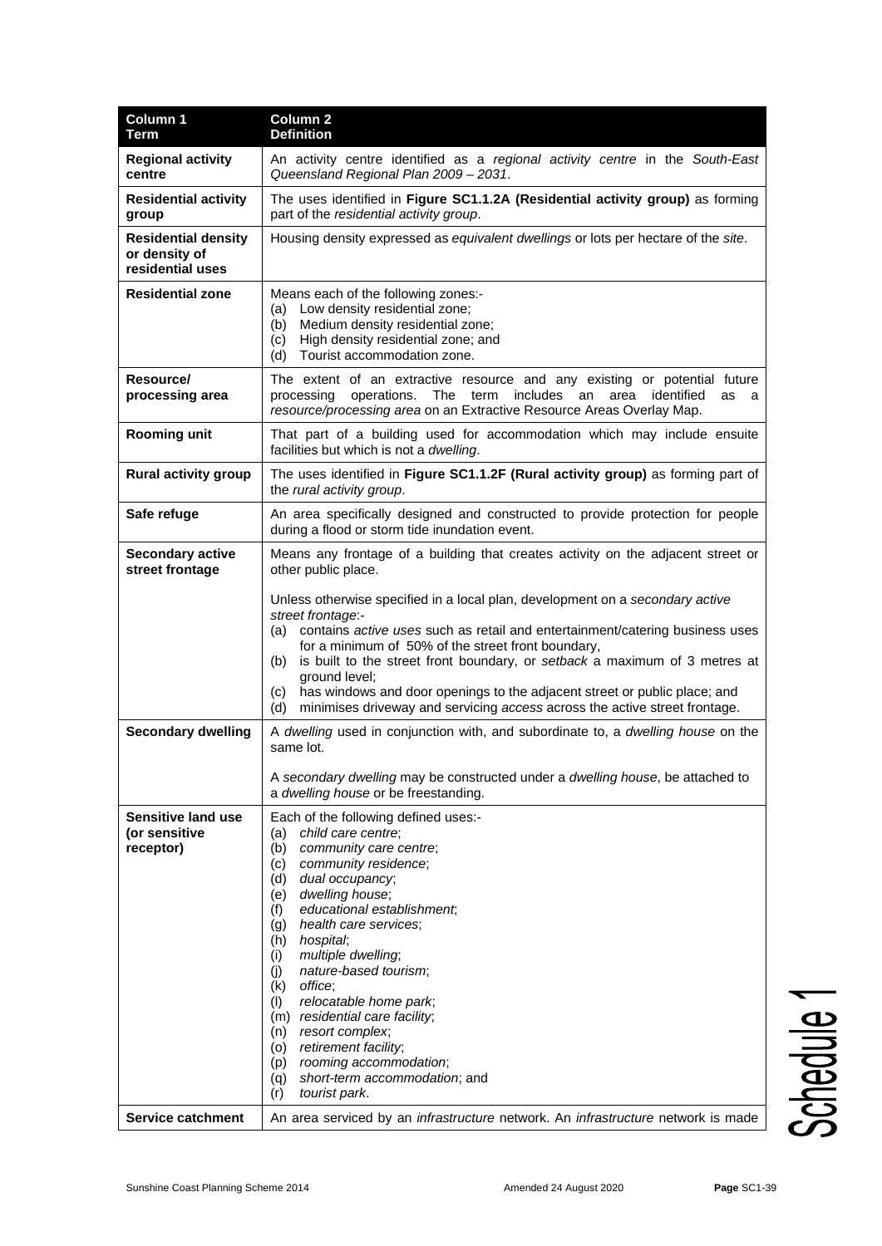| Column 1<br><b>Term</b>                                         | Column <sub>2</sub><br><b>Definition</b>                                                                                                                                                                                                                                                                                                                                                                                                                                                                                                                                                                                               |  |
|-----------------------------------------------------------------|----------------------------------------------------------------------------------------------------------------------------------------------------------------------------------------------------------------------------------------------------------------------------------------------------------------------------------------------------------------------------------------------------------------------------------------------------------------------------------------------------------------------------------------------------------------------------------------------------------------------------------------|--|
| <b>Regional activity</b><br>centre                              | An activity centre identified as a regional activity centre in the South-East<br>Queensland Regional Plan 2009 - 2031.                                                                                                                                                                                                                                                                                                                                                                                                                                                                                                                 |  |
| <b>Residential activity</b><br>group                            | The uses identified in Figure SC1.1.2A (Residential activity group) as forming<br>part of the residential activity group.                                                                                                                                                                                                                                                                                                                                                                                                                                                                                                              |  |
| <b>Residential density</b><br>or density of<br>residential uses | Housing density expressed as equivalent dwellings or lots per hectare of the site.                                                                                                                                                                                                                                                                                                                                                                                                                                                                                                                                                     |  |
| <b>Residential zone</b>                                         | Means each of the following zones:-<br>Low density residential zone;<br>(a)<br>Medium density residential zone;<br>(b)<br>High density residential zone; and<br>(c)<br>Tourist accommodation zone.<br>(d)                                                                                                                                                                                                                                                                                                                                                                                                                              |  |
| Resource/<br>processing area                                    | The extent of an extractive resource and any existing or potential future<br>operations.<br>includes<br>processing<br>The<br>term<br>identified<br>an<br>area<br>as<br>a<br>resource/processing area on an Extractive Resource Areas Overlay Map.                                                                                                                                                                                                                                                                                                                                                                                      |  |
| Rooming unit                                                    | That part of a building used for accommodation which may include ensuite<br>facilities but which is not a dwelling.                                                                                                                                                                                                                                                                                                                                                                                                                                                                                                                    |  |
| <b>Rural activity group</b>                                     | The uses identified in Figure SC1.1.2F (Rural activity group) as forming part of<br>the rural activity group.                                                                                                                                                                                                                                                                                                                                                                                                                                                                                                                          |  |
| Safe refuge                                                     | An area specifically designed and constructed to provide protection for people<br>during a flood or storm tide inundation event.                                                                                                                                                                                                                                                                                                                                                                                                                                                                                                       |  |
| <b>Secondary active</b><br>street frontage                      | Means any frontage of a building that creates activity on the adjacent street or<br>other public place.<br>Unless otherwise specified in a local plan, development on a secondary active<br>street frontage:-<br>(a) contains active uses such as retail and entertainment/catering business uses<br>for a minimum of 50% of the street front boundary,<br>is built to the street front boundary, or setback a maximum of 3 metres at<br>(b)<br>ground level:<br>has windows and door openings to the adjacent street or public place; and<br>(c)<br>minimises driveway and servicing access across the active street frontage.<br>(d) |  |
| <b>Secondary dwelling</b>                                       | A dwelling used in conjunction with, and subordinate to, a dwelling house on the<br>same lot.<br>A secondary dwelling may be constructed under a dwelling house, be attached to<br>a dwelling house or be freestanding.                                                                                                                                                                                                                                                                                                                                                                                                                |  |
| <b>Sensitive land use</b><br>(or sensitive<br>receptor)         | Each of the following defined uses:-<br>child care centre;<br>(a)<br>(b)<br>community care centre;<br>community residence;<br>(c)<br>(d)<br>dual occupancy;<br>dwelling house;<br>(e)<br>educational establishment;<br>(f)<br>health care services;<br>(g)<br>hospital;<br>(h)<br>multiple dwelling;<br>(i)<br>nature-based tourism;<br>(j)<br>(k)<br>office;<br>(1)<br>relocatable home park;<br>(m) residential care facility;<br>resort complex;<br>(n)<br>retirement facility;<br>(o)<br>rooming accommodation;<br>(p)<br>short-term accommodation; and<br>(q)<br>tourist park.<br>(r)                                             |  |
| <b>Service catchment</b>                                        | An area serviced by an <i>infrastructure</i> network. An <i>infrastructure</i> network is made                                                                                                                                                                                                                                                                                                                                                                                                                                                                                                                                         |  |

Schedule 1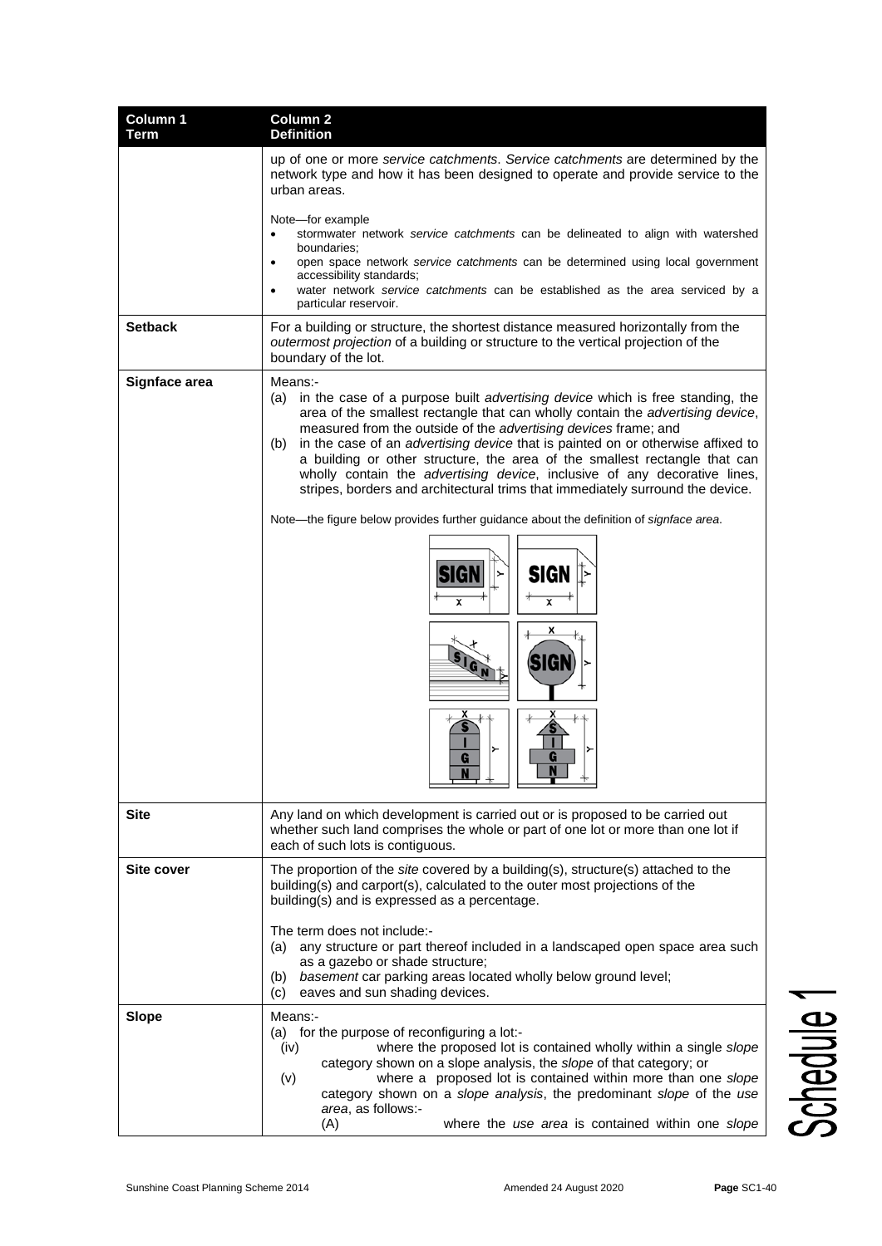| Column 1<br>Term | Column <sub>2</sub><br><b>Definition</b>                                                                                                                                                                                                                                                                                                                                                                                                                                                                                                                                                                                                                                                                    |  |  |
|------------------|-------------------------------------------------------------------------------------------------------------------------------------------------------------------------------------------------------------------------------------------------------------------------------------------------------------------------------------------------------------------------------------------------------------------------------------------------------------------------------------------------------------------------------------------------------------------------------------------------------------------------------------------------------------------------------------------------------------|--|--|
|                  | up of one or more service catchments. Service catchments are determined by the<br>network type and how it has been designed to operate and provide service to the<br>urban areas.                                                                                                                                                                                                                                                                                                                                                                                                                                                                                                                           |  |  |
|                  | Note-for example<br>stormwater network <i>service catchments</i> can be delineated to align with watershed<br>$\bullet$<br>boundaries;<br>open space network service catchments can be determined using local government<br>٠<br>accessibility standards;<br>water network service catchments can be established as the area serviced by a<br>٠<br>particular reservoir.                                                                                                                                                                                                                                                                                                                                    |  |  |
| <b>Setback</b>   | For a building or structure, the shortest distance measured horizontally from the<br>outermost projection of a building or structure to the vertical projection of the<br>boundary of the lot.                                                                                                                                                                                                                                                                                                                                                                                                                                                                                                              |  |  |
| Signface area    | Means:-<br>(a) in the case of a purpose built advertising device which is free standing, the<br>area of the smallest rectangle that can wholly contain the advertising device,<br>measured from the outside of the advertising devices frame; and<br>in the case of an advertising device that is painted on or otherwise affixed to<br>(b)<br>a building or other structure, the area of the smallest rectangle that can<br>wholly contain the advertising device, inclusive of any decorative lines,<br>stripes, borders and architectural trims that immediately surround the device.<br>Note—the figure below provides further guidance about the definition of signface area.<br>Sign<br>Sign<br>न्नाम |  |  |
| <b>Site</b>      | Any land on which development is carried out or is proposed to be carried out<br>whether such land comprises the whole or part of one lot or more than one lot if<br>each of such lots is contiguous.                                                                                                                                                                                                                                                                                                                                                                                                                                                                                                       |  |  |
| Site cover       | The proportion of the site covered by a building(s), structure(s) attached to the<br>building(s) and carport(s), calculated to the outer most projections of the<br>building(s) and is expressed as a percentage.<br>The term does not include:-<br>any structure or part thereof included in a landscaped open space area such<br>(a)<br>as a gazebo or shade structure;<br>basement car parking areas located wholly below ground level;<br>(b)<br>eaves and sun shading devices.<br>(c)                                                                                                                                                                                                                  |  |  |
| <b>Slope</b>     | Means:-<br>(a) for the purpose of reconfiguring a lot:-<br>(iv)<br>where the proposed lot is contained wholly within a single slope<br>category shown on a slope analysis, the slope of that category; or<br>where a proposed lot is contained within more than one slope<br>(v)<br>category shown on a slope analysis, the predominant slope of the use<br>area, as follows:-<br>where the use area is contained within one slope<br>(A)                                                                                                                                                                                                                                                                   |  |  |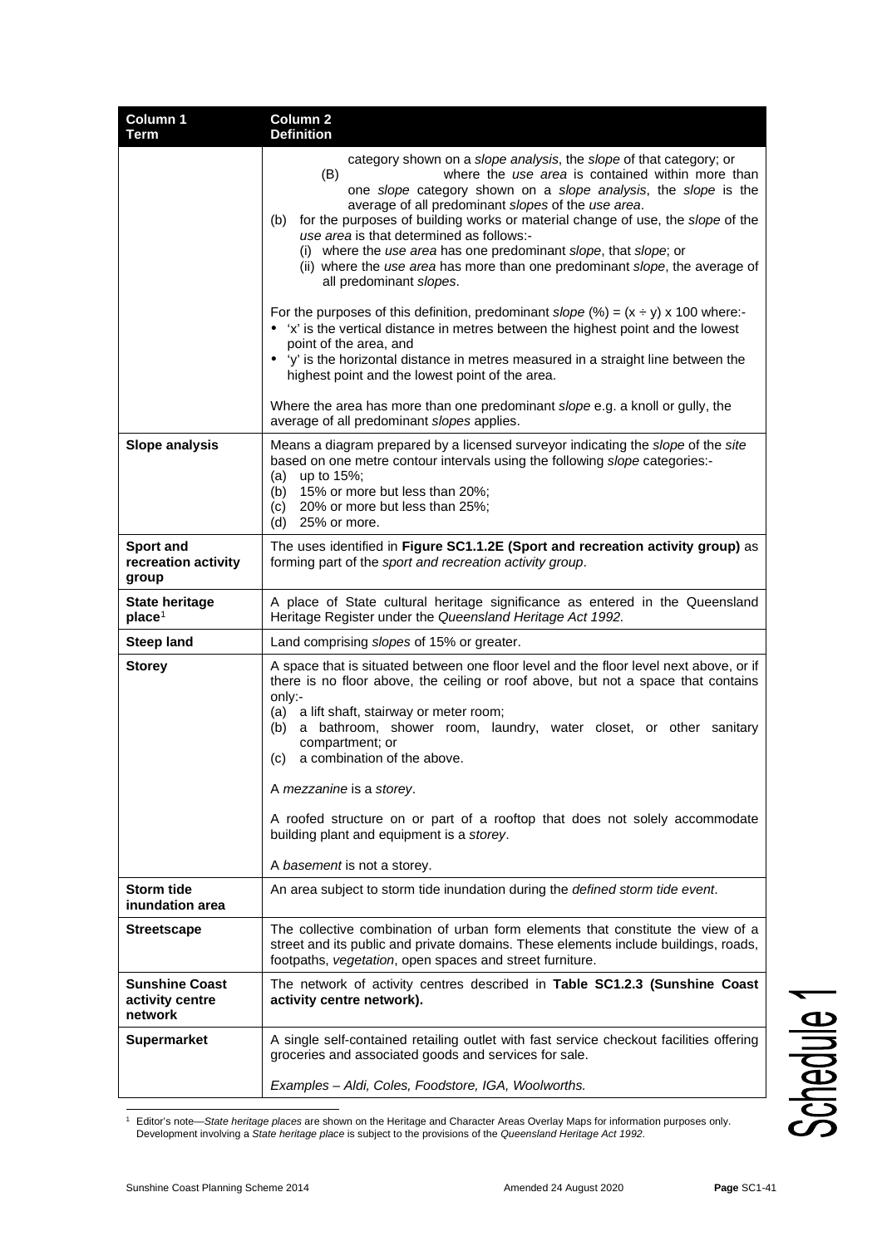| Column 1<br><b>Term</b>                             | Column <sub>2</sub><br><b>Definition</b>                                                                                                                                                                                                                                                                                                                                                                                                                                                                                                                              |
|-----------------------------------------------------|-----------------------------------------------------------------------------------------------------------------------------------------------------------------------------------------------------------------------------------------------------------------------------------------------------------------------------------------------------------------------------------------------------------------------------------------------------------------------------------------------------------------------------------------------------------------------|
|                                                     | category shown on a slope analysis, the slope of that category; or<br>(B)<br>where the use area is contained within more than<br>one slope category shown on a slope analysis, the slope is the<br>average of all predominant slopes of the use area.<br>(b) for the purposes of building works or material change of use, the slope of the<br>use area is that determined as follows:-<br>(i) where the use area has one predominant slope, that slope; or<br>(ii) where the use area has more than one predominant slope, the average of<br>all predominant slopes. |
|                                                     | For the purposes of this definition, predominant slope $(\%) = (x \div y) \times 100$ where:-<br>• 'x' is the vertical distance in metres between the highest point and the lowest<br>point of the area, and<br>• 'y' is the horizontal distance in metres measured in a straight line between the<br>highest point and the lowest point of the area.                                                                                                                                                                                                                 |
|                                                     | Where the area has more than one predominant slope e.g. a knoll or gully, the<br>average of all predominant slopes applies.                                                                                                                                                                                                                                                                                                                                                                                                                                           |
| <b>Slope analysis</b>                               | Means a diagram prepared by a licensed surveyor indicating the slope of the site<br>based on one metre contour intervals using the following slope categories:-<br>(a) up to $15\%$ ;<br>(b) 15% or more but less than 20%;<br>(c) 20% or more but less than 25%;<br>(d) 25% or more.                                                                                                                                                                                                                                                                                 |
| Sport and<br>recreation activity<br>group           | The uses identified in Figure SC1.1.2E (Sport and recreation activity group) as<br>forming part of the sport and recreation activity group.                                                                                                                                                                                                                                                                                                                                                                                                                           |
| <b>State heritage</b><br>place <sup>1</sup>         | A place of State cultural heritage significance as entered in the Queensland<br>Heritage Register under the Queensland Heritage Act 1992.                                                                                                                                                                                                                                                                                                                                                                                                                             |
| <b>Steep land</b>                                   | Land comprising slopes of 15% or greater.                                                                                                                                                                                                                                                                                                                                                                                                                                                                                                                             |
| <b>Storey</b>                                       | A space that is situated between one floor level and the floor level next above, or if<br>there is no floor above, the ceiling or roof above, but not a space that contains<br>only:-<br>a lift shaft, stairway or meter room;<br>(a)<br>(b) a bathroom, shower room, laundry, water closet, or other sanitary<br>compartment; or<br>a combination of the above.<br>(c)<br>A mezzanine is a storey.<br>A roofed structure on or part of a rooftop that does not solely accommodate<br>building plant and equipment is a storey.<br>A basement is not a storey.        |
| <b>Storm tide</b><br>inundation area                | An area subject to storm tide inundation during the defined storm tide event.                                                                                                                                                                                                                                                                                                                                                                                                                                                                                         |
| <b>Streetscape</b>                                  | The collective combination of urban form elements that constitute the view of a<br>street and its public and private domains. These elements include buildings, roads,<br>footpaths, vegetation, open spaces and street furniture.                                                                                                                                                                                                                                                                                                                                    |
| <b>Sunshine Coast</b><br>activity centre<br>network | The network of activity centres described in Table SC1.2.3 (Sunshine Coast<br>activity centre network).                                                                                                                                                                                                                                                                                                                                                                                                                                                               |
| <b>Supermarket</b>                                  | A single self-contained retailing outlet with fast service checkout facilities offering<br>groceries and associated goods and services for sale.                                                                                                                                                                                                                                                                                                                                                                                                                      |
|                                                     | Examples - Aldi, Coles, Foodstore, IGA, Woolworths.                                                                                                                                                                                                                                                                                                                                                                                                                                                                                                                   |

<span id="page-41-0"></span><sup>1</sup> Editor's note—*State heritage places* are shown on the Heritage and Character Areas Overlay Maps for information purposes only. Development involving a *State heritage place* is subject to the provisions of the *Queensland Heritage Act 1992*.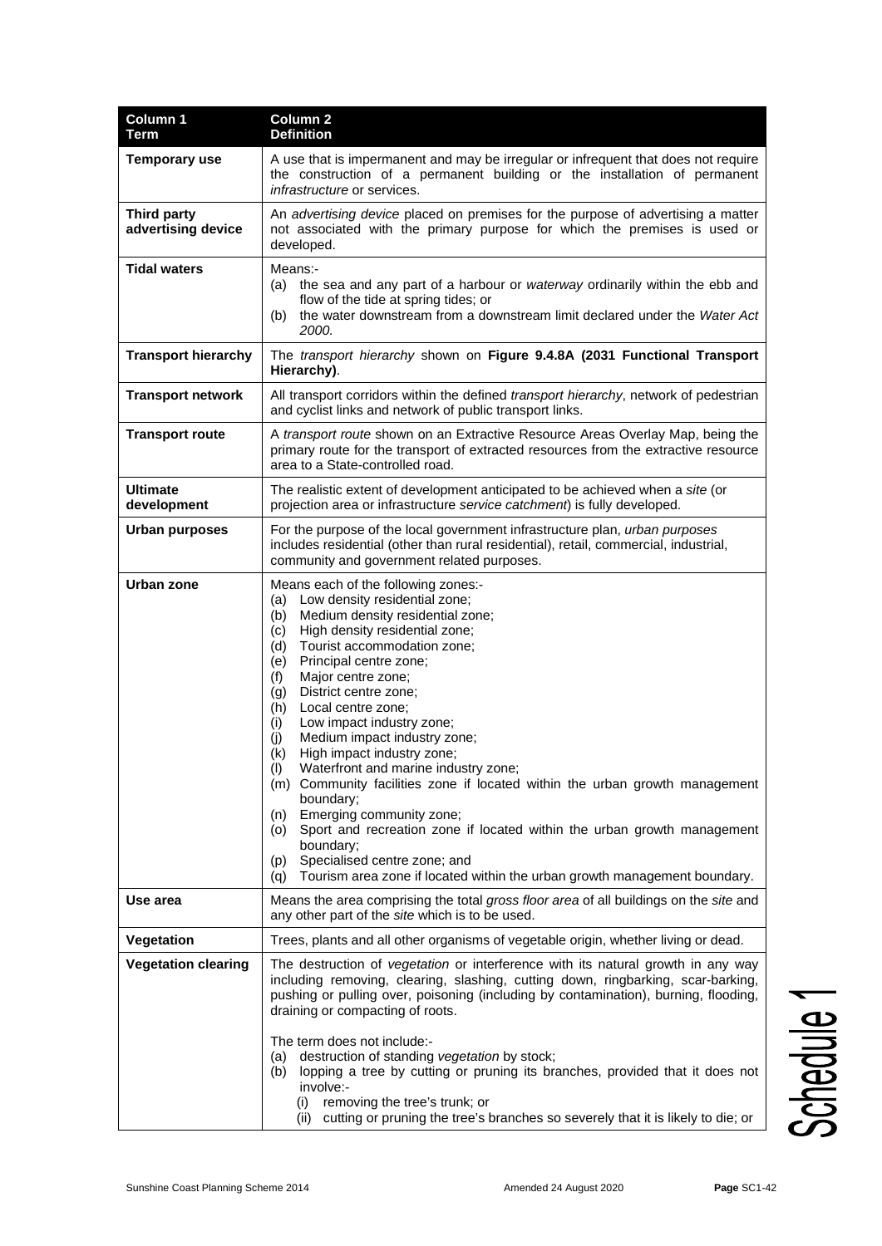| Column 1<br><b>Term</b>                  | Column <sub>2</sub><br><b>Definition</b>                                                                                                                                                                                                                                                                                                                                                                                                                                                                                                                                                                                                                                                                                                                                                                                                              |  |
|------------------------------------------|-------------------------------------------------------------------------------------------------------------------------------------------------------------------------------------------------------------------------------------------------------------------------------------------------------------------------------------------------------------------------------------------------------------------------------------------------------------------------------------------------------------------------------------------------------------------------------------------------------------------------------------------------------------------------------------------------------------------------------------------------------------------------------------------------------------------------------------------------------|--|
| <b>Temporary use</b>                     | A use that is impermanent and may be irregular or infrequent that does not require<br>the construction of a permanent building or the installation of permanent<br>infrastructure or services.                                                                                                                                                                                                                                                                                                                                                                                                                                                                                                                                                                                                                                                        |  |
| <b>Third party</b><br>advertising device | An advertising device placed on premises for the purpose of advertising a matter<br>not associated with the primary purpose for which the premises is used or<br>developed.                                                                                                                                                                                                                                                                                                                                                                                                                                                                                                                                                                                                                                                                           |  |
| <b>Tidal waters</b>                      | Means:-<br>the sea and any part of a harbour or waterway ordinarily within the ebb and<br>(a)<br>flow of the tide at spring tides; or<br>the water downstream from a downstream limit declared under the Water Act<br>(b)<br>2000.                                                                                                                                                                                                                                                                                                                                                                                                                                                                                                                                                                                                                    |  |
| <b>Transport hierarchy</b>               | The transport hierarchy shown on Figure 9.4.8A (2031 Functional Transport<br>Hierarchy).                                                                                                                                                                                                                                                                                                                                                                                                                                                                                                                                                                                                                                                                                                                                                              |  |
| <b>Transport network</b>                 | All transport corridors within the defined <i>transport hierarchy</i> , network of pedestrian<br>and cyclist links and network of public transport links.                                                                                                                                                                                                                                                                                                                                                                                                                                                                                                                                                                                                                                                                                             |  |
| <b>Transport route</b>                   | A transport route shown on an Extractive Resource Areas Overlay Map, being the<br>primary route for the transport of extracted resources from the extractive resource<br>area to a State-controlled road.                                                                                                                                                                                                                                                                                                                                                                                                                                                                                                                                                                                                                                             |  |
| <b>Ultimate</b><br>development           | The realistic extent of development anticipated to be achieved when a site (or<br>projection area or infrastructure service catchment) is fully developed.                                                                                                                                                                                                                                                                                                                                                                                                                                                                                                                                                                                                                                                                                            |  |
| Urban purposes                           | For the purpose of the local government infrastructure plan, urban purposes<br>includes residential (other than rural residential), retail, commercial, industrial,<br>community and government related purposes.                                                                                                                                                                                                                                                                                                                                                                                                                                                                                                                                                                                                                                     |  |
| Urban zone                               | Means each of the following zones:-<br>Low density residential zone;<br>(a)<br>Medium density residential zone;<br>(b)<br>High density residential zone;<br>(c)<br>Tourist accommodation zone;<br>(d)<br>Principal centre zone;<br>(e)<br>Major centre zone;<br>(f)<br>District centre zone;<br>(g)<br>(h)<br>Local centre zone;<br>Low impact industry zone;<br>(i)<br>Medium impact industry zone;<br>(i)<br>High impact industry zone;<br>(k)<br>(1)<br>Waterfront and marine industry zone;<br>(m) Community facilities zone if located within the urban growth management<br>boundary;<br>(n) Emerging community zone;<br>Sport and recreation zone if located within the urban growth management<br>(o)<br>boundary;<br>Specialised centre zone; and<br>(p)<br>Tourism area zone if located within the urban growth management boundary.<br>(q) |  |
| Use area                                 | Means the area comprising the total gross floor area of all buildings on the site and<br>any other part of the site which is to be used.                                                                                                                                                                                                                                                                                                                                                                                                                                                                                                                                                                                                                                                                                                              |  |
| Vegetation                               | Trees, plants and all other organisms of vegetable origin, whether living or dead.                                                                                                                                                                                                                                                                                                                                                                                                                                                                                                                                                                                                                                                                                                                                                                    |  |
| <b>Vegetation clearing</b>               | The destruction of vegetation or interference with its natural growth in any way<br>including removing, clearing, slashing, cutting down, ringbarking, scar-barking,<br>pushing or pulling over, poisoning (including by contamination), burning, flooding,<br>draining or compacting of roots.<br>The term does not include:-                                                                                                                                                                                                                                                                                                                                                                                                                                                                                                                        |  |
|                                          | destruction of standing vegetation by stock;<br>(a)<br>lopping a tree by cutting or pruning its branches, provided that it does not<br>(b)<br>involve:-<br>removing the tree's trunk; or<br>(i)<br>(ii) cutting or pruning the tree's branches so severely that it is likely to die; or                                                                                                                                                                                                                                                                                                                                                                                                                                                                                                                                                               |  |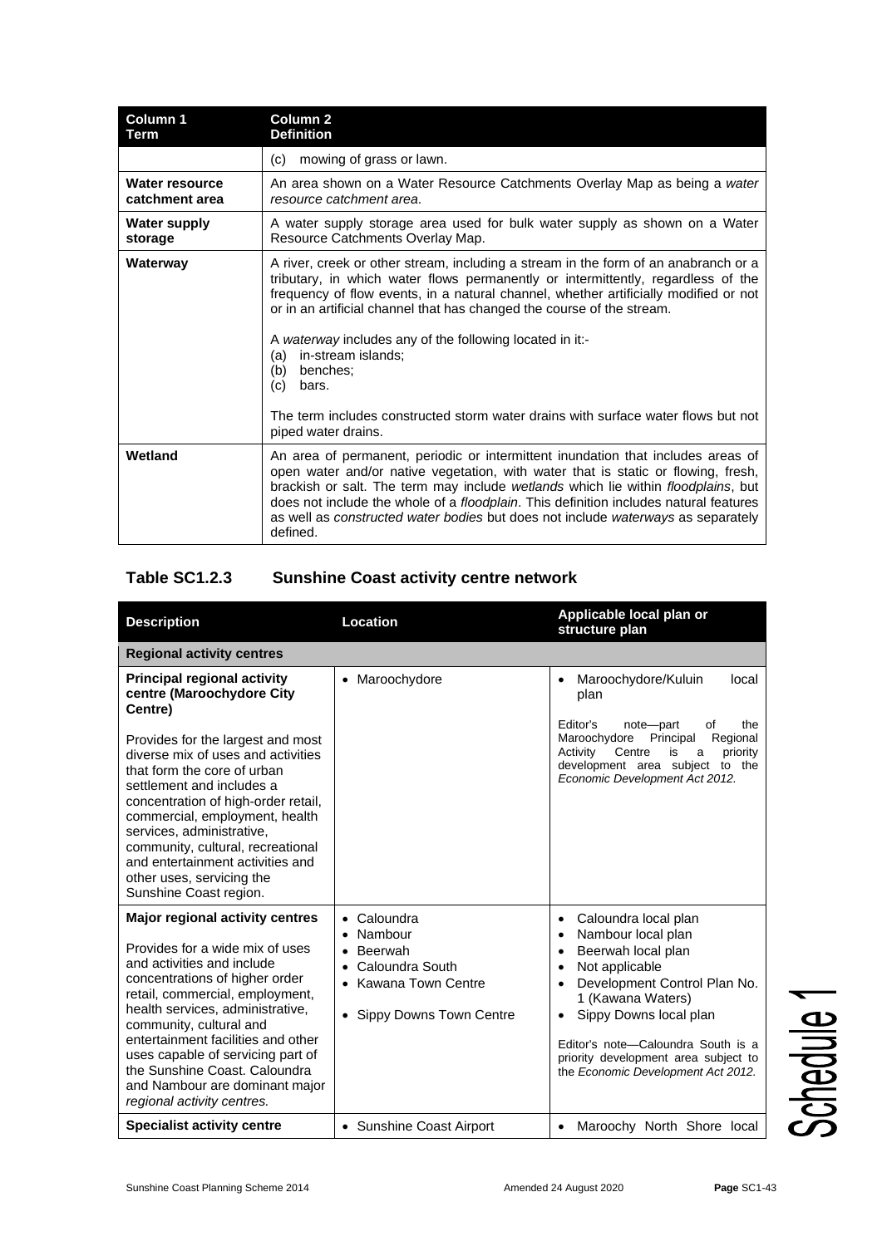| Column 1<br>Term                 | Column <sub>2</sub><br><b>Definition</b>                                                                                                                                                                                                                                                                                                                                                                                                                    |
|----------------------------------|-------------------------------------------------------------------------------------------------------------------------------------------------------------------------------------------------------------------------------------------------------------------------------------------------------------------------------------------------------------------------------------------------------------------------------------------------------------|
|                                  | mowing of grass or lawn.<br>(c)                                                                                                                                                                                                                                                                                                                                                                                                                             |
| Water resource<br>catchment area | An area shown on a Water Resource Catchments Overlay Map as being a water<br>resource catchment area.                                                                                                                                                                                                                                                                                                                                                       |
| Water supply<br>storage          | A water supply storage area used for bulk water supply as shown on a Water<br>Resource Catchments Overlay Map.                                                                                                                                                                                                                                                                                                                                              |
| Waterway                         | A river, creek or other stream, including a stream in the form of an anabranch or a<br>tributary, in which water flows permanently or intermittently, regardless of the<br>frequency of flow events, in a natural channel, whether artificially modified or not<br>or in an artificial channel that has changed the course of the stream.                                                                                                                   |
|                                  | A waterway includes any of the following located in it:-<br>in-stream islands;<br>(a)<br>benches;<br>(b)<br>(c)<br>bars.                                                                                                                                                                                                                                                                                                                                    |
|                                  | The term includes constructed storm water drains with surface water flows but not<br>piped water drains.                                                                                                                                                                                                                                                                                                                                                    |
| Wetland                          | An area of permanent, periodic or intermittent inundation that includes areas of<br>open water and/or native vegetation, with water that is static or flowing, fresh,<br>brackish or salt. The term may include wetlands which lie within floodplains, but<br>does not include the whole of a <i>floodplain</i> . This definition includes natural features<br>as well as constructed water bodies but does not include waterways as separately<br>defined. |

## <span id="page-43-0"></span>**Table SC1.2.3 Sunshine Coast activity centre network**

| <b>Description</b>                                                                                                                                                                                                                                                                                                                                                                                                            | Location                                                                                                                               | Applicable local plan or<br>structure plan                                                                                                                                                                                                                                                                                                     |  |  |  |
|-------------------------------------------------------------------------------------------------------------------------------------------------------------------------------------------------------------------------------------------------------------------------------------------------------------------------------------------------------------------------------------------------------------------------------|----------------------------------------------------------------------------------------------------------------------------------------|------------------------------------------------------------------------------------------------------------------------------------------------------------------------------------------------------------------------------------------------------------------------------------------------------------------------------------------------|--|--|--|
| <b>Regional activity centres</b>                                                                                                                                                                                                                                                                                                                                                                                              |                                                                                                                                        |                                                                                                                                                                                                                                                                                                                                                |  |  |  |
| <b>Principal regional activity</b><br>centre (Maroochydore City<br>Centre)<br>Provides for the largest and most<br>diverse mix of uses and activities<br>that form the core of urban<br>settlement and includes a<br>concentration of high-order retail,<br>commercial, employment, health<br>services, administrative,<br>community, cultural, recreational<br>and entertainment activities and<br>other uses, servicing the | • Maroochydore                                                                                                                         | Maroochydore/Kuluin<br>local<br>$\bullet$<br>plan<br>Editor's<br>of<br>the<br>note-part<br>Maroochydore Principal<br>Regional<br>Activity<br>Centre<br>is<br>a<br>priority<br>development area subject<br>to the<br>Economic Development Act 2012.                                                                                             |  |  |  |
| Sunshine Coast region.                                                                                                                                                                                                                                                                                                                                                                                                        |                                                                                                                                        |                                                                                                                                                                                                                                                                                                                                                |  |  |  |
| <b>Major regional activity centres</b><br>Provides for a wide mix of uses<br>and activities and include<br>concentrations of higher order<br>retail, commercial, employment,<br>health services, administrative,<br>community, cultural and<br>entertainment facilities and other<br>uses capable of servicing part of<br>the Sunshine Coast. Caloundra<br>and Nambour are dominant major<br>regional activity centres.       | Caloundra<br>Nambour<br><b>Beerwah</b><br>$\bullet$<br>Caloundra South<br>$\bullet$<br>Kawana Town Centre<br>• Sippy Downs Town Centre | Caloundra local plan<br>$\bullet$<br>Nambour local plan<br>٠<br>Beerwah local plan<br>$\bullet$<br>Not applicable<br>$\bullet$<br>Development Control Plan No.<br>1 (Kawana Waters)<br>Sippy Downs local plan<br>$\bullet$<br>Editor's note-Caloundra South is a<br>priority development area subject to<br>the Economic Development Act 2012. |  |  |  |
| <b>Specialist activity centre</b>                                                                                                                                                                                                                                                                                                                                                                                             | • Sunshine Coast Airport                                                                                                               | Maroochy North Shore local<br>$\bullet$                                                                                                                                                                                                                                                                                                        |  |  |  |